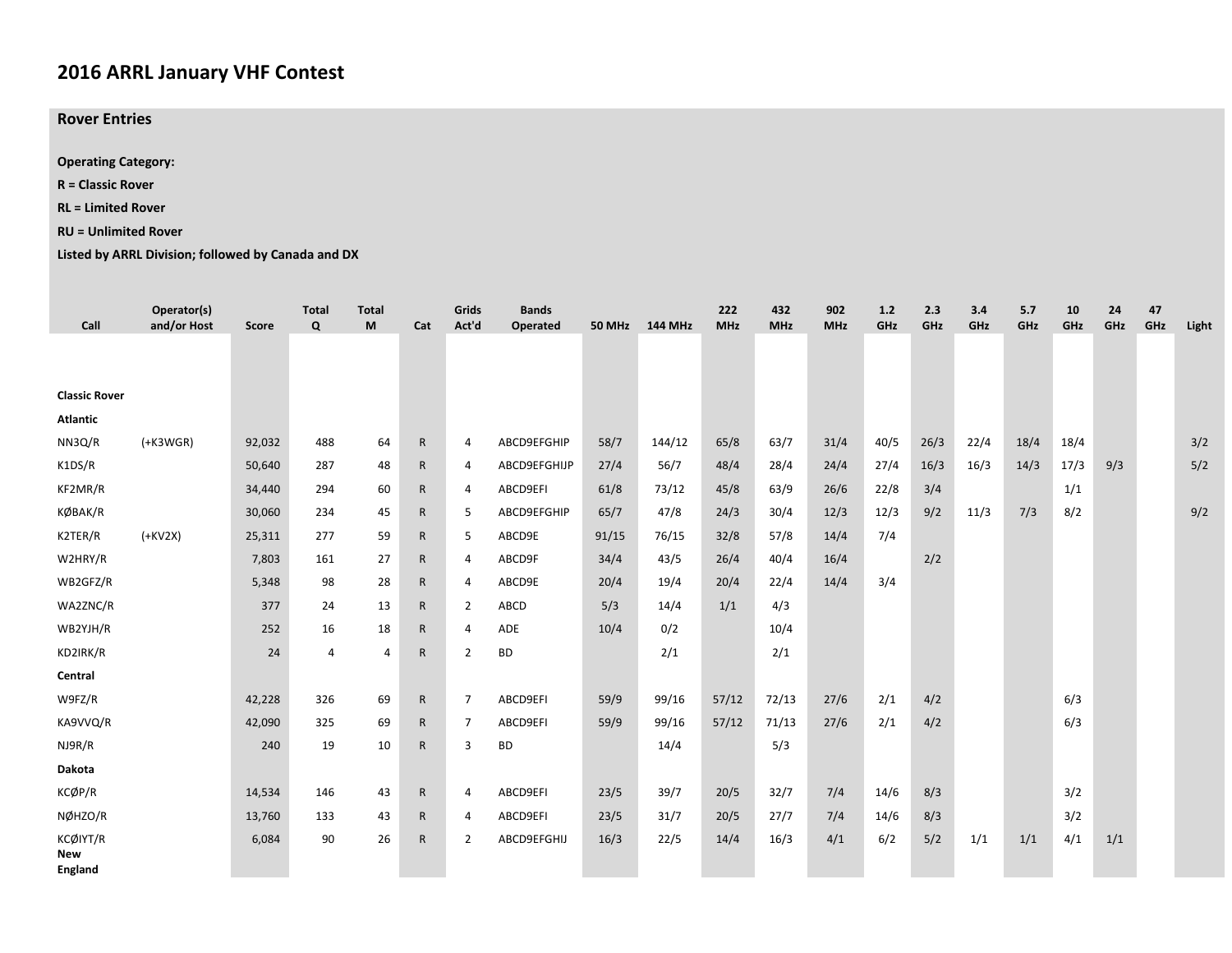## **2016 ARRL January VHF Contest**

**Rover Entries**

**Operating Category:**

**R <sup>=</sup> Classic Rover**

**RL <sup>=</sup> Limited Rover**

## **RU <sup>=</sup> Unlimited Rover**

**Listed by ARRL Division; followed by Canada and DX**

| Call                         | Operator(s)<br>and/or Host | <b>Score</b> | <b>Total</b><br>$\Omega$ | <b>Total</b><br>M | Cat          | Grids<br>Act'd | <b>Bands</b><br>Operated |       | 50 MHz 144 MHz | 222<br><b>MHz</b> | 432<br><b>MHz</b> | 902<br><b>MHz</b> | 1.2<br>GHz | 2.3<br>GHz | 3.4<br>GHz | 5.7<br>GHz | 10<br>GHz | 24<br>GHz | 47<br>GHz | Light |
|------------------------------|----------------------------|--------------|--------------------------|-------------------|--------------|----------------|--------------------------|-------|----------------|-------------------|-------------------|-------------------|------------|------------|------------|------------|-----------|-----------|-----------|-------|
|                              |                            |              |                          |                   |              |                |                          |       |                |                   |                   |                   |            |            |            |            |           |           |           |       |
|                              |                            |              |                          |                   |              |                |                          |       |                |                   |                   |                   |            |            |            |            |           |           |           |       |
| <b>Classic Rover</b>         |                            |              |                          |                   |              |                |                          |       |                |                   |                   |                   |            |            |            |            |           |           |           |       |
| <b>Atlantic</b>              |                            |              |                          |                   |              |                |                          |       |                |                   |                   |                   |            |            |            |            |           |           |           |       |
| NN3Q/R                       | $(+K3WGR)$                 | 92,032       | 488                      | 64                | $\mathsf{R}$ | $\overline{4}$ | ABCD9EFGHIP              | 58/7  | 144/12         | 65/8              | 63/7              | 31/4              | 40/5       | 26/3       | 22/4       | 18/4       | 18/4      |           |           | 3/2   |
| K1DS/R                       |                            | 50,640       | 287                      | 48                | R            | 4              | ABCD9EFGHIJP             | 27/4  | 56/7           | 48/4              | 28/4              | 24/4              | 27/4       | 16/3       | 16/3       | 14/3       | 17/3      | 9/3       |           | 5/2   |
| KF2MR/R                      |                            | 34,440       | 294                      | 60                | R            | 4              | ABCD9EFI                 | 61/8  | 73/12          | 45/8              | 63/9              | 26/6              | 22/8       | 3/4        |            |            | 1/1       |           |           |       |
| KØBAK/R                      |                            | 30,060       | 234                      | 45                | R            | 5              | ABCD9EFGHIP              | 65/7  | 47/8           | 24/3              | 30/4              | 12/3              | 12/3       | 9/2        | 11/3       | 7/3        | 8/2       |           |           | 9/2   |
| K2TER/R                      | $(+KV2X)$                  | 25,311       | 277                      | 59                | R            | 5              | ABCD9E                   | 91/15 | 76/15          | 32/8              | 57/8              | 14/4              | 7/4        |            |            |            |           |           |           |       |
| W2HRY/R                      |                            | 7,803        | 161                      | 27                | R            | 4              | ABCD9F                   | 34/4  | 43/5           | 26/4              | 40/4              | 16/4              |            | 2/2        |            |            |           |           |           |       |
| WB2GFZ/R                     |                            | 5,348        | 98                       | 28                | R            | $\overline{4}$ | ABCD9E                   | 20/4  | 19/4           | 20/4              | 22/4              | 14/4              | 3/4        |            |            |            |           |           |           |       |
| WA2ZNC/R                     |                            | 377          | 24                       | 13                | R            | 2              | ABCD                     | 5/3   | 14/4           | 1/1               | 4/3               |                   |            |            |            |            |           |           |           |       |
| WB2YJH/R                     |                            | 252          | 16                       | 18                | $\mathsf{R}$ | $\overline{4}$ | ADE                      | 10/4  | 0/2            |                   | 10/4              |                   |            |            |            |            |           |           |           |       |
| KD2IRK/R                     |                            | 24           | $\overline{4}$           | 4                 | $\mathsf{R}$ | $\overline{2}$ | <b>BD</b>                |       | 2/1            |                   | 2/1               |                   |            |            |            |            |           |           |           |       |
| Central                      |                            |              |                          |                   |              |                |                          |       |                |                   |                   |                   |            |            |            |            |           |           |           |       |
| W9FZ/R                       |                            | 42,228       | 326                      | 69                | $\mathsf{R}$ | $\overline{7}$ | ABCD9EFI                 | 59/9  | 99/16          | 57/12             | 72/13             | 27/6              | 2/1        | 4/2        |            |            | 6/3       |           |           |       |
| KA9VVQ/R                     |                            | 42,090       | 325                      | 69                | R            | $\overline{7}$ | ABCD9EFI                 | 59/9  | 99/16          | 57/12             | 71/13             | 27/6              | 2/1        | 4/2        |            |            | 6/3       |           |           |       |
| NJ9R/R                       |                            | 240          | 19                       | 10                | $\mathsf{R}$ | 3              | <b>BD</b>                |       | 14/4           |                   | 5/3               |                   |            |            |            |            |           |           |           |       |
| Dakota                       |                            |              |                          |                   |              |                |                          |       |                |                   |                   |                   |            |            |            |            |           |           |           |       |
| KCØP/R                       |                            | 14,534       | 146                      | 43                | $\mathsf{R}$ | $\overline{4}$ | ABCD9EFI                 | 23/5  | 39/7           | 20/5              | 32/7              | 7/4               | 14/6       | 8/3        |            |            | 3/2       |           |           |       |
| NØHZO/R                      |                            | 13,760       | 133                      | 43                | $\mathsf{R}$ | $\overline{4}$ | ABCD9EFI                 | 23/5  | 31/7           | 20/5              | 27/7              | 7/4               | 14/6       | 8/3        |            |            | 3/2       |           |           |       |
| KCØIYT/R                     |                            | 6,084        | 90                       | 26                | $\mathsf{R}$ | $\overline{2}$ | ABCD9EFGHIJ              | 16/3  | 22/5           | 14/4              | 16/3              | 4/1               | 6/2        | 5/2        | 1/1        | 1/1        | 4/1       | 1/1       |           |       |
| <b>New</b><br><b>England</b> |                            |              |                          |                   |              |                |                          |       |                |                   |                   |                   |            |            |            |            |           |           |           |       |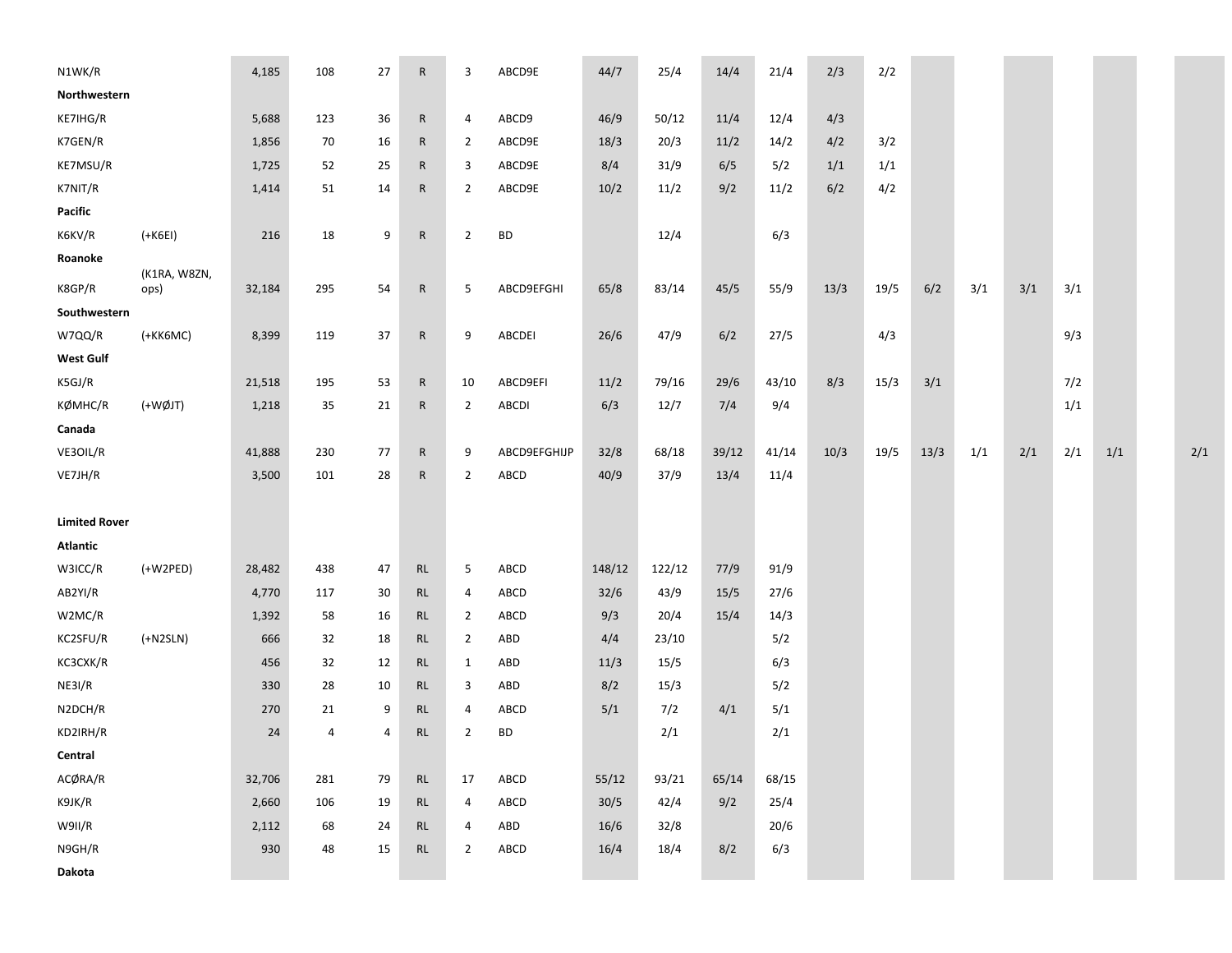| N1WK/R               |                      | 4,185  | 108 | 27 | $\mathsf{R}$ | 3              | ABCD9E       | 44/7   | 25/4   | 14/4  | 21/4  | 2/3  | 2/2  |      |     |     |     |     |     |
|----------------------|----------------------|--------|-----|----|--------------|----------------|--------------|--------|--------|-------|-------|------|------|------|-----|-----|-----|-----|-----|
| Northwestern         |                      |        |     |    |              |                |              |        |        |       |       |      |      |      |     |     |     |     |     |
| KE7IHG/R             |                      | 5,688  | 123 | 36 | $\mathsf{R}$ | 4              | ABCD9        | 46/9   | 50/12  | 11/4  | 12/4  | 4/3  |      |      |     |     |     |     |     |
| K7GEN/R              |                      | 1,856  | 70  | 16 | $\mathsf{R}$ | $\overline{2}$ | ABCD9E       | 18/3   | 20/3   | 11/2  | 14/2  | 4/2  | 3/2  |      |     |     |     |     |     |
| KE7MSU/R             |                      | 1,725  | 52  | 25 | $\mathsf{R}$ | 3              | ABCD9E       | 8/4    | 31/9   | 6/5   | 5/2   | 1/1  | 1/1  |      |     |     |     |     |     |
| K7NIT/R              |                      | 1,414  | 51  | 14 | $\mathsf{R}$ | $\overline{2}$ | ABCD9E       | 10/2   | 11/2   | 9/2   | 11/2  | 6/2  | 4/2  |      |     |     |     |     |     |
| Pacific              |                      |        |     |    |              |                |              |        |        |       |       |      |      |      |     |     |     |     |     |
| K6KV/R               | $(+K6E1)$            | 216    | 18  | 9  | $\mathsf{R}$ | $\overline{2}$ | <b>BD</b>    |        | 12/4   |       | 6/3   |      |      |      |     |     |     |     |     |
| Roanoke              |                      |        |     |    |              |                |              |        |        |       |       |      |      |      |     |     |     |     |     |
| K8GP/R               | (K1RA, W8ZN,<br>ops) | 32,184 | 295 | 54 | $\mathsf{R}$ | 5              | ABCD9EFGHI   | 65/8   | 83/14  | 45/5  | 55/9  | 13/3 | 19/5 | 6/2  | 3/1 | 3/1 | 3/1 |     |     |
| Southwestern         |                      |        |     |    |              |                |              |        |        |       |       |      |      |      |     |     |     |     |     |
| W7QQ/R               | (+KK6MC)             | 8,399  | 119 | 37 | $\mathsf{R}$ | 9              | ABCDEI       | 26/6   | 47/9   | 6/2   | 27/5  |      | 4/3  |      |     |     | 9/3 |     |     |
| <b>West Gulf</b>     |                      |        |     |    |              |                |              |        |        |       |       |      |      |      |     |     |     |     |     |
| K5GJ/R               |                      | 21,518 | 195 | 53 | $\mathsf{R}$ | 10             | ABCD9EFI     | 11/2   | 79/16  | 29/6  | 43/10 | 8/3  | 15/3 | 3/1  |     |     | 7/2 |     |     |
| KØMHC/R              | (+WØJT)              | 1,218  | 35  | 21 | $\mathsf{R}$ | $\overline{2}$ | <b>ABCDI</b> | 6/3    | 12/7   | 7/4   | 9/4   |      |      |      |     |     | 1/1 |     |     |
| Canada               |                      |        |     |    |              |                |              |        |        |       |       |      |      |      |     |     |     |     |     |
| VE3OIL/R             |                      | 41,888 | 230 | 77 | $\mathsf{R}$ | 9              | ABCD9EFGHIJP | 32/8   | 68/18  | 39/12 | 41/14 | 10/3 | 19/5 | 13/3 | 1/1 | 2/1 | 2/1 | 1/1 | 2/1 |
| VE7JH/R              |                      | 3,500  | 101 | 28 | $\mathsf{R}$ | $\overline{2}$ | ABCD         | 40/9   | 37/9   | 13/4  | 11/4  |      |      |      |     |     |     |     |     |
|                      |                      |        |     |    |              |                |              |        |        |       |       |      |      |      |     |     |     |     |     |
| <b>Limited Rover</b> |                      |        |     |    |              |                |              |        |        |       |       |      |      |      |     |     |     |     |     |
| <b>Atlantic</b>      |                      |        |     |    |              |                |              |        |        |       |       |      |      |      |     |     |     |     |     |
| W3ICC/R              | $(+W2PED)$           | 28,482 | 438 | 47 | RL           | 5              | ABCD         | 148/12 | 122/12 | 77/9  | 91/9  |      |      |      |     |     |     |     |     |
| AB2YI/R              |                      | 4,770  | 117 | 30 | <b>RL</b>    | 4              | ABCD         | $32/6$ | 43/9   | 15/5  | 27/6  |      |      |      |     |     |     |     |     |
| W2MC/R               |                      | 1,392  | 58  | 16 | <b>RL</b>    | $\overline{2}$ | ABCD         | 9/3    | 20/4   | 15/4  | 14/3  |      |      |      |     |     |     |     |     |
| KC2SFU/R             | $(+N2SLN)$           | 666    | 32  | 18 | <b>RL</b>    | $\overline{2}$ | ABD          | 4/4    | 23/10  |       | 5/2   |      |      |      |     |     |     |     |     |
| KC3CXK/R             |                      | 456    | 32  | 12 | <b>RL</b>    | 1              | ABD          | 11/3   | 15/5   |       | 6/3   |      |      |      |     |     |     |     |     |
| NE3I/R               |                      | 330    | 28  | 10 | <b>RL</b>    | 3              | ABD          | 8/2    | 15/3   |       | 5/2   |      |      |      |     |     |     |     |     |
| N2DCH/R              |                      | 270    | 21  | 9  | <b>RL</b>    | 4              | ABCD         | 5/1    | 7/2    | 4/1   | 5/1   |      |      |      |     |     |     |     |     |
| KD2IRH/R             |                      | 24     | 4   | 4  | <b>RL</b>    | $\overline{2}$ | <b>BD</b>    |        | 2/1    |       | 2/1   |      |      |      |     |     |     |     |     |
| Central              |                      |        |     |    |              |                |              |        |        |       |       |      |      |      |     |     |     |     |     |
| ACØRA/R              |                      | 32,706 | 281 | 79 | RL           | 17             | ABCD         | 55/12  | 93/21  | 65/14 | 68/15 |      |      |      |     |     |     |     |     |
| K9JK/R               |                      | 2,660  | 106 | 19 | RL           | $\overline{4}$ | ABCD         | 30/5   | 42/4   | 9/2   | 25/4  |      |      |      |     |     |     |     |     |
| W9II/R               |                      | 2,112  | 68  | 24 | <b>RL</b>    | 4              | ABD          | 16/6   | 32/8   |       | 20/6  |      |      |      |     |     |     |     |     |
| N9GH/R               |                      | 930    | 48  | 15 | RL           | $\overline{2}$ | ABCD         | 16/4   | 18/4   | 8/2   | 6/3   |      |      |      |     |     |     |     |     |
| Dakota               |                      |        |     |    |              |                |              |        |        |       |       |      |      |      |     |     |     |     |     |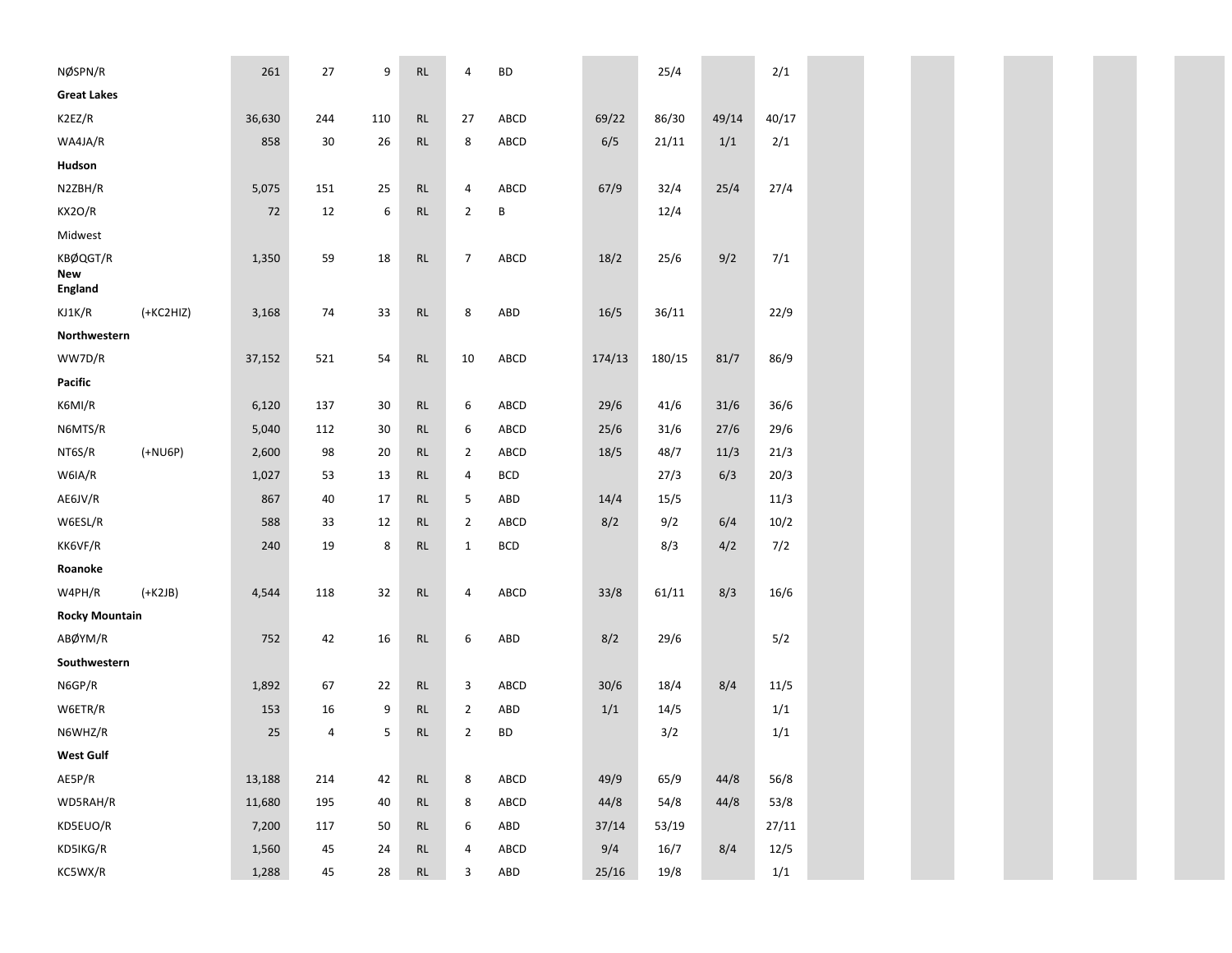| NØSPN/R                           |             | 261    | 27     | 9   | RL            | 4              | <b>BD</b>   |        | 25/4   |       | 2/1   |  |  |  |  |
|-----------------------------------|-------------|--------|--------|-----|---------------|----------------|-------------|--------|--------|-------|-------|--|--|--|--|
| <b>Great Lakes</b>                |             |        |        |     |               |                |             |        |        |       |       |  |  |  |  |
| K2EZ/R                            |             | 36,630 | 244    | 110 | RL            | 27             | ABCD        | 69/22  | 86/30  | 49/14 | 40/17 |  |  |  |  |
| WA4JA/R                           |             | 858    | 30     | 26  | RL            | 8              | ABCD        | 6/5    | 21/11  | 1/1   | 2/1   |  |  |  |  |
| Hudson                            |             |        |        |     |               |                |             |        |        |       |       |  |  |  |  |
| N2ZBH/R                           |             | 5,075  | 151    | 25  | RL            | 4              | ABCD        | 67/9   | 32/4   | 25/4  | 27/4  |  |  |  |  |
| KX2O/R                            |             | 72     | 12     | 6   | RL            | $\overline{2}$ | Β           |        | 12/4   |       |       |  |  |  |  |
| Midwest                           |             |        |        |     |               |                |             |        |        |       |       |  |  |  |  |
| KBØQGT/R<br>New<br><b>England</b> |             | 1,350  | 59     | 18  | RL            | $\overline{7}$ | ABCD        | 18/2   | 25/6   | 9/2   | 7/1   |  |  |  |  |
| KJ1K/R                            | $(+KC2HIZ)$ | 3,168  | 74     | 33  | RL            | 8              | ABD         | $16/5$ | 36/11  |       | 22/9  |  |  |  |  |
| Northwestern                      |             |        |        |     |               |                |             |        |        |       |       |  |  |  |  |
| WW7D/R                            |             | 37,152 | 521    | 54  | RL            | 10             | ABCD        | 174/13 | 180/15 | 81/7  | 86/9  |  |  |  |  |
| Pacific                           |             |        |        |     |               |                |             |        |        |       |       |  |  |  |  |
| K6MI/R                            |             | 6,120  | 137    | 30  | RL            | 6              | ABCD        | 29/6   | 41/6   | 31/6  | 36/6  |  |  |  |  |
| N6MTS/R                           |             | 5,040  | 112    | 30  | <b>RL</b>     | 6              | ABCD        | 25/6   | 31/6   | 27/6  | 29/6  |  |  |  |  |
| NT6S/R                            | $(+NU6P)$   | 2,600  | 98     | 20  | RL            | $\overline{2}$ | ABCD        | 18/5   | 48/7   | 11/3  | 21/3  |  |  |  |  |
| W6IA/R                            |             | 1,027  | 53     | 13  | RL            | 4              | <b>BCD</b>  |        | 27/3   | 6/3   | 20/3  |  |  |  |  |
| AE6JV/R                           |             | 867    | 40     | 17  | <b>RL</b>     | 5              | ABD         | 14/4   | 15/5   |       | 11/3  |  |  |  |  |
| W6ESL/R                           |             | 588    | 33     | 12  | RL            | $\overline{2}$ | ABCD        | 8/2    | 9/2    | 6/4   | 10/2  |  |  |  |  |
| KK6VF/R                           |             | 240    | 19     | 8   | RL            | $\mathbf{1}$   | <b>BCD</b>  |        | 8/3    | 4/2   | 7/2   |  |  |  |  |
| Roanoke                           |             |        |        |     |               |                |             |        |        |       |       |  |  |  |  |
| W4PH/R                            | $(+K2JB)$   | 4,544  | 118    | 32  | RL            | 4              | ABCD        | 33/8   | 61/11  | 8/3   | 16/6  |  |  |  |  |
| <b>Rocky Mountain</b>             |             |        |        |     |               |                |             |        |        |       |       |  |  |  |  |
| ABØYM/R                           |             | 752    | 42     | 16  | RL            | 6              | ABD         | 8/2    | 29/6   |       | 5/2   |  |  |  |  |
| Southwestern                      |             |        |        |     |               |                |             |        |        |       |       |  |  |  |  |
| N6GP/R                            |             | 1,892  | 67     | 22  | RL            | 3              | ABCD        | 30/6   | 18/4   | 8/4   | 11/5  |  |  |  |  |
| W6ETR/R                           |             | 153    | 16     | 9   | <b>RL</b>     | $\overline{2}$ | ABD         | 1/1    | 14/5   |       | 1/1   |  |  |  |  |
| N6WHZ/R                           |             | 25     | 4      | 5   | RL            | 2              | <b>BD</b>   |        | 3/2    |       | 1/1   |  |  |  |  |
| <b>West Gulf</b>                  |             |        |        |     |               |                |             |        |        |       |       |  |  |  |  |
| AE5P/R                            |             | 13,188 | 214    | 42  | RL            | 8              | ABCD        | 49/9   | 65/9   | 44/8  | 56/8  |  |  |  |  |
| WD5RAH/R                          |             | 11,680 | 195    | 40  | RL            | 8              | ABCD        | 44/8   | 54/8   | 44/8  | 53/8  |  |  |  |  |
| KD5EUO/R                          |             | 7,200  | 117    | 50  | RL            | 6              | ${\sf ABD}$ | 37/14  | 53/19  |       | 27/11 |  |  |  |  |
| KD5IKG/R                          |             | 1,560  | 45     | 24  | $\mathsf{RL}$ | 4              | ABCD        | 9/4    | 16/7   | 8/4   | 12/5  |  |  |  |  |
| KC5WX/R                           |             | 1,288  | $45\,$ | 28  | $\mathsf{RL}$ | 3              | ${\sf ABD}$ | 25/16  | 19/8   |       | 1/1   |  |  |  |  |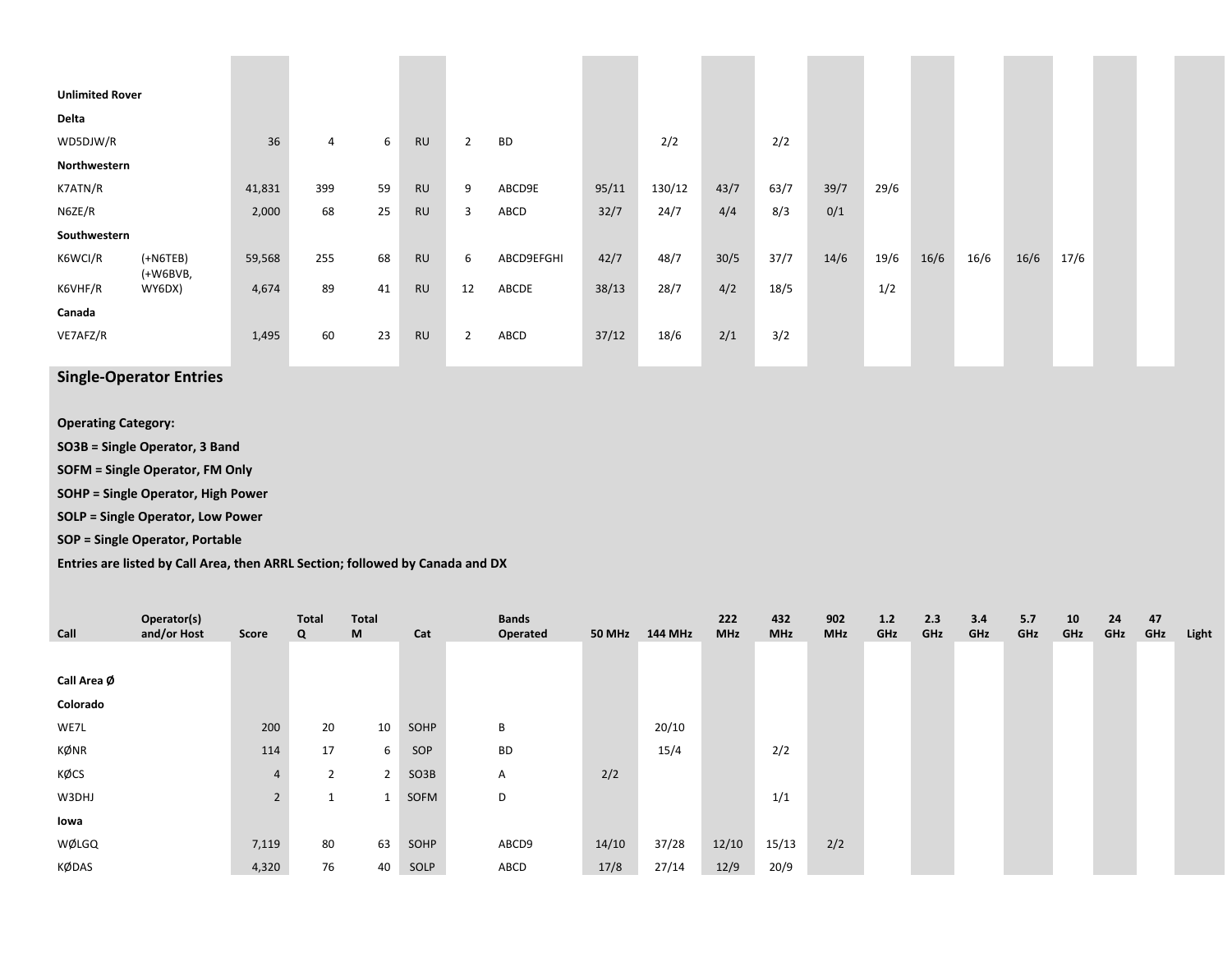| <b>Unlimited Rover</b> |                          |        |                |    |           |                |            |       |        |      |      |      |      |      |      |      |      |  |
|------------------------|--------------------------|--------|----------------|----|-----------|----------------|------------|-------|--------|------|------|------|------|------|------|------|------|--|
| Delta                  |                          |        |                |    |           |                |            |       |        |      |      |      |      |      |      |      |      |  |
| WD5DJW/R               |                          | 36     | $\overline{4}$ | 6  | <b>RU</b> | $\overline{2}$ | <b>BD</b>  |       | 2/2    |      | 2/2  |      |      |      |      |      |      |  |
| Northwestern           |                          |        |                |    |           |                |            |       |        |      |      |      |      |      |      |      |      |  |
| K7ATN/R                |                          | 41,831 | 399            | 59 | <b>RU</b> | 9              | ABCD9E     | 95/11 | 130/12 | 43/7 | 63/7 | 39/7 | 29/6 |      |      |      |      |  |
| N6ZE/R                 |                          | 2,000  | 68             | 25 | <b>RU</b> | 3              | ABCD       | 32/7  | 24/7   | 4/4  | 8/3  | 0/1  |      |      |      |      |      |  |
| Southwestern           |                          |        |                |    |           |                |            |       |        |      |      |      |      |      |      |      |      |  |
| K6WCI/R                | $(+N6TEB)$<br>$(+W6BVB,$ | 59,568 | 255            | 68 | <b>RU</b> | 6              | ABCD9EFGHI | 42/7  | 48/7   | 30/5 | 37/7 | 14/6 | 19/6 | 16/6 | 16/6 | 16/6 | 17/6 |  |
| K6VHF/R                | WY6DX)                   | 4,674  | 89             | 41 | <b>RU</b> | 12             | ABCDE      | 38/13 | 28/7   | 4/2  | 18/5 |      | 1/2  |      |      |      |      |  |
| Canada                 |                          |        |                |    |           |                |            |       |        |      |      |      |      |      |      |      |      |  |
| VE7AFZ/R               |                          | 1,495  | 60             | 23 | <b>RU</b> | $\overline{2}$ | ABCD       | 37/12 | 18/6   | 2/1  | 3/2  |      |      |      |      |      |      |  |
|                        |                          |        |                |    |           |                |            |       |        |      |      |      |      |      |      |      |      |  |

**Single‐Operator Entries**

**Operating Category:**

**SO3B <sup>=</sup> Single Operator, 3 Band**

**SOFM <sup>=</sup> Single Operator, FM Only**

**SOHP <sup>=</sup> Single Operator, High Power**

**SOLP <sup>=</sup> Single Operator, Low Power**

**SOP <sup>=</sup> Single Operator, Portable**

**Entries are listed by Call Area, then ARRL Section; followed by Canada and DX**

|             | Operator(s) |                | Total          | <b>Total</b>   |      | <b>Bands</b> |               |         | 222        | 432        | 902        | 1.2 | 2.3 | 3.4 | 5.7 | 10  | 24  | 47  |       |
|-------------|-------------|----------------|----------------|----------------|------|--------------|---------------|---------|------------|------------|------------|-----|-----|-----|-----|-----|-----|-----|-------|
| Call        | and/or Host | Score          | Q              | M              | Cat  | Operated     | <b>50 MHz</b> | 144 MHz | <b>MHz</b> | <b>MHz</b> | <b>MHz</b> | GHz | GHz | GHz | GHz | GHz | GHz | GHz | Light |
|             |             |                |                |                |      |              |               |         |            |            |            |     |     |     |     |     |     |     |       |
| Call Area Ø |             |                |                |                |      |              |               |         |            |            |            |     |     |     |     |     |     |     |       |
| Colorado    |             |                |                |                |      |              |               |         |            |            |            |     |     |     |     |     |     |     |       |
| WE7L        |             | 200            | 20             | 10             | SOHP | В            |               | 20/10   |            |            |            |     |     |     |     |     |     |     |       |
| KØNR        |             | 114            | 17             | 6              | SOP  | <b>BD</b>    |               | 15/4    |            | 2/2        |            |     |     |     |     |     |     |     |       |
| KØCS        |             | $\overline{4}$ | $\overline{2}$ | $\overline{2}$ | SO3B | A            | 2/2           |         |            |            |            |     |     |     |     |     |     |     |       |
| W3DHJ       |             | $2^{\circ}$    |                |                | SOFM | D            |               |         |            | 1/1        |            |     |     |     |     |     |     |     |       |
| lowa        |             |                |                |                |      |              |               |         |            |            |            |     |     |     |     |     |     |     |       |
| WØLGQ       |             | 7,119          | 80             | 63             | SOHP | ABCD9        | 14/10         | 37/28   | 12/10      | 15/13      | 2/2        |     |     |     |     |     |     |     |       |
| KØDAS       |             | 4,320          | 76             | 40             | SOLP | ABCD         | 17/8          | 27/14   | 12/9       | 20/9       |            |     |     |     |     |     |     |     |       |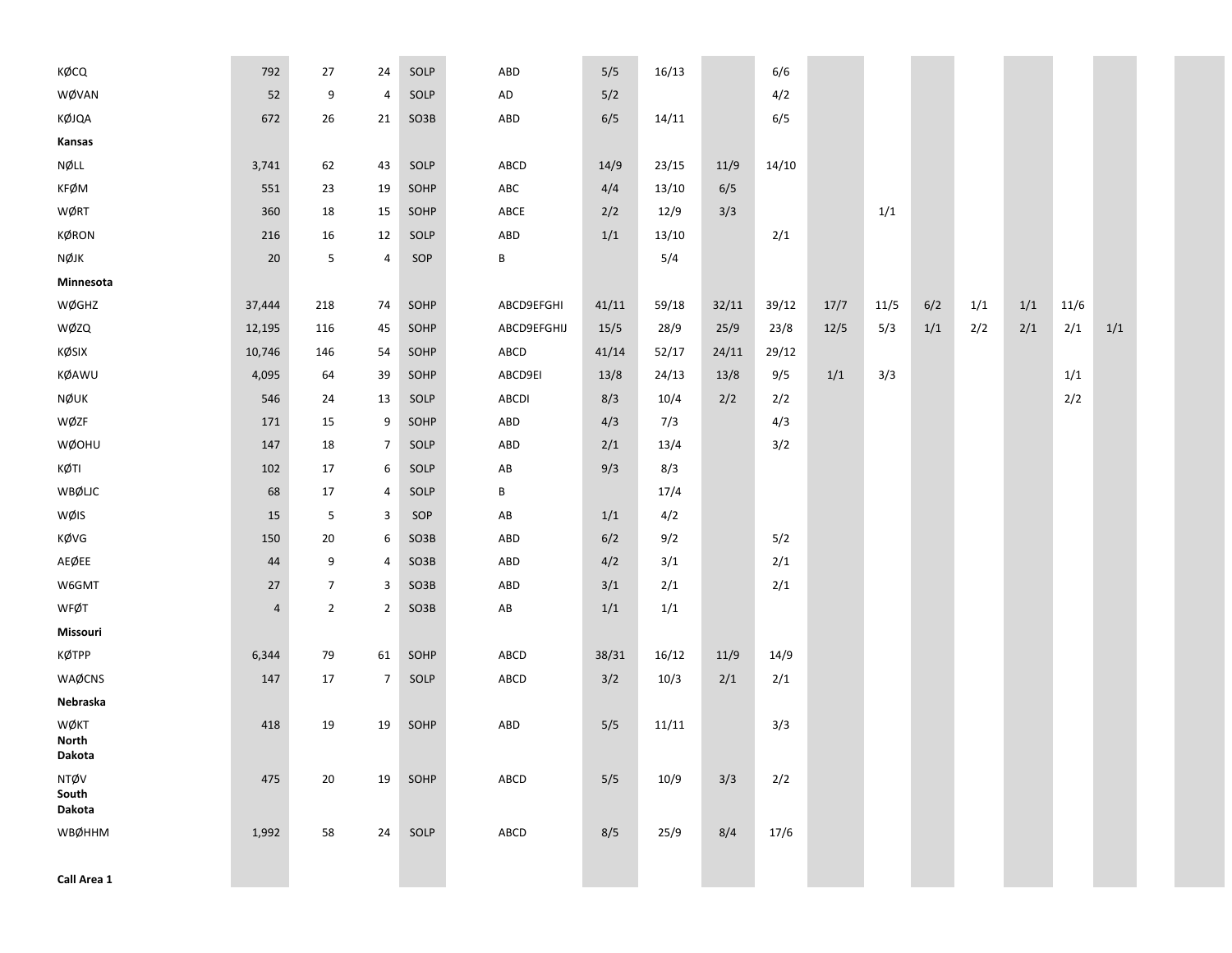| KØCQ                    | 792        | 27             | 24             | SOLP | ABD                    | 5/5   | 16/13 |       | 6/6   |      |      |     |     |     |      |     |
|-------------------------|------------|----------------|----------------|------|------------------------|-------|-------|-------|-------|------|------|-----|-----|-----|------|-----|
| WØVAN                   | 52         | 9              | $\pmb{4}$      | SOLP | ${\sf AD}$             | 5/2   |       |       | 4/2   |      |      |     |     |     |      |     |
| KØJQA                   | 672        | 26             | 21             | SO3B | ABD                    | 6/5   | 14/11 |       | 6/5   |      |      |     |     |     |      |     |
| Kansas                  |            |                |                |      |                        |       |       |       |       |      |      |     |     |     |      |     |
| NØLL                    | 3,741      | 62             | 43             | SOLP | ABCD                   | 14/9  | 23/15 | 11/9  | 14/10 |      |      |     |     |     |      |     |
| <b>KFØM</b>             | 551        | 23             | 19             | SOHP | ABC                    | 4/4   | 13/10 | 6/5   |       |      |      |     |     |     |      |     |
| WØRT                    | 360        | 18             | 15             | SOHP | ${\sf ABCE}$           | 2/2   | 12/9  | 3/3   |       |      | 1/1  |     |     |     |      |     |
| KØRON                   | 216        | 16             | 12             | SOLP | ABD                    | 1/1   | 13/10 |       | 2/1   |      |      |     |     |     |      |     |
| NØJK                    | 20         | 5              | $\pmb{4}$      | SOP  | В                      |       | 5/4   |       |       |      |      |     |     |     |      |     |
| Minnesota               |            |                |                |      |                        |       |       |       |       |      |      |     |     |     |      |     |
| WØGHZ                   | 37,444     | 218            | 74             | SOHP | ABCD9EFGHI             | 41/11 | 59/18 | 32/11 | 39/12 | 17/7 | 11/5 | 6/2 | 1/1 | 1/1 | 11/6 |     |
| WØZQ                    | 12,195     | 116            | 45             | SOHP | ABCD9EFGHIJ            | 15/5  | 28/9  | 25/9  | 23/8  | 12/5 | 5/3  | 1/1 | 2/2 | 2/1 | 2/1  | 1/1 |
| KØSIX                   | 10,746     | 146            | 54             | SOHP | ABCD                   | 41/14 | 52/17 | 24/11 | 29/12 |      |      |     |     |     |      |     |
| KØAWU                   | 4,095      | 64             | 39             | SOHP | ABCD9EI                | 13/8  | 24/13 | 13/8  | 9/5   | 1/1  | 3/3  |     |     |     | 1/1  |     |
| NØUK                    | 546        | 24             | 13             | SOLP | ABCDI                  | 8/3   | 10/4  | 2/2   | 2/2   |      |      |     |     |     | 2/2  |     |
| WØZF                    | 171        | 15             | 9              | SOHP | ABD                    | 4/3   | 7/3   |       | 4/3   |      |      |     |     |     |      |     |
| WØOHU                   | 147        | 18             | $\overline{7}$ | SOLP | ABD                    | 2/1   | 13/4  |       | 3/2   |      |      |     |     |     |      |     |
| KØTI                    | 102        | 17             | 6              | SOLP | AB                     | 9/3   | 8/3   |       |       |      |      |     |     |     |      |     |
| WBØLJC                  | 68         | 17             | 4              | SOLP | В                      |       | 17/4  |       |       |      |      |     |     |     |      |     |
| WØIS                    | 15         | 5              | 3              | SOP  | $\mathsf{A}\mathsf{B}$ | 1/1   | 4/2   |       |       |      |      |     |     |     |      |     |
| KØVG                    | 150        | 20             | 6              | SO3B | ABD                    | 6/2   | 9/2   |       | 5/2   |      |      |     |     |     |      |     |
| AEØEE                   | 44         | 9              | 4              | SO3B | ABD                    | 4/2   | 3/1   |       | 2/1   |      |      |     |     |     |      |     |
| W6GMT                   | 27         | $\overline{7}$ | 3              | SO3B | ABD                    | 3/1   | 2/1   |       | 2/1   |      |      |     |     |     |      |     |
| WFØT                    | $\sqrt{4}$ | $\overline{2}$ | $\overline{2}$ | SO3B | $\mathsf{A}\mathsf{B}$ | 1/1   | 1/1   |       |       |      |      |     |     |     |      |     |
| Missouri                |            |                |                |      |                        |       |       |       |       |      |      |     |     |     |      |     |
| КØТРР                   | 6,344      | 79             | 61             | SOHP | ABCD                   | 38/31 | 16/12 | 11/9  | 14/9  |      |      |     |     |     |      |     |
| WAØCNS                  | 147        | 17             | $\overline{7}$ | SOLP | ABCD                   | 3/2   | 10/3  | 2/1   | 2/1   |      |      |     |     |     |      |     |
| Nebraska                |            |                |                |      |                        |       |       |       |       |      |      |     |     |     |      |     |
| WØKT<br><b>North</b>    | 418        | 19             | 19             | SOHP | ABD                    | 5/5   | 11/11 |       | 3/3   |      |      |     |     |     |      |     |
| Dakota                  |            |                |                |      |                        |       |       |       |       |      |      |     |     |     |      |     |
| NTØV<br>South<br>Dakota | 475        | 20             | 19             | SOHP | ABCD                   | 5/5   | 10/9  | 3/3   | 2/2   |      |      |     |     |     |      |     |
| WBØHHM                  | 1,992      | 58             | 24             | SOLP | ABCD                   | 8/5   | 25/9  | 8/4   | 17/6  |      |      |     |     |     |      |     |
| Call Area 1             |            |                |                |      |                        |       |       |       |       |      |      |     |     |     |      |     |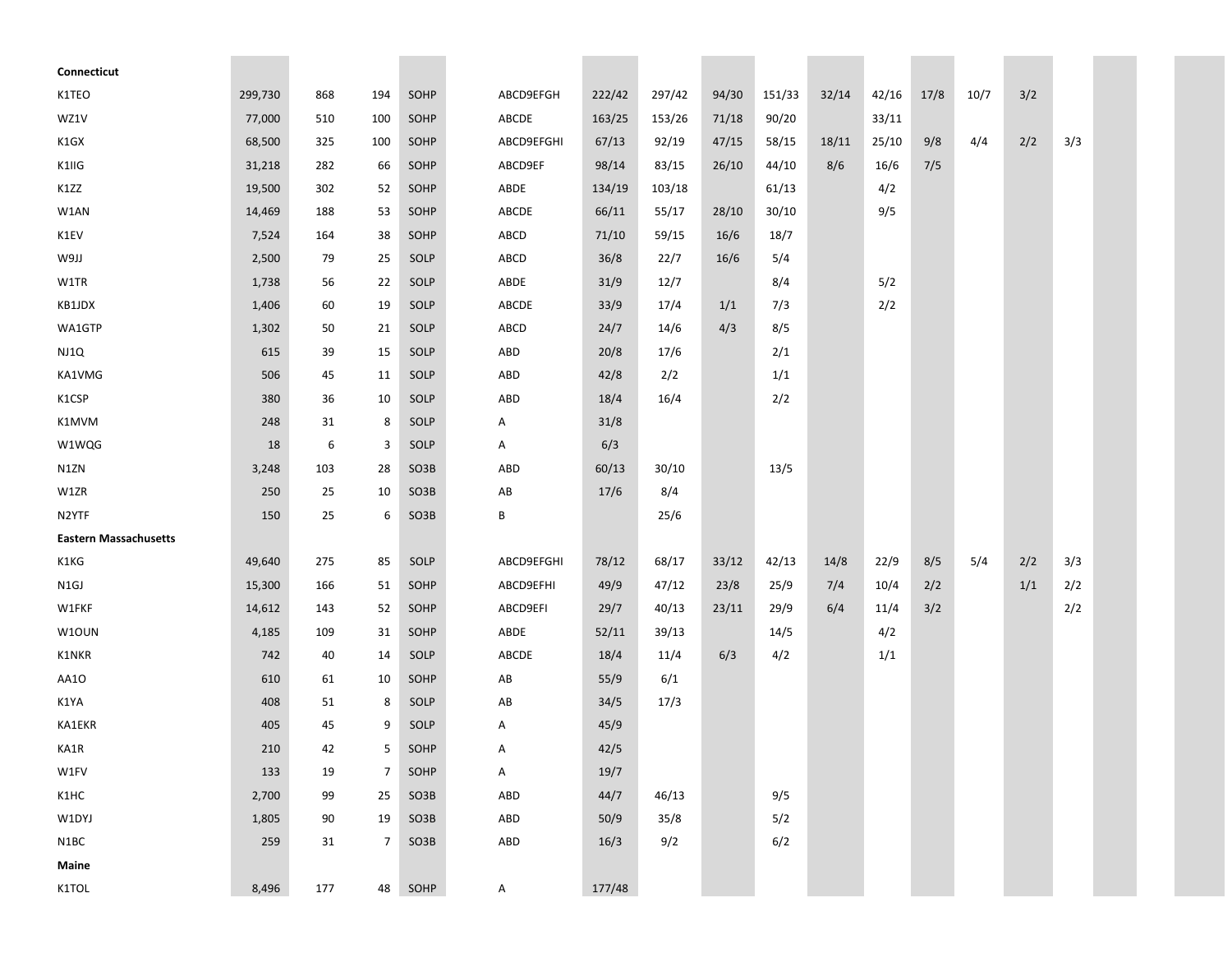| Connecticut                  |         |     |                |                   |            |        |        |       |        |       |       |      |      |     |     |  |
|------------------------------|---------|-----|----------------|-------------------|------------|--------|--------|-------|--------|-------|-------|------|------|-----|-----|--|
| K1TEO                        | 299,730 | 868 | 194            | SOHP              | ABCD9EFGH  | 222/42 | 297/42 | 94/30 | 151/33 | 32/14 | 42/16 | 17/8 | 10/7 | 3/2 |     |  |
| WZ1V                         | 77,000  | 510 | 100            | SOHP              | ABCDE      | 163/25 | 153/26 | 71/18 | 90/20  |       | 33/11 |      |      |     |     |  |
| K1GX                         | 68,500  | 325 | 100            | SOHP              | ABCD9EFGHI | 67/13  | 92/19  | 47/15 | 58/15  | 18/11 | 25/10 | 9/8  | 4/4  | 2/2 | 3/3 |  |
| K1IIG                        | 31,218  | 282 | 66             | SOHP              | ABCD9EF    | 98/14  | 83/15  | 26/10 | 44/10  | 8/6   | 16/6  | 7/5  |      |     |     |  |
| K1ZZ                         | 19,500  | 302 | 52             | SOHP              | ABDE       | 134/19 | 103/18 |       | 61/13  |       | 4/2   |      |      |     |     |  |
| W1AN                         | 14,469  | 188 | 53             | SOHP              | ABCDE      | 66/11  | 55/17  | 28/10 | 30/10  |       | 9/5   |      |      |     |     |  |
| K1EV                         | 7,524   | 164 | 38             | SOHP              | ABCD       | 71/10  | 59/15  | 16/6  | 18/7   |       |       |      |      |     |     |  |
| U6M                          | 2,500   | 79  | 25             | SOLP              | ABCD       | 36/8   | 22/7   | 16/6  | 5/4    |       |       |      |      |     |     |  |
| W1TR                         | 1,738   | 56  | 22             | SOLP              | ABDE       | 31/9   | 12/7   |       | 8/4    |       | 5/2   |      |      |     |     |  |
| KB1JDX                       | 1,406   | 60  | 19             | SOLP              | ABCDE      | 33/9   | 17/4   | 1/1   | 7/3    |       | 2/2   |      |      |     |     |  |
| WA1GTP                       | 1,302   | 50  | 21             | SOLP              | ABCD       | 24/7   | 14/6   | 4/3   | 8/5    |       |       |      |      |     |     |  |
| NJ1Q                         | 615     | 39  | 15             | SOLP              | ABD        | 20/8   | 17/6   |       | 2/1    |       |       |      |      |     |     |  |
| KA1VMG                       | 506     | 45  | 11             | SOLP              | ABD        | 42/8   | 2/2    |       | 1/1    |       |       |      |      |     |     |  |
| K1CSP                        | 380     | 36  | 10             | SOLP              | ABD        | 18/4   | 16/4   |       | 2/2    |       |       |      |      |     |     |  |
| K1MVM                        | 248     | 31  | 8              | SOLP              | Α          | 31/8   |        |       |        |       |       |      |      |     |     |  |
| W1WQG                        | 18      | 6   | 3              | SOLP              | А          | 6/3    |        |       |        |       |       |      |      |     |     |  |
| N1ZN                         | 3,248   | 103 | 28             | SO <sub>3</sub> B | ABD        | 60/13  | 30/10  |       | 13/5   |       |       |      |      |     |     |  |
| W1ZR                         | 250     | 25  | 10             | SO3B              | AB         | 17/6   | 8/4    |       |        |       |       |      |      |     |     |  |
| N2YTF                        | 150     | 25  | 6              | SO <sub>3</sub> B | B          |        | 25/6   |       |        |       |       |      |      |     |     |  |
| <b>Eastern Massachusetts</b> |         |     |                |                   |            |        |        |       |        |       |       |      |      |     |     |  |
| K1KG                         | 49,640  | 275 | 85             | SOLP              | ABCD9EFGHI | 78/12  | 68/17  | 33/12 | 42/13  | 14/8  | 22/9  | 8/5  | 5/4  | 2/2 | 3/3 |  |
| N1GJ                         | 15,300  | 166 | 51             | SOHP              | ABCD9EFHI  | 49/9   | 47/12  | 23/8  | 25/9   | 7/4   | 10/4  | 2/2  |      | 1/1 | 2/2 |  |
| W1FKF                        | 14,612  | 143 | 52             | SOHP              | ABCD9EFI   | 29/7   | 40/13  | 23/11 | 29/9   | 6/4   | 11/4  | 3/2  |      |     | 2/2 |  |
| W1OUN                        | 4,185   | 109 | 31             | SOHP              | ABDE       | 52/11  | 39/13  |       | 14/5   |       | 4/2   |      |      |     |     |  |
| K1NKR                        | 742     | 40  | 14             | SOLP              | ABCDE      | 18/4   | 11/4   | 6/3   | 4/2    |       | 1/1   |      |      |     |     |  |
| AA1O                         | 610     | 61  | 10             | SOHP              | AB         | 55/9   | 6/1    |       |        |       |       |      |      |     |     |  |
| K1YA                         | 408     | 51  | 8              | SOLP              | AB         | 34/5   | 17/3   |       |        |       |       |      |      |     |     |  |
| KA1EKR                       | 405     | 45  | 9              | SOLP              | Α          | 45/9   |        |       |        |       |       |      |      |     |     |  |
| KA1R                         | 210     | 42  | 5 <sub>1</sub> | SOHP              | A          | 42/5   |        |       |        |       |       |      |      |     |     |  |
| W1FV                         | 133     | 19  | 7 <sup>1</sup> | SOHP              | A          | 19/7   |        |       |        |       |       |      |      |     |     |  |
| K1HC                         | 2,700   | 99  | 25             | SO3B              | ABD        | 44/7   | 46/13  |       | 9/5    |       |       |      |      |     |     |  |
| W1DYJ                        | 1,805   | 90  | 19             | SO3B              | ABD        | 50/9   | 35/8   |       | 5/2    |       |       |      |      |     |     |  |
| N1BC                         | 259     | 31  | 7 <sup>1</sup> | SO3B              | ABD        | 16/3   | 9/2    |       | 6/2    |       |       |      |      |     |     |  |
| Maine                        |         |     |                |                   |            |        |        |       |        |       |       |      |      |     |     |  |
| K1TOL                        | 8,496   | 177 | 48             | SOHP              | A          | 177/48 |        |       |        |       |       |      |      |     |     |  |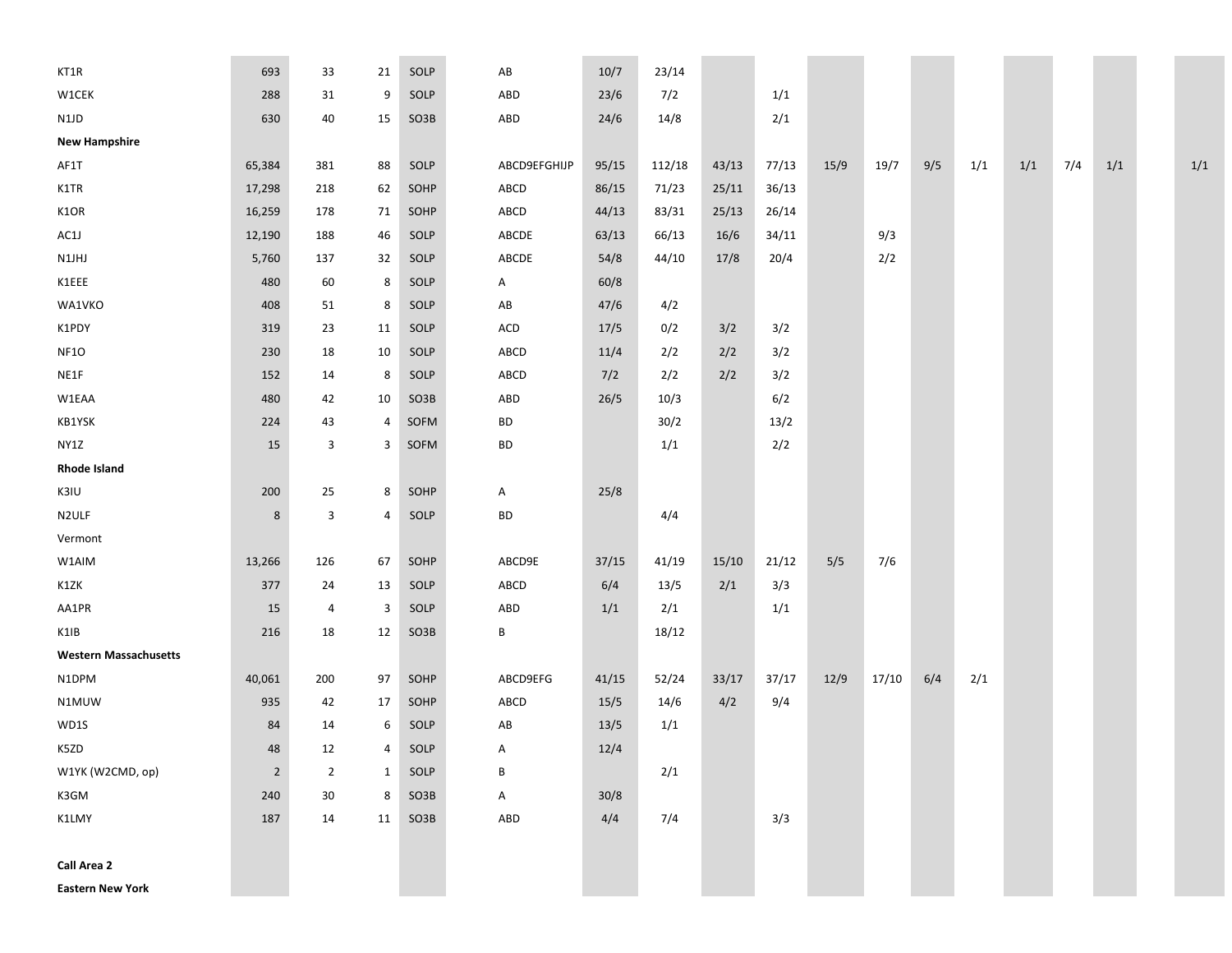| KT1R                         | 693            | 33             | 21           | SOLP | AB           | 10/7  | 23/14  |       |       |      |       |     |     |     |     |     |     |
|------------------------------|----------------|----------------|--------------|------|--------------|-------|--------|-------|-------|------|-------|-----|-----|-----|-----|-----|-----|
| W1CEK                        | 288            | 31             | 9            | SOLP | ABD          | 23/6  | 7/2    |       | 1/1   |      |       |     |     |     |     |     |     |
| N1JD                         | 630            | 40             | 15           | SO3B | ABD          | 24/6  | 14/8   |       | 2/1   |      |       |     |     |     |     |     |     |
| <b>New Hampshire</b>         |                |                |              |      |              |       |        |       |       |      |       |     |     |     |     |     |     |
| AF1T                         | 65,384         | 381            | 88           | SOLP | ABCD9EFGHIJP | 95/15 | 112/18 | 43/13 | 77/13 | 15/9 | 19/7  | 9/5 | 1/1 | 1/1 | 7/4 | 1/1 | 1/1 |
| K1TR                         | 17,298         | 218            | 62           | SOHP | ABCD         | 86/15 | 71/23  | 25/11 | 36/13 |      |       |     |     |     |     |     |     |
| K1OR                         | 16,259         | 178            | 71           | SOHP | ABCD         | 44/13 | 83/31  | 25/13 | 26/14 |      |       |     |     |     |     |     |     |
| AC1J                         | 12,190         | 188            | 46           | SOLP | ABCDE        | 63/13 | 66/13  | 16/6  | 34/11 |      | 9/3   |     |     |     |     |     |     |
| N1JHJ                        | 5,760          | 137            | 32           | SOLP | ABCDE        | 54/8  | 44/10  | 17/8  | 20/4  |      | 2/2   |     |     |     |     |     |     |
| K1EEE                        | 480            | 60             | 8            | SOLP | A            | 60/8  |        |       |       |      |       |     |     |     |     |     |     |
| WA1VKO                       | 408            | 51             | 8            | SOLP | AB           | 47/6  | 4/2    |       |       |      |       |     |     |     |     |     |     |
| K1PDY                        | 319            | 23             | 11           | SOLP | ACD          | 17/5  | 0/2    | 3/2   | 3/2   |      |       |     |     |     |     |     |     |
| NF1O                         | 230            | 18             | 10           | SOLP | ABCD         | 11/4  | 2/2    | 2/2   | 3/2   |      |       |     |     |     |     |     |     |
| NE1F                         | 152            | 14             | 8            | SOLP | ABCD         | 7/2   | 2/2    | 2/2   | 3/2   |      |       |     |     |     |     |     |     |
| W1EAA                        | 480            | 42             | 10           | SO3B | ABD          | 26/5  | 10/3   |       | 6/2   |      |       |     |     |     |     |     |     |
| KB1YSK                       | 224            | 43             | 4            | SOFM | BD           |       | 30/2   |       | 13/2  |      |       |     |     |     |     |     |     |
| NY1Z                         | 15             | 3              | 3            | SOFM | BD           |       | 1/1    |       | 2/2   |      |       |     |     |     |     |     |     |
| <b>Rhode Island</b>          |                |                |              |      |              |       |        |       |       |      |       |     |     |     |     |     |     |
| K3IU                         | 200            | 25             | 8            | SOHP | A            | 25/8  |        |       |       |      |       |     |     |     |     |     |     |
| N2ULF                        | 8              | 3              | 4            | SOLP | BD           |       | 4/4    |       |       |      |       |     |     |     |     |     |     |
| Vermont                      |                |                |              |      |              |       |        |       |       |      |       |     |     |     |     |     |     |
| W1AIM                        | 13,266         | 126            | 67           | SOHP | ABCD9E       | 37/15 | 41/19  | 15/10 | 21/12 | 5/5  | 7/6   |     |     |     |     |     |     |
| K1ZK                         | 377            | 24             | 13           | SOLP | ABCD         | 6/4   | 13/5   | 2/1   | 3/3   |      |       |     |     |     |     |     |     |
| AA1PR                        | 15             | 4              | 3            | SOLP | ABD          | 1/1   | 2/1    |       | 1/1   |      |       |     |     |     |     |     |     |
| K1IB                         | 216            | 18             | 12           | SO3B | В            |       | 18/12  |       |       |      |       |     |     |     |     |     |     |
| <b>Western Massachusetts</b> |                |                |              |      |              |       |        |       |       |      |       |     |     |     |     |     |     |
| N1DPM                        | 40,061         | 200            | 97           | SOHP | ABCD9EFG     | 41/15 | 52/24  | 33/17 | 37/17 | 12/9 | 17/10 | 6/4 | 2/1 |     |     |     |     |
| N1MUW                        | 935            | 42             | 17           | SOHP | ABCD         | 15/5  | 14/6   | 4/2   | 9/4   |      |       |     |     |     |     |     |     |
| WD1S                         | 84             | 14             | 6            | SOLP | AB           | 13/5  | 1/1    |       |       |      |       |     |     |     |     |     |     |
| K5ZD                         | 48             | 12             | 4            | SOLP | A            | 12/4  |        |       |       |      |       |     |     |     |     |     |     |
| W1YK (W2CMD, op)             | $\overline{2}$ | $\overline{2}$ | $\mathbf{1}$ | SOLP | В            |       | 2/1    |       |       |      |       |     |     |     |     |     |     |
| K3GM                         | 240            | 30             | 8            | SO3B | A            | 30/8  |        |       |       |      |       |     |     |     |     |     |     |
| K1LMY                        | 187            | 14             | 11           | SO3B | ABD          | 4/4   | 7/4    |       | 3/3   |      |       |     |     |     |     |     |     |
|                              |                |                |              |      |              |       |        |       |       |      |       |     |     |     |     |     |     |
| <b>Call Area 2</b>           |                |                |              |      |              |       |        |       |       |      |       |     |     |     |     |     |     |
| <b>Eastern New York</b>      |                |                |              |      |              |       |        |       |       |      |       |     |     |     |     |     |     |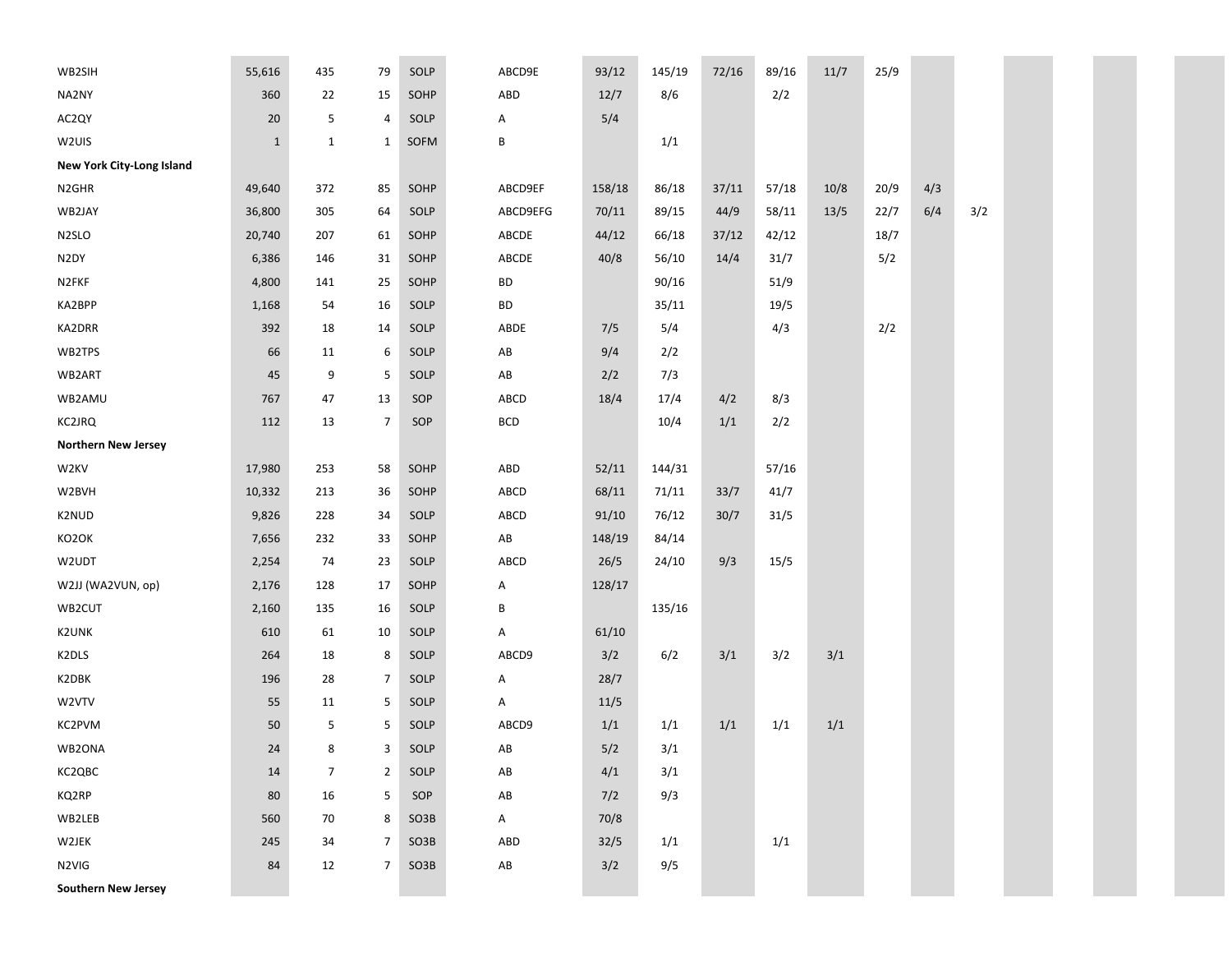| WB2SIH                           | 55,616       | 435            | 79             | SOLP | ABCD9E                 | 93/12  | 145/19 | 72/16 | 89/16 | 11/7  | 25/9 |     |     |  |
|----------------------------------|--------------|----------------|----------------|------|------------------------|--------|--------|-------|-------|-------|------|-----|-----|--|
| NA2NY                            | 360          | 22             | 15             | SOHP | ABD                    | 12/7   | 8/6    |       | 2/2   |       |      |     |     |  |
| AC2QY                            | 20           | 5              | $\overline{4}$ | SOLP | Α                      | 5/4    |        |       |       |       |      |     |     |  |
| W2UIS                            | $\mathbf{1}$ | $\mathbf 1$    | $\mathbf{1}$   | SOFM | В                      |        | 1/1    |       |       |       |      |     |     |  |
| <b>New York City-Long Island</b> |              |                |                |      |                        |        |        |       |       |       |      |     |     |  |
| N <sub>2GHR</sub>                | 49,640       | 372            | 85             | SOHP | ABCD9EF                | 158/18 | 86/18  | 37/11 | 57/18 | 10/8  | 20/9 | 4/3 |     |  |
| WB2JAY                           | 36,800       | 305            | 64             | SOLP | ABCD9EFG               | 70/11  | 89/15  | 44/9  | 58/11 | 13/5  | 22/7 | 6/4 | 3/2 |  |
| N <sub>2</sub> SLO               | 20,740       | 207            | 61             | SOHP | ABCDE                  | 44/12  | 66/18  | 37/12 | 42/12 |       | 18/7 |     |     |  |
| N <sub>2</sub> DY                | 6,386        | 146            | 31             | SOHP | ABCDE                  | 40/8   | 56/10  | 14/4  | 31/7  |       | 5/2  |     |     |  |
| N2FKF                            | 4,800        | 141            | 25             | SOHP | BD                     |        | 90/16  |       | 51/9  |       |      |     |     |  |
| KA2BPP                           | 1,168        | 54             | 16             | SOLP | BD                     |        | 35/11  |       | 19/5  |       |      |     |     |  |
| KA2DRR                           | 392          | 18             | 14             | SOLP | ABDE                   | 7/5    | 5/4    |       | 4/3   |       | 2/2  |     |     |  |
| WB2TPS                           | 66           | 11             | 6              | SOLP | $\mathsf{A}\mathsf{B}$ | 9/4    | 2/2    |       |       |       |      |     |     |  |
| WB2ART                           | 45           | 9              | 5              | SOLP | AB                     | 2/2    | 7/3    |       |       |       |      |     |     |  |
| WB2AMU                           | 767          | 47             | 13             | SOP  | ABCD                   | 18/4   | 17/4   | 4/2   | 8/3   |       |      |     |     |  |
| <b>KC2JRQ</b>                    | 112          | 13             | 7              | SOP  | <b>BCD</b>             |        | 10/4   | $1/1$ | 2/2   |       |      |     |     |  |
| <b>Northern New Jersey</b>       |              |                |                |      |                        |        |        |       |       |       |      |     |     |  |
| W <sub>2KV</sub>                 | 17,980       | 253            | 58             | SOHP | ABD                    | 52/11  | 144/31 |       | 57/16 |       |      |     |     |  |
| W2BVH                            | 10,332       | 213            | 36             | SOHP | ABCD                   | 68/11  | 71/11  | 33/7  | 41/7  |       |      |     |     |  |
| K2NUD                            | 9,826        | 228            | 34             | SOLP | ABCD                   | 91/10  | 76/12  | 30/7  | 31/5  |       |      |     |     |  |
| KO2OK                            | 7,656        | 232            | 33             | SOHP | ${\sf AB}$             | 148/19 | 84/14  |       |       |       |      |     |     |  |
| W2UDT                            | 2,254        | 74             | 23             | SOLP | ABCD                   | 26/5   | 24/10  | 9/3   | 15/5  |       |      |     |     |  |
| W2JJ (WA2VUN, op)                | 2,176        | 128            | 17             | SOHP | Α                      | 128/17 |        |       |       |       |      |     |     |  |
| WB2CUT                           | 2,160        | 135            | 16             | SOLP | В                      |        | 135/16 |       |       |       |      |     |     |  |
| <b>K2UNK</b>                     | 610          | 61             | 10             | SOLP | Α                      | 61/10  |        |       |       |       |      |     |     |  |
| K2DLS                            | 264          | 18             | 8              | SOLP | ABCD9                  | 3/2    | 6/2    | 3/1   | 3/2   | 3/1   |      |     |     |  |
| K2DBK                            | 196          | 28             | 7              | SOLP | A                      | 28/7   |        |       |       |       |      |     |     |  |
| W2VTV                            | 55           | 11             | 5              | SOLP | Α                      | 11/5   |        |       |       |       |      |     |     |  |
| KC2PVM                           | 50           | 5              | 5              | SOLP | ABCD9                  | 1/1    | 1/1    | 1/1   | 1/1   | $1/1$ |      |     |     |  |
| WB2ONA                           | 24           | 8              | 3              | SOLP | AB                     | 5/2    | 3/1    |       |       |       |      |     |     |  |
| KC2QBC                           | 14           | $\overline{7}$ | $\overline{2}$ | SOLP | AB                     | 4/1    | 3/1    |       |       |       |      |     |     |  |
| KQ2RP                            | 80           | 16             | 5              | SOP  | AB                     | 7/2    | 9/3    |       |       |       |      |     |     |  |
| WB2LEB                           | 560          | 70             | 8              | SO3B | $\mathsf{A}$           | 70/8   |        |       |       |       |      |     |     |  |
| W2JEK                            | 245          | 34             | $\overline{7}$ | SO3B | ABD                    | 32/5   | 1/1    |       | 1/1   |       |      |     |     |  |
| N2VIG                            | 84           | 12             | $\overline{7}$ | SO3B | $\mathsf{A}\mathsf{B}$ | 3/2    | 9/5    |       |       |       |      |     |     |  |
| <b>Southern New Jersey</b>       |              |                |                |      |                        |        |        |       |       |       |      |     |     |  |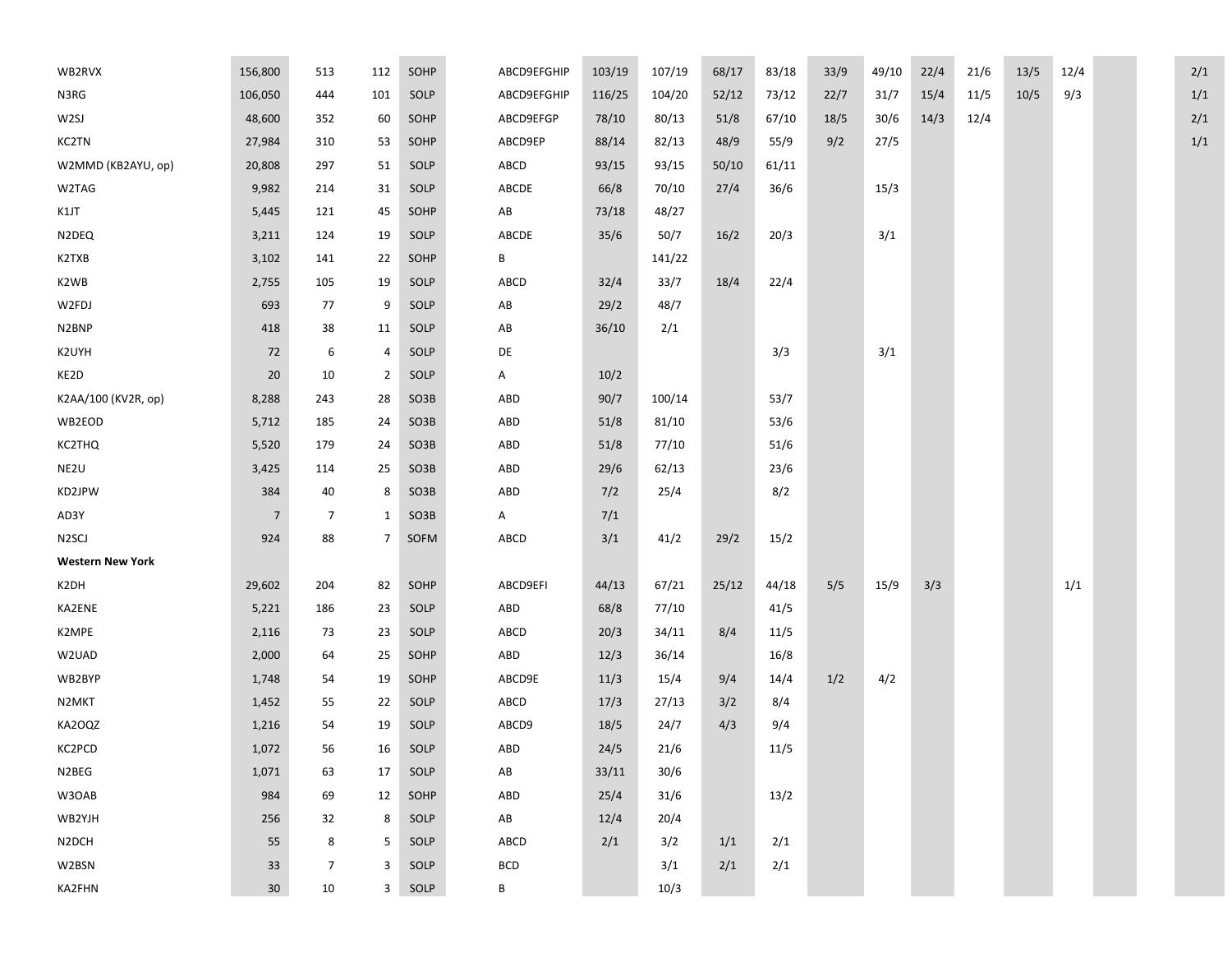| WB2RVX                  | 156,800         | 513            | 112            | SOHP   | ABCD9EFGHIP            | 103/19 | 107/19 | 68/17 | 83/18 | 33/9 | 49/10 | 22/4 | 21/6 | 13/5 | 12/4 |  | 2/1 |
|-------------------------|-----------------|----------------|----------------|--------|------------------------|--------|--------|-------|-------|------|-------|------|------|------|------|--|-----|
| N3RG                    | 106,050         | 444            | 101            | SOLP   | ABCD9EFGHIP            | 116/25 | 104/20 | 52/12 | 73/12 | 22/7 | 31/7  | 15/4 | 11/5 | 10/5 | 9/3  |  | 1/1 |
| W2SJ                    | 48,600          | 352            | 60             | SOHP   | ABCD9EFGP              | 78/10  | 80/13  | 51/8  | 67/10 | 18/5 | 30/6  | 14/3 | 12/4 |      |      |  | 2/1 |
| KC2TN                   | 27,984          | 310            | 53             | SOHP   | ABCD9EP                | 88/14  | 82/13  | 48/9  | 55/9  | 9/2  | 27/5  |      |      |      |      |  | 1/1 |
| W2MMD (KB2AYU, op)      | 20,808          | 297            | 51             | SOLP   | ABCD                   | 93/15  | 93/15  | 50/10 | 61/11 |      |       |      |      |      |      |  |     |
| W2TAG                   | 9,982           | 214            | 31             | SOLP   | ABCDE                  | 66/8   | 70/10  | 27/4  | 36/6  |      | 15/3  |      |      |      |      |  |     |
| K1JT                    | 5,445           | 121            | 45             | SOHP   | $\mathsf{A}\mathsf{B}$ | 73/18  | 48/27  |       |       |      |       |      |      |      |      |  |     |
| N2DEQ                   | 3,211           | 124            | 19             | SOLP   | ABCDE                  | 35/6   | 50/7   | 16/2  | 20/3  |      | 3/1   |      |      |      |      |  |     |
| K2TXB                   | 3,102           | 141            | 22             | SOHP   | В                      |        | 141/22 |       |       |      |       |      |      |      |      |  |     |
| K2WB                    | 2,755           | 105            | 19             | SOLP   | ABCD                   | 32/4   | 33/7   | 18/4  | 22/4  |      |       |      |      |      |      |  |     |
| W2FDJ                   | 693             | 77             | 9              | SOLP   | AB                     | 29/2   | 48/7   |       |       |      |       |      |      |      |      |  |     |
| N2BNP                   | 418             | 38             | 11             | SOLP   | AB                     | 36/10  | 2/1    |       |       |      |       |      |      |      |      |  |     |
| K2UYH                   | 72              | 6              | 4              | SOLP   | DE                     |        |        |       | 3/3   |      | 3/1   |      |      |      |      |  |     |
| KE2D                    | $20\,$          | 10             | $\overline{2}$ | SOLP   | A                      | 10/2   |        |       |       |      |       |      |      |      |      |  |     |
| K2AA/100 (KV2R, op)     | 8,288           | 243            | 28             | SO3B   | ABD                    | 90/7   | 100/14 |       | 53/7  |      |       |      |      |      |      |  |     |
| WB2EOD                  | 5,712           | 185            | 24             | SO3B   | ABD                    | 51/8   | 81/10  |       | 53/6  |      |       |      |      |      |      |  |     |
| KC2THQ                  | 5,520           | 179            | 24             | SO3B   | ABD                    | 51/8   | 77/10  |       | 51/6  |      |       |      |      |      |      |  |     |
| NE2U                    | 3,425           | 114            | 25             | SO3B   | ABD                    | 29/6   | 62/13  |       | 23/6  |      |       |      |      |      |      |  |     |
| KD2JPW                  | 384             | 40             | 8              | SO3B   | ABD                    | 7/2    | 25/4   |       | 8/2   |      |       |      |      |      |      |  |     |
| AD3Y                    | $\overline{7}$  | 7              | $\mathbf{1}$   | SO3B   | A                      | 7/1    |        |       |       |      |       |      |      |      |      |  |     |
| N <sub>2</sub> SCJ      | 924             | 88             | 7              | SOFM   | ABCD                   | 3/1    | 41/2   | 29/2  | 15/2  |      |       |      |      |      |      |  |     |
| <b>Western New York</b> |                 |                |                |        |                        |        |        |       |       |      |       |      |      |      |      |  |     |
| K2DH                    | 29,602          | 204            | 82             | SOHP   | ABCD9EFI               | 44/13  | 67/21  | 25/12 | 44/18 | 5/5  | 15/9  | 3/3  |      |      | 1/1  |  |     |
| KA2ENE                  | 5,221           | 186            | 23             | SOLP   | ABD                    | 68/8   | 77/10  |       | 41/5  |      |       |      |      |      |      |  |     |
| K2MPE                   | 2,116           | 73             | 23             | SOLP   | ABCD                   | 20/3   | 34/11  | 8/4   | 11/5  |      |       |      |      |      |      |  |     |
| W2UAD                   | 2,000           | 64             | 25             | SOHP   | ABD                    | 12/3   | 36/14  |       | 16/8  |      |       |      |      |      |      |  |     |
| WB2BYP                  | 1,748           | 54             | 19             | SOHP   | ABCD9E                 | 11/3   | 15/4   | 9/4   | 14/4  | 1/2  | 4/2   |      |      |      |      |  |     |
| N2MKT                   | 1,452           | 55             | 22             | SOLP   | ABCD                   | 17/3   | 27/13  | 3/2   | 8/4   |      |       |      |      |      |      |  |     |
| KA2OQZ                  | 1,216           | 54             | 19             | SOLP   | ABCD9                  | 18/5   | 24/7   | 4/3   | 9/4   |      |       |      |      |      |      |  |     |
| KC2PCD                  | 1,072           | 56             | 16             | SOLP   | ABD                    | 24/5   | 21/6   |       | 11/5  |      |       |      |      |      |      |  |     |
| N2BEG                   | 1,071           | 63             | 17             | SOLP   | $\mathsf{A}\mathsf{B}$ | 33/11  | 30/6   |       |       |      |       |      |      |      |      |  |     |
| W3OAB                   | 984             | 69             | 12             | SOHP   | ABD                    | 25/4   | 31/6   |       | 13/2  |      |       |      |      |      |      |  |     |
| WB2YJH                  | 256             | 32             | 8              | SOLP   | $\mathsf{A}\mathsf{B}$ | 12/4   | 20/4   |       |       |      |       |      |      |      |      |  |     |
| N2DCH                   | 55              | 8              | 5              | SOLP   | ABCD                   | 2/1    | 3/2    | 1/1   | 2/1   |      |       |      |      |      |      |  |     |
| W2BSN                   | 33              | $\overline{7}$ | 3              | SOLP   | $\sf BCD$              |        | 3/1    | 2/1   | 2/1   |      |       |      |      |      |      |  |     |
| KA2FHN                  | 30 <sup>°</sup> | 10             |                | 3 SOLP | B                      |        | 10/3   |       |       |      |       |      |      |      |      |  |     |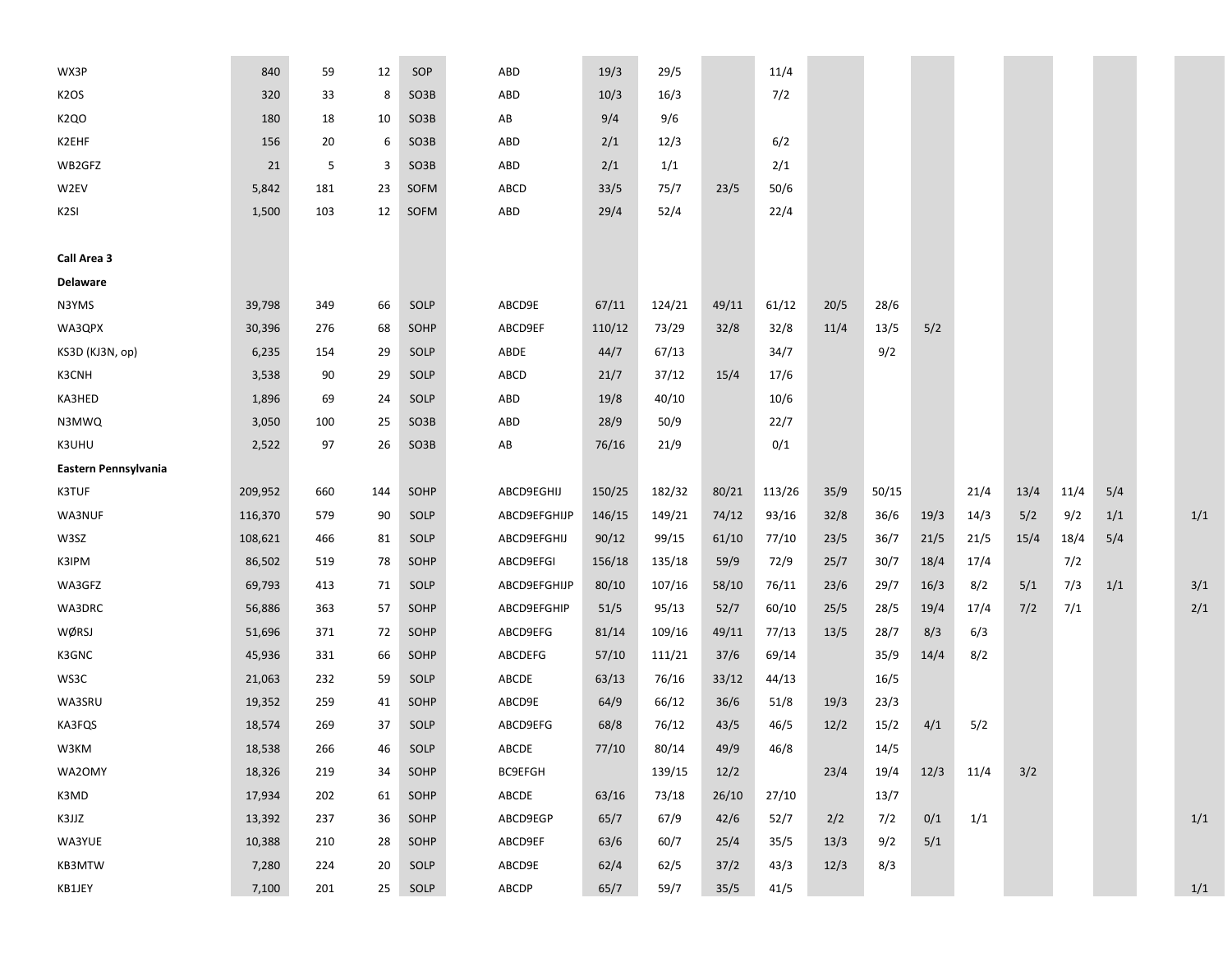| WX3P                 | 840     | 59  | 12  | SOP               | ABD                    | 19/3   | 29/5   |       | 11/4   |      |       |      |      |      |      |     |     |
|----------------------|---------|-----|-----|-------------------|------------------------|--------|--------|-------|--------|------|-------|------|------|------|------|-----|-----|
| K <sub>2</sub> OS    | 320     | 33  | 8   | SO3B              | ABD                    | 10/3   | 16/3   |       | 7/2    |      |       |      |      |      |      |     |     |
| <b>K2QO</b>          | 180     | 18  | 10  | SO <sub>3</sub> B | $\mathsf{A}\mathsf{B}$ | 9/4    | 9/6    |       |        |      |       |      |      |      |      |     |     |
| K2EHF                | 156     | 20  | 6   | SO3B              | ABD                    | 2/1    | 12/3   |       | 6/2    |      |       |      |      |      |      |     |     |
| WB2GFZ               | 21      | 5   | 3   | SO3B              | ABD                    | 2/1    | 1/1    |       | 2/1    |      |       |      |      |      |      |     |     |
| W2EV                 | 5,842   | 181 | 23  | SOFM              | ABCD                   | 33/5   | 75/7   | 23/5  | 50/6   |      |       |      |      |      |      |     |     |
| K <sub>2SI</sub>     | 1,500   | 103 | 12  | SOFM              | ABD                    | 29/4   | 52/4   |       | 22/4   |      |       |      |      |      |      |     |     |
|                      |         |     |     |                   |                        |        |        |       |        |      |       |      |      |      |      |     |     |
| Call Area 3          |         |     |     |                   |                        |        |        |       |        |      |       |      |      |      |      |     |     |
| <b>Delaware</b>      |         |     |     |                   |                        |        |        |       |        |      |       |      |      |      |      |     |     |
| N3YMS                | 39,798  | 349 | 66  | SOLP              | ABCD9E                 | 67/11  | 124/21 | 49/11 | 61/12  | 20/5 | 28/6  |      |      |      |      |     |     |
| WA3QPX               | 30,396  | 276 | 68  | SOHP              | ABCD9EF                | 110/12 | 73/29  | 32/8  | 32/8   | 11/4 | 13/5  | 5/2  |      |      |      |     |     |
| KS3D (KJ3N, op)      | 6,235   | 154 | 29  | SOLP              | ABDE                   | 44/7   | 67/13  |       | 34/7   |      | 9/2   |      |      |      |      |     |     |
| K3CNH                | 3,538   | 90  | 29  | SOLP              | ABCD                   | 21/7   | 37/12  | 15/4  | 17/6   |      |       |      |      |      |      |     |     |
| KA3HED               | 1,896   | 69  | 24  | SOLP              | ABD                    | 19/8   | 40/10  |       | 10/6   |      |       |      |      |      |      |     |     |
| N3MWQ                | 3,050   | 100 | 25  | SO3B              | ABD                    | 28/9   | 50/9   |       | 22/7   |      |       |      |      |      |      |     |     |
| K3UHU                | 2,522   | 97  | 26  | SO3B              | $\mathsf{A}\mathsf{B}$ | 76/16  | 21/9   |       | 0/1    |      |       |      |      |      |      |     |     |
| Eastern Pennsylvania |         |     |     |                   |                        |        |        |       |        |      |       |      |      |      |      |     |     |
| K3TUF                | 209,952 | 660 | 144 | SOHP              | ABCD9EGHIJ             | 150/25 | 182/32 | 80/21 | 113/26 | 35/9 | 50/15 |      | 21/4 | 13/4 | 11/4 | 5/4 |     |
| WA3NUF               | 116,370 | 579 | 90  | SOLP              | ABCD9EFGHIJP           | 146/15 | 149/21 | 74/12 | 93/16  | 32/8 | 36/6  | 19/3 | 14/3 | 5/2  | 9/2  | 1/1 | 1/1 |
| W3SZ                 | 108,621 | 466 | 81  | SOLP              | ABCD9EFGHIJ            | 90/12  | 99/15  | 61/10 | 77/10  | 23/5 | 36/7  | 21/5 | 21/5 | 15/4 | 18/4 | 5/4 |     |
| K3IPM                | 86,502  | 519 | 78  | SOHP              | ABCD9EFGI              | 156/18 | 135/18 | 59/9  | 72/9   | 25/7 | 30/7  | 18/4 | 17/4 |      | 7/2  |     |     |
| WA3GFZ               | 69,793  | 413 | 71  | SOLP              | ABCD9EFGHIJP           | 80/10  | 107/16 | 58/10 | 76/11  | 23/6 | 29/7  | 16/3 | 8/2  | 5/1  | 7/3  | 1/1 | 3/1 |
| WA3DRC               | 56,886  | 363 | 57  | SOHP              | ABCD9EFGHIP            | 51/5   | 95/13  | 52/7  | 60/10  | 25/5 | 28/5  | 19/4 | 17/4 | 7/2  | 7/1  |     | 2/1 |
| WØRSJ                | 51,696  | 371 | 72  | SOHP              | ABCD9EFG               | 81/14  | 109/16 | 49/11 | 77/13  | 13/5 | 28/7  | 8/3  | 6/3  |      |      |     |     |
| K3GNC                | 45,936  | 331 | 66  | SOHP              | ABCDEFG                | 57/10  | 111/21 | 37/6  | 69/14  |      | 35/9  | 14/4 | 8/2  |      |      |     |     |
| WS3C                 | 21,063  | 232 | 59  | SOLP              | ABCDE                  | 63/13  | 76/16  | 33/12 | 44/13  |      | 16/5  |      |      |      |      |     |     |
| WA3SRU               | 19,352  | 259 | 41  | SOHP              | ABCD9E                 | 64/9   | 66/12  | 36/6  | 51/8   | 19/3 | 23/3  |      |      |      |      |     |     |
| KA3FQS               | 18,574  | 269 | 37  | SOLP              | ABCD9EFG               | 68/8   | 76/12  | 43/5  | 46/5   | 12/2 | 15/2  | 4/1  | 5/2  |      |      |     |     |
| W3KM                 | 18,538  | 266 | 46  | SOLP              | ABCDE                  | 77/10  | 80/14  | 49/9  | 46/8   |      | 14/5  |      |      |      |      |     |     |
| WA2OMY               | 18,326  | 219 | 34  | SOHP              | <b>BC9EFGH</b>         |        | 139/15 | 12/2  |        | 23/4 | 19/4  | 12/3 | 11/4 | 3/2  |      |     |     |
| K3MD                 | 17,934  | 202 | 61  | SOHP              | ABCDE                  | 63/16  | 73/18  | 26/10 | 27/10  |      | 13/7  |      |      |      |      |     |     |
| K3JJZ                | 13,392  | 237 | 36  | SOHP              | ABCD9EGP               | 65/7   | 67/9   | 42/6  | 52/7   | 2/2  | 7/2   | 0/1  | 1/1  |      |      |     | 1/1 |
| WA3YUE               | 10,388  | 210 | 28  | SOHP              | ABCD9EF                | 63/6   | 60/7   | 25/4  | 35/5   | 13/3 | 9/2   | 5/1  |      |      |      |     |     |
| KB3MTW               | 7,280   | 224 | 20  | SOLP              | ABCD9E                 | 62/4   | 62/5   | 37/2  | 43/3   | 12/3 | 8/3   |      |      |      |      |     |     |
| KB1JEY               | 7,100   | 201 | 25  | SOLP              | ABCDP                  | 65/7   | 59/7   | 35/5  | 41/5   |      |       |      |      |      |      |     | 1/1 |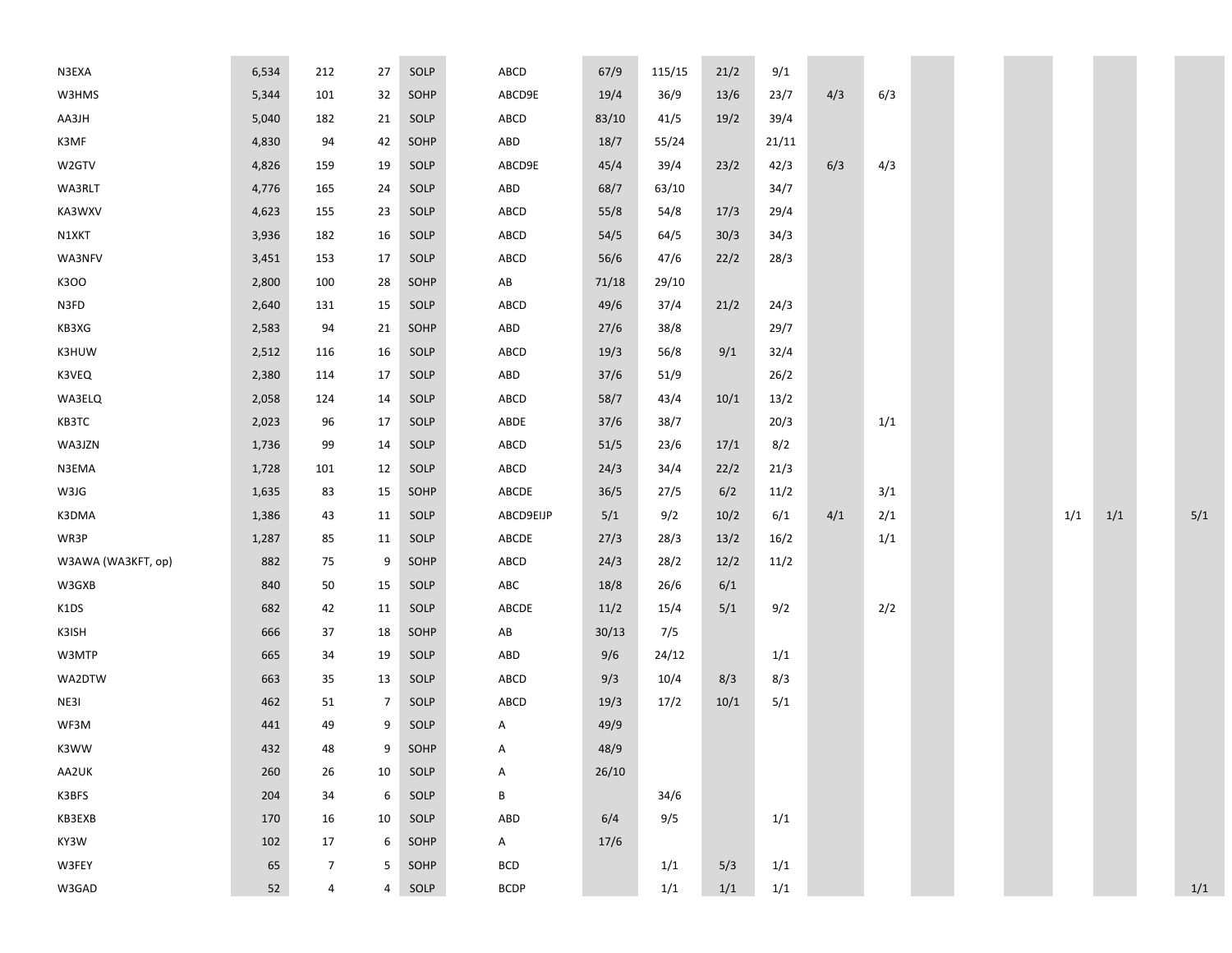| N3EXA              | 6,534  | 212            | 27             | SOLP | ABCD         | 67/9  | 115/15 | 21/2 | 9/1   |     |     |  |     |     |     |
|--------------------|--------|----------------|----------------|------|--------------|-------|--------|------|-------|-----|-----|--|-----|-----|-----|
| W3HMS              | 5,344  | 101            | 32             | SOHP | ABCD9E       | 19/4  | 36/9   | 13/6 | 23/7  | 4/3 | 6/3 |  |     |     |     |
| AA3JH              | 5,040  | 182            | 21             | SOLP | ABCD         | 83/10 | 41/5   | 19/2 | 39/4  |     |     |  |     |     |     |
| K3MF               | 4,830  | 94             | 42             | SOHP | ABD          | 18/7  | 55/24  |      | 21/11 |     |     |  |     |     |     |
| W2GTV              | 4,826  | 159            | 19             | SOLP | ABCD9E       | 45/4  | 39/4   | 23/2 | 42/3  | 6/3 | 4/3 |  |     |     |     |
| WA3RLT             | 4,776  | 165            | 24             | SOLP | ABD          | 68/7  | 63/10  |      | 34/7  |     |     |  |     |     |     |
| KA3WXV             | 4,623  | 155            | 23             | SOLP | ABCD         | 55/8  | 54/8   | 17/3 | 29/4  |     |     |  |     |     |     |
| N1XKT              | 3,936  | 182            | 16             | SOLP | ABCD         | 54/5  | 64/5   | 30/3 | 34/3  |     |     |  |     |     |     |
| WA3NFV             | 3,451  | 153            | 17             | SOLP | ABCD         | 56/6  | 47/6   | 22/2 | 28/3  |     |     |  |     |     |     |
| K300               | 2,800  | 100            | 28             | SOHP | AB           | 71/18 | 29/10  |      |       |     |     |  |     |     |     |
| N3FD               | 2,640  | 131            | 15             | SOLP | ABCD         | 49/6  | 37/4   | 21/2 | 24/3  |     |     |  |     |     |     |
| KB3XG              | 2,583  | 94             | 21             | SOHP | ABD          | 27/6  | 38/8   |      | 29/7  |     |     |  |     |     |     |
| K3HUW              | 2,512  | 116            | 16             | SOLP | ABCD         | 19/3  | 56/8   | 9/1  | 32/4  |     |     |  |     |     |     |
| K3VEQ              | 2,380  | 114            | 17             | SOLP | ABD          | 37/6  | 51/9   |      | 26/2  |     |     |  |     |     |     |
| WA3ELQ             | 2,058  | 124            | 14             | SOLP | ABCD         | 58/7  | 43/4   | 10/1 | 13/2  |     |     |  |     |     |     |
| KB3TC              | 2,023  | 96             | 17             | SOLP | ABDE         | 37/6  | 38/7   |      | 20/3  |     | 1/1 |  |     |     |     |
| WA3JZN             | 1,736  | 99             | 14             | SOLP | ABCD         | 51/5  | 23/6   | 17/1 | 8/2   |     |     |  |     |     |     |
| N3EMA              | 1,728  | 101            | 12             | SOLP | ABCD         | 24/3  | 34/4   | 22/2 | 21/3  |     |     |  |     |     |     |
| W3JG               | 1,635  | 83             | 15             | SOHP | ABCDE        | 36/5  | 27/5   | 6/2  | 11/2  |     | 3/1 |  |     |     |     |
| K3DMA              | 1,386  | 43             | 11             | SOLP | ABCD9EIJP    | 5/1   | 9/2    | 10/2 | 6/1   | 4/1 | 2/1 |  | 1/1 | 1/1 | 5/1 |
| WR3P               | 1,287  | 85             | 11             | SOLP | ABCDE        | 27/3  | 28/3   | 13/2 | 16/2  |     | 1/1 |  |     |     |     |
| W3AWA (WA3KFT, op) | 882    | 75             | 9              | SOHP | ABCD         | 24/3  | 28/2   | 12/2 | 11/2  |     |     |  |     |     |     |
| W3GXB              | 840    | 50             | 15             | SOLP | ABC          | 18/8  | 26/6   | 6/1  |       |     |     |  |     |     |     |
| K1DS               | 682    | 42             | 11             | SOLP | ABCDE        | 11/2  | 15/4   | 5/1  | 9/2   |     | 2/2 |  |     |     |     |
| K3ISH              | 666    | 37             | 18             | SOHP | AB           | 30/13 | 7/5    |      |       |     |     |  |     |     |     |
| W3MTP              | 665    | 34             | 19             | SOLP | ABD          | 9/6   | 24/12  |      | 1/1   |     |     |  |     |     |     |
| WA2DTW             | 663    | 35             | 13             | SOLP | ABCD         | 9/3   | 10/4   | 8/3  | 8/3   |     |     |  |     |     |     |
| NE3I               | 462    | 51             | 7              | SOLP | ABCD         | 19/3  | 17/2   | 10/1 | 5/1   |     |     |  |     |     |     |
| WF3M               | 441    | 49             | 9              | SOLP | Α            | 49/9  |        |      |       |     |     |  |     |     |     |
| K3WW               | 432    | 48             | 9              | SOHP | Α            | 48/9  |        |      |       |     |     |  |     |     |     |
| AA2UK              | 260    | 26             | 10             | SOLP | A            | 26/10 |        |      |       |     |     |  |     |     |     |
| K3BFS              | 204    | 34             | 6              | SOLP | B            |       | 34/6   |      |       |     |     |  |     |     |     |
| KB3EXB             | 170    | 16             | 10             | SOLP | ABD          | 6/4   | 9/5    |      | 1/1   |     |     |  |     |     |     |
| KY3W               | 102    | 17             | 6              | SOHP | $\mathsf{A}$ | 17/6  |        |      |       |     |     |  |     |     |     |
| W3FEY              | 65     | $\overline{7}$ | 5              | SOHP | <b>BCD</b>   |       | 1/1    | 5/3  | 1/1   |     |     |  |     |     |     |
| W3GAD              | $52\,$ | $\overline{a}$ | $\overline{4}$ | SOLP | BCDP         |       | 1/1    | 1/1  | 1/1   |     |     |  |     |     | 1/1 |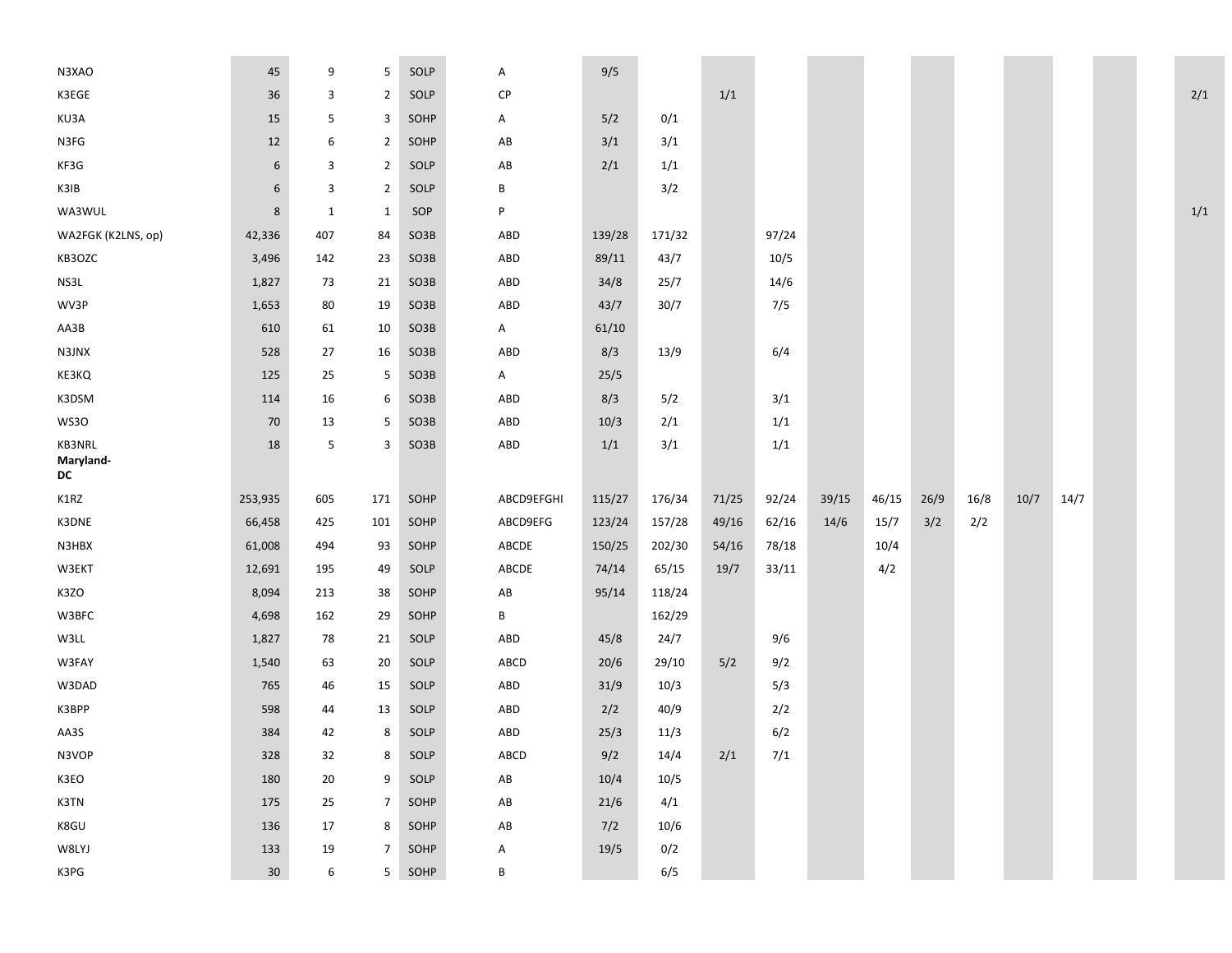| N3XAO                     | 45              | 9            | 5              | SOLP   | Α                      | 9/5    |        |       |       |       |       |      |      |      |      |  |     |
|---------------------------|-----------------|--------------|----------------|--------|------------------------|--------|--------|-------|-------|-------|-------|------|------|------|------|--|-----|
| K3EGE                     | 36              | 3            | $\overline{2}$ | SOLP   | CP                     |        |        | 1/1   |       |       |       |      |      |      |      |  | 2/1 |
| KU3A                      | 15              | 5            | 3              | SOHP   | A                      | 5/2    | 0/1    |       |       |       |       |      |      |      |      |  |     |
| N3FG                      | 12              | 6            | $\overline{2}$ | SOHP   | AB                     | 3/1    | 3/1    |       |       |       |       |      |      |      |      |  |     |
| KF3G                      | 6               | 3            | $\overline{2}$ | SOLP   | $\mathsf{A}\mathsf{B}$ | 2/1    | 1/1    |       |       |       |       |      |      |      |      |  |     |
| K3IB                      | 6               | 3            | $\overline{2}$ | SOLP   | B                      |        | 3/2    |       |       |       |       |      |      |      |      |  |     |
| WA3WUL                    | $\bf 8$         | $\mathbf{1}$ | $\mathbf{1}$   | SOP    | P                      |        |        |       |       |       |       |      |      |      |      |  | 1/1 |
| WA2FGK (K2LNS, op)        | 42,336          | 407          | 84             | SO3B   | ABD                    | 139/28 | 171/32 |       | 97/24 |       |       |      |      |      |      |  |     |
| KB3OZC                    | 3,496           | 142          | 23             | SO3B   | ABD                    | 89/11  | 43/7   |       | 10/5  |       |       |      |      |      |      |  |     |
| NS3L                      | 1,827           | 73           | 21             | SO3B   | ABD                    | 34/8   | 25/7   |       | 14/6  |       |       |      |      |      |      |  |     |
| WV3P                      | 1,653           | 80           | 19             | SO3B   | ABD                    | 43/7   | 30/7   |       | 7/5   |       |       |      |      |      |      |  |     |
| AA3B                      | 610             | 61           | 10             | SO3B   | A                      | 61/10  |        |       |       |       |       |      |      |      |      |  |     |
| N3JNX                     | 528             | 27           | 16             | SO3B   | ABD                    | 8/3    | 13/9   |       | 6/4   |       |       |      |      |      |      |  |     |
| KE3KQ                     | 125             | 25           | 5              | SO3B   | A                      | 25/5   |        |       |       |       |       |      |      |      |      |  |     |
| K3DSM                     | 114             | 16           | 6              | SO3B   | ABD                    | 8/3    | 5/2    |       | 3/1   |       |       |      |      |      |      |  |     |
| WS3O                      | 70              | 13           | 5              | SO3B   | ABD                    | 10/3   | 2/1    |       | 1/1   |       |       |      |      |      |      |  |     |
| KB3NRL<br>Maryland-<br>DC | 18              | 5            | 3              | SO3B   | ABD                    | 1/1    | 3/1    |       | 1/1   |       |       |      |      |      |      |  |     |
| K1RZ                      | 253,935         | 605          | 171            | SOHP   | ABCD9EFGHI             | 115/27 | 176/34 | 71/25 | 92/24 | 39/15 | 46/15 | 26/9 | 16/8 | 10/7 | 14/7 |  |     |
| K3DNE                     | 66,458          | 425          | 101            | SOHP   | ABCD9EFG               | 123/24 | 157/28 | 49/16 | 62/16 | 14/6  | 15/7  | 3/2  | 2/2  |      |      |  |     |
| N3HBX                     | 61,008          | 494          | 93             | SOHP   | ABCDE                  | 150/25 | 202/30 | 54/16 | 78/18 |       | 10/4  |      |      |      |      |  |     |
| W3EKT                     | 12,691          | 195          | 49             | SOLP   | ABCDE                  | 74/14  | 65/15  | 19/7  | 33/11 |       | 4/2   |      |      |      |      |  |     |
| K3ZO                      | 8,094           | 213          | 38             | SOHP   | AB                     | 95/14  | 118/24 |       |       |       |       |      |      |      |      |  |     |
| W3BFC                     | 4,698           | 162          | 29             | SOHP   | В                      |        | 162/29 |       |       |       |       |      |      |      |      |  |     |
| W3LL                      | 1,827           | 78           | 21             | SOLP   | ABD                    | 45/8   | 24/7   |       | 9/6   |       |       |      |      |      |      |  |     |
| W3FAY                     | 1,540           | 63           | 20             | SOLP   | ABCD                   | 20/6   | 29/10  | 5/2   | 9/2   |       |       |      |      |      |      |  |     |
| W3DAD                     | 765             | 46           | 15             | SOLP   | ABD                    | 31/9   | 10/3   |       | 5/3   |       |       |      |      |      |      |  |     |
| K3BPP                     | 598             | 44           | 13             | SOLP   | ABD                    | 2/2    | 40/9   |       | 2/2   |       |       |      |      |      |      |  |     |
| AA3S                      | 384             | 42           | 8              | SOLP   | ABD                    | 25/3   | 11/3   |       | 6/2   |       |       |      |      |      |      |  |     |
| N3VOP                     | 328             | 32           | 8              | SOLP   | ${\sf ABCD}$           | 9/2    | 14/4   | 2/1   | 7/1   |       |       |      |      |      |      |  |     |
| K3EO                      | 180             | 20           | 9              | SOLP   | AB                     | 10/4   | 10/5   |       |       |       |       |      |      |      |      |  |     |
| K3TN                      | 175             | 25           | $\overline{7}$ | SOHP   | $\mathsf{A}\mathsf{B}$ | 21/6   | 4/1    |       |       |       |       |      |      |      |      |  |     |
| K8GU                      | 136             | 17           | 8              | SOHP   | $\mathsf{A}\mathsf{B}$ | 7/2    | 10/6   |       |       |       |       |      |      |      |      |  |     |
| W8LYJ                     | 133             | 19           | $\overline{7}$ | SOHP   | A                      | 19/5   | 0/2    |       |       |       |       |      |      |      |      |  |     |
| K3PG                      | 30 <sup>°</sup> | 6            |                | 5 SOHP | B                      |        | 6/5    |       |       |       |       |      |      |      |      |  |     |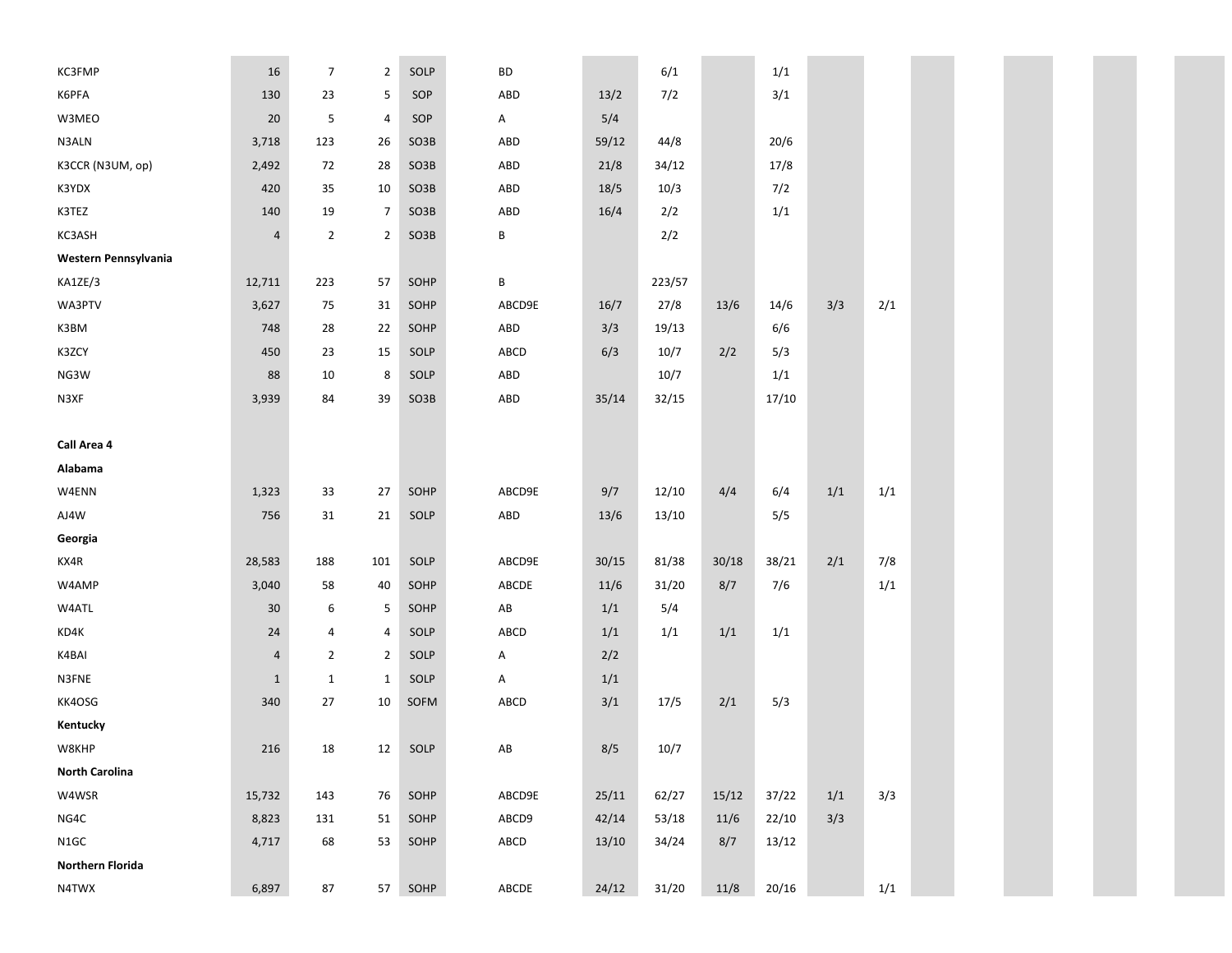| KC3FMP                  | 16             | $\overline{7}$ | $\overline{2}$ | SOLP | <b>BD</b>              |       | 6/1    |       | 1/1   |     |     |  |  |  |  |
|-------------------------|----------------|----------------|----------------|------|------------------------|-------|--------|-------|-------|-----|-----|--|--|--|--|
| K6PFA                   | 130            | 23             | 5              | SOP  | ABD                    | 13/2  | 7/2    |       | 3/1   |     |     |  |  |  |  |
| W3MEO                   | 20             | 5              | $\overline{a}$ | SOP  | A                      | 5/4   |        |       |       |     |     |  |  |  |  |
| N3ALN                   | 3,718          | 123            | 26             | SO3B | ABD                    | 59/12 | 44/8   |       | 20/6  |     |     |  |  |  |  |
| K3CCR (N3UM, op)        | 2,492          | 72             | 28             | SO3B | ABD                    | 21/8  | 34/12  |       | 17/8  |     |     |  |  |  |  |
| K3YDX                   | 420            | 35             | 10             | SO3B | ABD                    | 18/5  | 10/3   |       | 7/2   |     |     |  |  |  |  |
| K3TEZ                   | 140            | 19             | $\overline{7}$ | SO3B | ABD                    | 16/4  | 2/2    |       | 1/1   |     |     |  |  |  |  |
| KC3ASH                  | $\overline{a}$ | $\overline{2}$ | $\overline{2}$ | SO3B | B                      |       | 2/2    |       |       |     |     |  |  |  |  |
| Western Pennsylvania    |                |                |                |      |                        |       |        |       |       |     |     |  |  |  |  |
| KA1ZE/3                 | 12,711         | 223            | 57             | SOHP | В                      |       | 223/57 |       |       |     |     |  |  |  |  |
| WA3PTV                  | 3,627          | 75             | 31             | SOHP | ABCD9E                 | 16/7  | 27/8   | 13/6  | 14/6  | 3/3 | 2/1 |  |  |  |  |
| K3BM                    | 748            | 28             | 22             | SOHP | ABD                    | 3/3   | 19/13  |       | 6/6   |     |     |  |  |  |  |
| K3ZCY                   | 450            | 23             | 15             | SOLP | ABCD                   | 6/3   | 10/7   | 2/2   | 5/3   |     |     |  |  |  |  |
| NG3W                    | 88             | 10             | 8              | SOLP | ABD                    |       | 10/7   |       | 1/1   |     |     |  |  |  |  |
| N3XF                    | 3,939          | 84             | 39             | SO3B | ABD                    | 35/14 | 32/15  |       | 17/10 |     |     |  |  |  |  |
|                         |                |                |                |      |                        |       |        |       |       |     |     |  |  |  |  |
| Call Area 4             |                |                |                |      |                        |       |        |       |       |     |     |  |  |  |  |
| Alabama                 |                |                |                |      |                        |       |        |       |       |     |     |  |  |  |  |
| W4ENN                   | 1,323          | 33             | 27             | SOHP | ABCD9E                 | 9/7   | 12/10  | 4/4   | 6/4   | 1/1 | 1/1 |  |  |  |  |
| AJ4W                    | 756            | 31             | 21             | SOLP | ABD                    | 13/6  | 13/10  |       | 5/5   |     |     |  |  |  |  |
| Georgia                 |                |                |                |      |                        |       |        |       |       |     |     |  |  |  |  |
| KX4R                    | 28,583         | 188            | 101            | SOLP | ABCD9E                 | 30/15 | 81/38  | 30/18 | 38/21 | 2/1 | 7/8 |  |  |  |  |
| W4AMP                   | 3,040          | 58             | 40             | SOHP | ABCDE                  | 11/6  | 31/20  | 8/7   | 7/6   |     | 1/1 |  |  |  |  |
| W4ATL                   | 30             | 6              | 5              | SOHP | AB                     | 1/1   | 5/4    |       |       |     |     |  |  |  |  |
| KD4K                    | 24             | 4              | $\overline{a}$ | SOLP | ABCD                   | 1/1   | 1/1    | 1/1   | 1/1   |     |     |  |  |  |  |
| K4BAI                   | $\overline{a}$ | $\overline{2}$ | $\overline{2}$ | SOLP | Α                      | 2/2   |        |       |       |     |     |  |  |  |  |
| N3FNE                   | $\mathbf{1}$   | $\mathbf{1}$   | $\mathbf{1}$   | SOLP | A                      | 1/1   |        |       |       |     |     |  |  |  |  |
| KK4OSG                  | 340            | 27             | 10             | SOFM | ABCD                   | 3/1   | 17/5   | 2/1   | 5/3   |     |     |  |  |  |  |
| Kentucky                |                |                |                |      |                        |       |        |       |       |     |     |  |  |  |  |
| W8KHP                   | 216            | 18             | 12             | SOLP | $\mathsf{A}\mathsf{B}$ | 8/5   | 10/7   |       |       |     |     |  |  |  |  |
| <b>North Carolina</b>   |                |                |                |      |                        |       |        |       |       |     |     |  |  |  |  |
| W4WSR                   | 15,732         | 143            | 76             | SOHP | ABCD9E                 | 25/11 | 62/27  | 15/12 | 37/22 | 1/1 | 3/3 |  |  |  |  |
| NG4C                    | 8,823          | 131            | 51             | SOHP | ABCD9                  | 42/14 | 53/18  | 11/6  | 22/10 | 3/3 |     |  |  |  |  |
| N1GC                    | 4,717          | 68             | 53             | SOHP | ABCD                   | 13/10 | 34/24  | 8/7   | 13/12 |     |     |  |  |  |  |
| <b>Northern Florida</b> |                |                |                |      |                        |       |        |       |       |     |     |  |  |  |  |
| N4TWX                   | 6,897          | 87             | 57             | SOHP | ABCDE                  | 24/12 | 31/20  | 11/8  | 20/16 |     | 1/1 |  |  |  |  |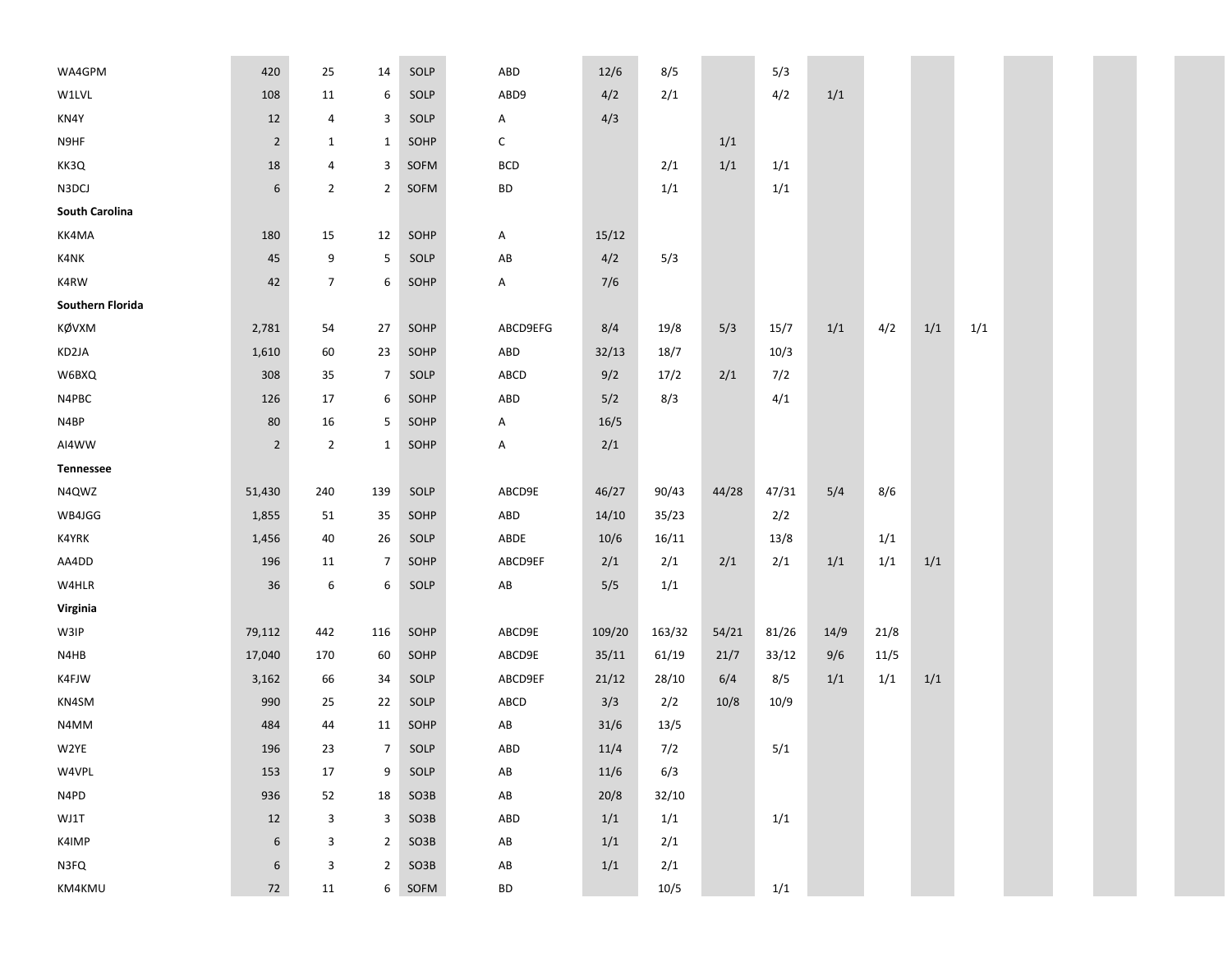| WA4GPM                  | 420              | 25             | 14             | SOLP | ABD                    | 12/6   | 8/5    |       | 5/3   |       |      |     |     |  |
|-------------------------|------------------|----------------|----------------|------|------------------------|--------|--------|-------|-------|-------|------|-----|-----|--|
| W1LVL                   | 108              | 11             | 6              | SOLP | ABD9                   | 4/2    | 2/1    |       | 4/2   | $1/1$ |      |     |     |  |
| KN4Y                    | 12               | 4              | 3              | SOLP | Α                      | 4/3    |        |       |       |       |      |     |     |  |
| N9HF                    | $\mathbf 2$      | $\mathbf{1}$   | $\mathbf{1}$   | SOHP | С                      |        |        | 1/1   |       |       |      |     |     |  |
| KK3Q                    | 18               | $\overline{a}$ | 3              | SOFM | <b>BCD</b>             |        | 2/1    | 1/1   | 1/1   |       |      |     |     |  |
| N3DCJ                   | 6                | $\overline{2}$ | $\overline{2}$ | SOFM | <b>BD</b>              |        | 1/1    |       | 1/1   |       |      |     |     |  |
| South Carolina          |                  |                |                |      |                        |        |        |       |       |       |      |     |     |  |
| KK4MA                   | 180              | 15             | 12             | SOHP | Α                      | 15/12  |        |       |       |       |      |     |     |  |
| K4NK                    | 45               | 9              | 5              | SOLP | AB                     | 4/2    | 5/3    |       |       |       |      |     |     |  |
| K4RW                    | 42               | $\overline{7}$ | 6              | SOHP | Α                      | 7/6    |        |       |       |       |      |     |     |  |
| <b>Southern Florida</b> |                  |                |                |      |                        |        |        |       |       |       |      |     |     |  |
| KØVXM                   | 2,781            | 54             | 27             | SOHP | ABCD9EFG               | 8/4    | 19/8   | 5/3   | 15/7  | 1/1   | 4/2  | 1/1 | 1/1 |  |
| KD2JA                   | 1,610            | 60             | 23             | SOHP | ABD                    | 32/13  | 18/7   |       | 10/3  |       |      |     |     |  |
| W6BXQ                   | 308              | 35             | $\overline{7}$ | SOLP | ABCD                   | 9/2    | 17/2   | 2/1   | 7/2   |       |      |     |     |  |
| N4PBC                   | 126              | 17             | 6              | SOHP | ABD                    | 5/2    | 8/3    |       | 4/1   |       |      |     |     |  |
| N4BP                    | 80               | 16             | 5              | SOHP | Α                      | 16/5   |        |       |       |       |      |     |     |  |
| AI4WW                   | $\overline{2}$   | $\overline{2}$ | $\mathbf{1}$   | SOHP | А                      | 2/1    |        |       |       |       |      |     |     |  |
| Tennessee               |                  |                |                |      |                        |        |        |       |       |       |      |     |     |  |
| N4QWZ                   | 51,430           | 240            | 139            | SOLP | ABCD9E                 | 46/27  | 90/43  | 44/28 | 47/31 | 5/4   | 8/6  |     |     |  |
| WB4JGG                  | 1,855            | 51             | 35             | SOHP | ABD                    | 14/10  | 35/23  |       | 2/2   |       |      |     |     |  |
| K4YRK                   | 1,456            | 40             | 26             | SOLP | ABDE                   | 10/6   | 16/11  |       | 13/8  |       | 1/1  |     |     |  |
| AA4DD                   | 196              | 11             | $\overline{7}$ | SOHP | ABCD9EF                | 2/1    | 2/1    | 2/1   | 2/1   | 1/1   | 1/1  | 1/1 |     |  |
| W4HLR                   | 36               | 6              | 6              | SOLP | AB                     | 5/5    | 1/1    |       |       |       |      |     |     |  |
| Virginia                |                  |                |                |      |                        |        |        |       |       |       |      |     |     |  |
| W3IP                    | 79,112           | 442            | 116            | SOHP | ABCD9E                 | 109/20 | 163/32 | 54/21 | 81/26 | 14/9  | 21/8 |     |     |  |
| N4HB                    | 17,040           | 170            | 60             | SOHP | ABCD9E                 | 35/11  | 61/19  | 21/7  | 33/12 | 9/6   | 11/5 |     |     |  |
| K4FJW                   | 3,162            | 66             | 34             | SOLP | ABCD9EF                | 21/12  | 28/10  | 6/4   | 8/5   | 1/1   | 1/1  | 1/1 |     |  |
| KN4SM                   | 990              | 25             | 22             | SOLP | ABCD                   | 3/3    | 2/2    | 10/8  | 10/9  |       |      |     |     |  |
| N4MM                    | 484              | 44             | 11             | SOHP | $\mathsf{A}\mathsf{B}$ | 31/6   | 13/5   |       |       |       |      |     |     |  |
| W2YE                    | 196              | 23             | $\overline{7}$ | SOLP | ABD                    | 11/4   | 7/2    |       | 5/1   |       |      |     |     |  |
| W4VPL                   | 153              | 17             | 9              | SOLP | $\mathsf{A}\mathsf{B}$ | 11/6   | 6/3    |       |       |       |      |     |     |  |
| N4PD                    | 936              | 52             | 18             | SO3B | $\mathsf{A}\mathsf{B}$ | 20/8   | 32/10  |       |       |       |      |     |     |  |
| WJ1T                    | 12               | 3              | 3              | SO3B | ABD                    | 1/1    | 1/1    |       | 1/1   |       |      |     |     |  |
| K4IMP                   | 6                | 3              | $\overline{2}$ | SO3B | $\mathsf{A}\mathsf{B}$ | 1/1    | 2/1    |       |       |       |      |     |     |  |
| N3FQ                    | $\boldsymbol{6}$ | 3              | $\overline{2}$ | SO3B | $\mathsf{A}\mathsf{B}$ | 1/1    | 2/1    |       |       |       |      |     |     |  |
| KM4KMU                  | 72               | 11             | 6              | SOFM | <b>BD</b>              |        | 10/5   |       | 1/1   |       |      |     |     |  |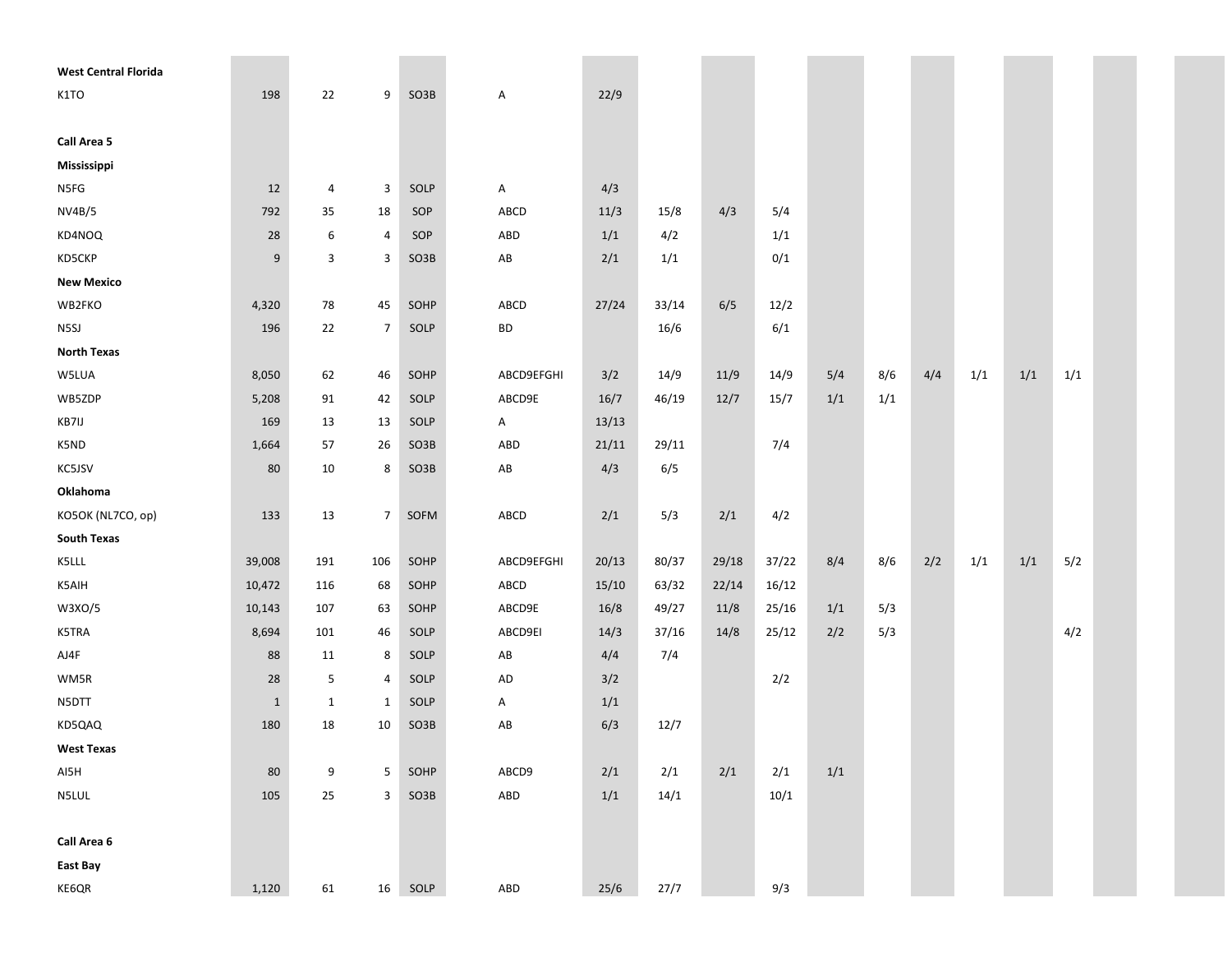| <b>West Central Florida</b> |              |              |                |      |                        |       |       |       |       |       |     |     |     |     |     |  |
|-----------------------------|--------------|--------------|----------------|------|------------------------|-------|-------|-------|-------|-------|-----|-----|-----|-----|-----|--|
| K1TO                        | 198          | 22           | 9              | SO3B | Α                      | 22/9  |       |       |       |       |     |     |     |     |     |  |
|                             |              |              |                |      |                        |       |       |       |       |       |     |     |     |     |     |  |
| Call Area 5                 |              |              |                |      |                        |       |       |       |       |       |     |     |     |     |     |  |
| Mississippi                 |              |              |                |      |                        |       |       |       |       |       |     |     |     |     |     |  |
| N5FG                        | 12           | 4            | 3              | SOLP | Α                      | 4/3   |       |       |       |       |     |     |     |     |     |  |
| <b>NV4B/5</b>               | 792          | 35           | 18             | SOP  | ABCD                   | 11/3  | 15/8  | 4/3   | 5/4   |       |     |     |     |     |     |  |
| KD4NOQ                      | 28           | 6            | 4              | SOP  | ABD                    | 1/1   | 4/2   |       | 1/1   |       |     |     |     |     |     |  |
| KD5CKP                      | 9            | 3            | 3              | SO3B | $\mathsf{A}\mathsf{B}$ | 2/1   | 1/1   |       | 0/1   |       |     |     |     |     |     |  |
| <b>New Mexico</b>           |              |              |                |      |                        |       |       |       |       |       |     |     |     |     |     |  |
| WB2FKO                      | 4,320        | 78           | 45             | SOHP | ABCD                   | 27/24 | 33/14 | 6/5   | 12/2  |       |     |     |     |     |     |  |
| N5SJ                        | 196          | 22           | $\overline{7}$ | SOLP | BD                     |       | 16/6  |       | 6/1   |       |     |     |     |     |     |  |
| <b>North Texas</b>          |              |              |                |      |                        |       |       |       |       |       |     |     |     |     |     |  |
| W5LUA                       | 8,050        | 62           | 46             | SOHP | ABCD9EFGHI             | 3/2   | 14/9  | 11/9  | 14/9  | 5/4   | 8/6 | 4/4 | 1/1 | 1/1 | 1/1 |  |
| WB5ZDP                      | 5,208        | 91           | 42             | SOLP | ABCD9E                 | 16/7  | 46/19 | 12/7  | 15/7  | 1/1   | 1/1 |     |     |     |     |  |
| KB7IJ                       | 169          | 13           | 13             | SOLP | Α                      | 13/13 |       |       |       |       |     |     |     |     |     |  |
| K5ND                        | 1,664        | 57           | 26             | SO3B | ABD                    | 21/11 | 29/11 |       | 7/4   |       |     |     |     |     |     |  |
| KC5JSV                      | 80           | 10           | 8              | SO3B | $\mathsf{A}\mathsf{B}$ | 4/3   | 6/5   |       |       |       |     |     |     |     |     |  |
| Oklahoma                    |              |              |                |      |                        |       |       |       |       |       |     |     |     |     |     |  |
| KO5OK (NL7CO, op)           | 133          | 13           | $\overline{7}$ | SOFM | ABCD                   | 2/1   | 5/3   | 2/1   | 4/2   |       |     |     |     |     |     |  |
| <b>South Texas</b>          |              |              |                |      |                        |       |       |       |       |       |     |     |     |     |     |  |
| K5LLL                       | 39,008       | 191          | 106            | SOHP | ABCD9EFGHI             | 20/13 | 80/37 | 29/18 | 37/22 | 8/4   | 8/6 | 2/2 | 1/1 | 1/1 | 5/2 |  |
| K5AIH                       | 10,472       | 116          | 68             | SOHP | ABCD                   | 15/10 | 63/32 | 22/14 | 16/12 |       |     |     |     |     |     |  |
| W3XO/5                      | 10,143       | 107          | 63             | SOHP | ABCD9E                 | 16/8  | 49/27 | 11/8  | 25/16 | 1/1   | 5/3 |     |     |     |     |  |
| K5TRA                       | 8,694        | 101          | 46             | SOLP | ABCD9EI                | 14/3  | 37/16 | 14/8  | 25/12 | 2/2   | 5/3 |     |     |     | 4/2 |  |
| AJ4F                        | 88           | 11           | 8              | SOLP | ${\sf AB}$             | 4/4   | 7/4   |       |       |       |     |     |     |     |     |  |
| WM5R                        | 28           | 5            | 4              | SOLP | AD                     | 3/2   |       |       | 2/2   |       |     |     |     |     |     |  |
| N5DTT                       | $\mathbf{1}$ | $\mathbf{1}$ | $\mathbf{1}$   | SOLP | Α                      | 1/1   |       |       |       |       |     |     |     |     |     |  |
| KD5QAQ                      | 180          | 18           | 10             | SO3B | AB                     | 6/3   | 12/7  |       |       |       |     |     |     |     |     |  |
| <b>West Texas</b>           |              |              |                |      |                        |       |       |       |       |       |     |     |     |     |     |  |
| AI5H                        | 80           | 9            | 5              | SOHP | ABCD9                  | 2/1   | 2/1   | 2/1   | 2/1   | $1/1$ |     |     |     |     |     |  |
| N5LUL                       | 105          | 25           | $\mathbf{3}$   | SO3B | ${\sf ABD}$            | 1/1   | 14/1  |       | 10/1  |       |     |     |     |     |     |  |
|                             |              |              |                |      |                        |       |       |       |       |       |     |     |     |     |     |  |
| Call Area 6                 |              |              |                |      |                        |       |       |       |       |       |     |     |     |     |     |  |
| East Bay                    |              |              |                |      |                        |       |       |       |       |       |     |     |     |     |     |  |
| KE6QR                       | 1,120        | 61           | 16             | SOLP | ABD                    | 25/6  | 27/7  |       | 9/3   |       |     |     |     |     |     |  |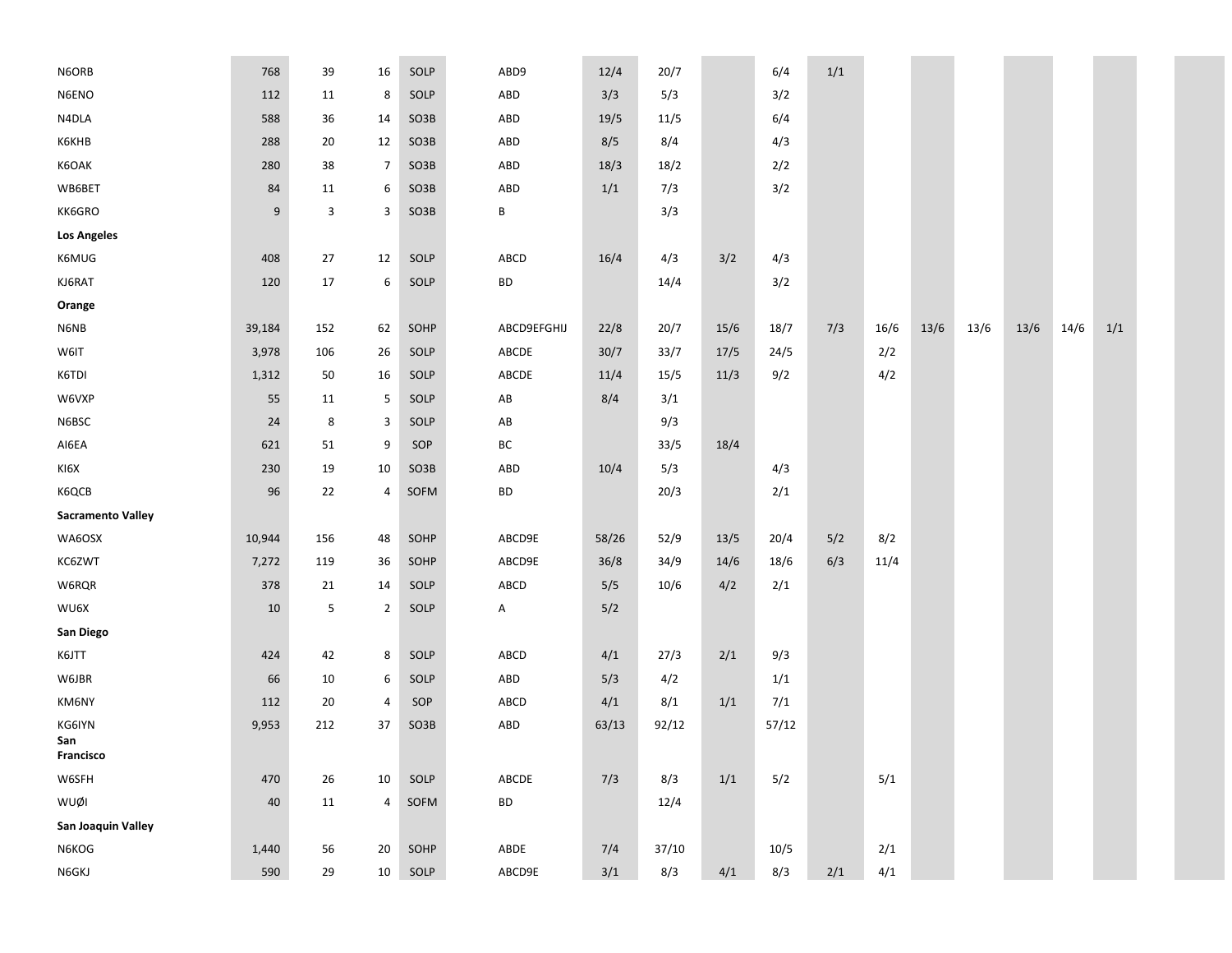| N6ORB                    | 768              | 39     | 16             | SOLP | ABD9                   | 12/4  | 20/7  |      | 6/4   | 1/1 |      |      |      |        |      |     |
|--------------------------|------------------|--------|----------------|------|------------------------|-------|-------|------|-------|-----|------|------|------|--------|------|-----|
| N6ENO                    | 112              | 11     | 8              | SOLP | ABD                    | 3/3   | 5/3   |      | 3/2   |     |      |      |      |        |      |     |
| N4DLA                    | 588              | 36     | 14             | SO3B | ABD                    | 19/5  | 11/5  |      | 6/4   |     |      |      |      |        |      |     |
| <b>К6КНВ</b>             | 288              | 20     | 12             | SO3B | ABD                    | 8/5   | 8/4   |      | 4/3   |     |      |      |      |        |      |     |
| K6OAK                    | 280              | 38     | $\overline{7}$ | SO3B | ABD                    | 18/3  | 18/2  |      | 2/2   |     |      |      |      |        |      |     |
| WB6BET                   | 84               | 11     | 6              | SO3B | ABD                    | 1/1   | 7/3   |      | 3/2   |     |      |      |      |        |      |     |
| KK6GRO                   | $\boldsymbol{9}$ | 3      | 3              | SO3B | B                      |       | 3/3   |      |       |     |      |      |      |        |      |     |
| <b>Los Angeles</b>       |                  |        |                |      |                        |       |       |      |       |     |      |      |      |        |      |     |
| K6MUG                    | 408              | 27     | 12             | SOLP | ABCD                   | 16/4  | 4/3   | 3/2  | 4/3   |     |      |      |      |        |      |     |
| KJ6RAT                   | 120              | 17     | 6              | SOLP | BD                     |       | 14/4  |      | 3/2   |     |      |      |      |        |      |     |
| Orange                   |                  |        |                |      |                        |       |       |      |       |     |      |      |      |        |      |     |
| N6NB                     | 39,184           | 152    | 62             | SOHP | ABCD9EFGHIJ            | 22/8  | 20/7  | 15/6 | 18/7  | 7/3 | 16/6 | 13/6 | 13/6 | $13/6$ | 14/6 | 1/1 |
| W6IT                     | 3,978            | 106    | 26             | SOLP | ABCDE                  | 30/7  | 33/7  | 17/5 | 24/5  |     | 2/2  |      |      |        |      |     |
| K6TDI                    | 1,312            | 50     | 16             | SOLP | ABCDE                  | 11/4  | 15/5  | 11/3 | 9/2   |     | 4/2  |      |      |        |      |     |
| W6VXP                    | 55               | 11     | 5              | SOLP | AB                     | 8/4   | 3/1   |      |       |     |      |      |      |        |      |     |
| N6BSC                    | 24               | 8      | 3              | SOLP | $\mathsf{A}\mathsf{B}$ |       | 9/3   |      |       |     |      |      |      |        |      |     |
| AI6EA                    | 621              | 51     | 9              | SOP  | BC                     |       | 33/5  | 18/4 |       |     |      |      |      |        |      |     |
| KI6X                     | 230              | 19     | 10             | SO3B | ABD                    | 10/4  | 5/3   |      | 4/3   |     |      |      |      |        |      |     |
| K6QCB                    | 96               | 22     | 4              | SOFM | BD                     |       | 20/3  |      | 2/1   |     |      |      |      |        |      |     |
| <b>Sacramento Valley</b> |                  |        |                |      |                        |       |       |      |       |     |      |      |      |        |      |     |
| WA6OSX                   | 10,944           | 156    | 48             | SOHP | ABCD9E                 | 58/26 | 52/9  | 13/5 | 20/4  | 5/2 | 8/2  |      |      |        |      |     |
| KC6ZWT                   | 7,272            | 119    | 36             | SOHP | ABCD9E                 | 36/8  | 34/9  | 14/6 | 18/6  | 6/3 | 11/4 |      |      |        |      |     |
| W6RQR                    | 378              | 21     | 14             | SOLP | ABCD                   | 5/5   | 10/6  | 4/2  | 2/1   |     |      |      |      |        |      |     |
| WU6X                     | $10\,$           | 5      | $\overline{2}$ | SOLP | Α                      | 5/2   |       |      |       |     |      |      |      |        |      |     |
| San Diego                |                  |        |                |      |                        |       |       |      |       |     |      |      |      |        |      |     |
| K6JTT                    | 424              | 42     | 8              | SOLP | ABCD                   | 4/1   | 27/3  | 2/1  | 9/3   |     |      |      |      |        |      |     |
| W6JBR                    | 66               | 10     | 6              | SOLP | ABD                    | 5/3   | 4/2   |      | 1/1   |     |      |      |      |        |      |     |
| KM6NY                    | 112              | 20     | 4              | SOP  | ABCD                   | 4/1   | 8/1   | 1/1  | 7/1   |     |      |      |      |        |      |     |
| KG6IYN                   | 9,953            | 212    | 37             | SO3B | ABD                    | 63/13 | 92/12 |      | 57/12 |     |      |      |      |        |      |     |
| San<br>Francisco         |                  |        |                |      |                        |       |       |      |       |     |      |      |      |        |      |     |
| W6SFH                    | 470              | 26     | 10             | SOLP | ABCDE                  | 7/3   | 8/3   | 1/1  | 5/2   |     | 5/1  |      |      |        |      |     |
| WUØI                     | $40\,$           | $11\,$ | 4              | SOFM | ${\sf BD}$             |       | 12/4  |      |       |     |      |      |      |        |      |     |
| San Joaquin Valley       |                  |        |                |      |                        |       |       |      |       |     |      |      |      |        |      |     |
| N6KOG                    | 1,440            | 56     | 20             | SOHP | ABDE                   | 7/4   | 37/10 |      | 10/5  |     | 2/1  |      |      |        |      |     |
| N6GKJ                    | 590              | $29\,$ | 10             | SOLP | ABCD9E                 | 3/1   | 8/3   | 4/1  | 8/3   | 2/1 | 4/1  |      |      |        |      |     |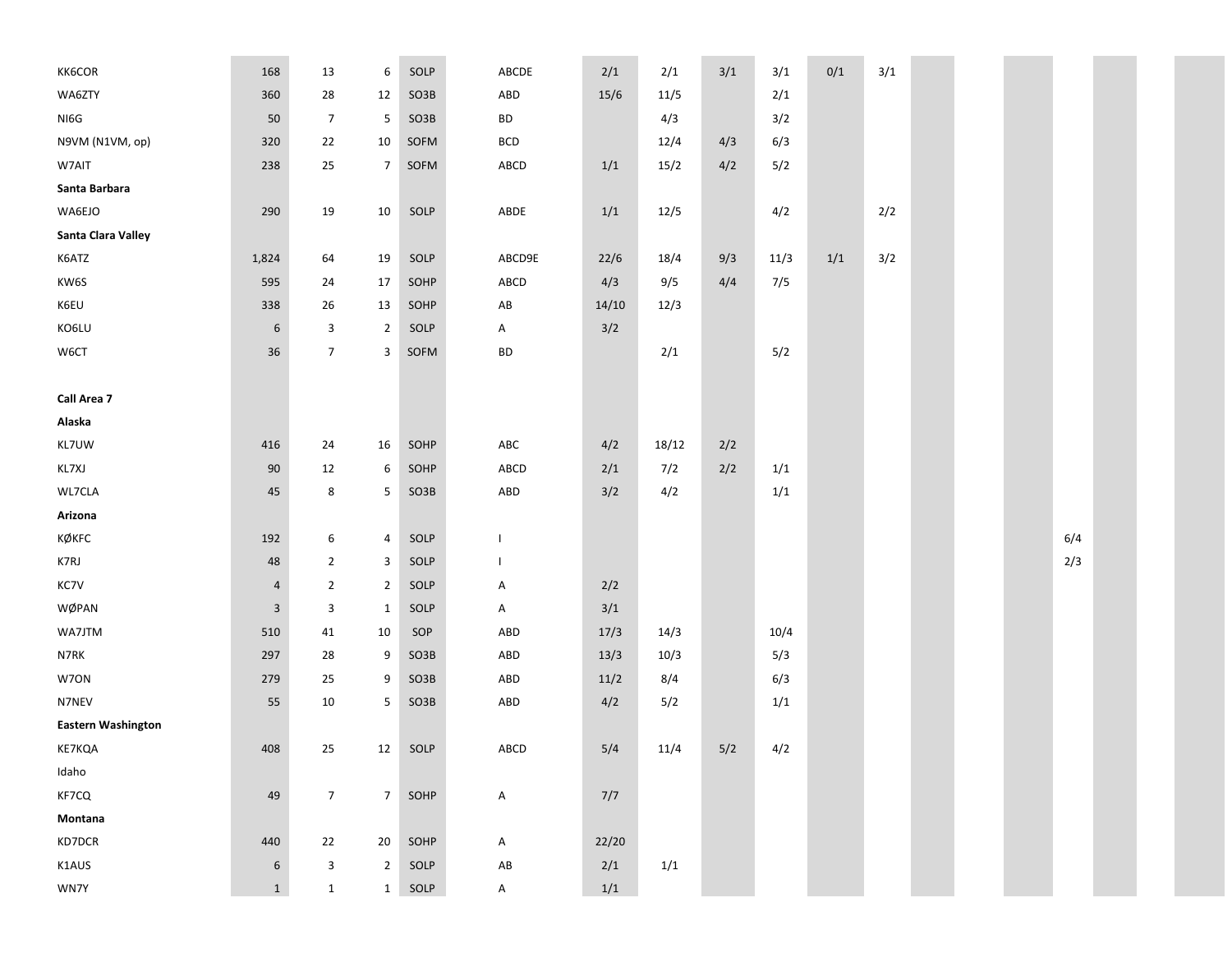| KK6COR                    | 168              | 13              | 6                       | SOLP | ABCDE                  | 2/1   | 2/1   | 3/1 | 3/1  | 0/1 | 3/1 |  |     |  |
|---------------------------|------------------|-----------------|-------------------------|------|------------------------|-------|-------|-----|------|-----|-----|--|-----|--|
| WA6ZTY                    | 360              | 28              | 12                      | SO3B | ABD                    | 15/6  | 11/5  |     | 2/1  |     |     |  |     |  |
| NI6G                      | 50               | $\overline{7}$  | $\overline{\mathbf{5}}$ | SO3B | BD                     |       | 4/3   |     | 3/2  |     |     |  |     |  |
| N9VM (N1VM, op)           | 320              | 22              | $10\,$                  | SOFM | <b>BCD</b>             |       | 12/4  | 4/3 | 6/3  |     |     |  |     |  |
| W7AIT                     | 238              | 25              | $\overline{7}$          | SOFM | ABCD                   | 1/1   | 15/2  | 4/2 | 5/2  |     |     |  |     |  |
| Santa Barbara             |                  |                 |                         |      |                        |       |       |     |      |     |     |  |     |  |
| WA6EJO                    | 290              | 19              | 10                      | SOLP | ABDE                   | 1/1   | 12/5  |     | 4/2  |     | 2/2 |  |     |  |
| Santa Clara Valley        |                  |                 |                         |      |                        |       |       |     |      |     |     |  |     |  |
| K6ATZ                     | 1,824            | 64              | 19                      | SOLP | ABCD9E                 | 22/6  | 18/4  | 9/3 | 11/3 | 1/1 | 3/2 |  |     |  |
| KW6S                      | 595              | 24              | 17                      | SOHP | ABCD                   | 4/3   | 9/5   | 4/4 | 7/5  |     |     |  |     |  |
| K6EU                      | 338              | 26              | 13                      | SOHP | $\mathsf{A}\mathsf{B}$ | 14/10 | 12/3  |     |      |     |     |  |     |  |
| KO6LU                     | $\boldsymbol{6}$ | 3               | $\overline{2}$          | SOLP | A                      | 3/2   |       |     |      |     |     |  |     |  |
| W6CT                      | 36               | $\overline{7}$  | 3                       | SOFM | <b>BD</b>              |       | 2/1   |     | 5/2  |     |     |  |     |  |
|                           |                  |                 |                         |      |                        |       |       |     |      |     |     |  |     |  |
| Call Area 7               |                  |                 |                         |      |                        |       |       |     |      |     |     |  |     |  |
| Alaska                    |                  |                 |                         |      |                        |       |       |     |      |     |     |  |     |  |
| KL7UW                     | 416              | 24              | 16                      | SOHP | ABC                    | 4/2   | 18/12 | 2/2 |      |     |     |  |     |  |
| KL7XJ                     | 90               | 12              | 6                       | SOHP | ABCD                   | 2/1   | 7/2   | 2/2 | 1/1  |     |     |  |     |  |
| WL7CLA                    | 45               | 8               | 5                       | SO3B | ABD                    | 3/2   | 4/2   |     | 1/1  |     |     |  |     |  |
| Arizona                   |                  |                 |                         |      |                        |       |       |     |      |     |     |  |     |  |
| KØKFC                     | 192              | 6               | $\pmb{4}$               | SOLP | $\overline{1}$         |       |       |     |      |     |     |  | 6/4 |  |
| K7RJ                      | $\sqrt{48}$      | $\mathbf{2}$    | 3                       | SOLP | $\mathbf{I}$           |       |       |     |      |     |     |  | 2/3 |  |
| KC7V                      | 4                | $\overline{2}$  | $\overline{2}$          | SOLP | A                      | 2/2   |       |     |      |     |     |  |     |  |
| WØPAN                     | $\mathsf 3$      | 3               | $\mathbf{1}$            | SOLP | A                      | 3/1   |       |     |      |     |     |  |     |  |
| WA7JTM                    | 510              | 41              | 10                      | SOP  | ABD                    | 17/3  | 14/3  |     | 10/4 |     |     |  |     |  |
| N7RK                      | 297              | 28              | 9                       | SO3B | ABD                    | 13/3  | 10/3  |     | 5/3  |     |     |  |     |  |
| W7ON                      | 279              | 25              | 9                       | SO3B | ABD                    | 11/2  | 8/4   |     | 6/3  |     |     |  |     |  |
| N7NEV                     | 55               | $10\,$          | 5                       | SO3B | ABD                    | 4/2   | 5/2   |     | 1/1  |     |     |  |     |  |
| <b>Eastern Washington</b> |                  |                 |                         |      |                        |       |       |     |      |     |     |  |     |  |
| KE7KQA                    | 408              | 25              | 12                      | SOLP | ABCD                   | 5/4   | 11/4  | 5/2 | 4/2  |     |     |  |     |  |
| Idaho                     |                  |                 |                         |      |                        |       |       |     |      |     |     |  |     |  |
| KF7CQ                     | 49               | $7\overline{ }$ | $7\overline{ }$         | SOHP | A                      | 7/7   |       |     |      |     |     |  |     |  |
| Montana                   |                  |                 |                         |      |                        |       |       |     |      |     |     |  |     |  |
| KD7DCR                    | 440              | 22              | 20                      | SOHP | A                      | 22/20 |       |     |      |     |     |  |     |  |
| K1AUS                     | $\boldsymbol{6}$ | $\mathbf{3}$    | $\overline{2}$          | SOLP | $\mathsf{A}\mathsf{B}$ | 2/1   | 1/1   |     |      |     |     |  |     |  |
| WN7Y                      | $\mathbf{1}$     | $\mathbf{1}$    | 1                       | SOLP | A                      | 1/1   |       |     |      |     |     |  |     |  |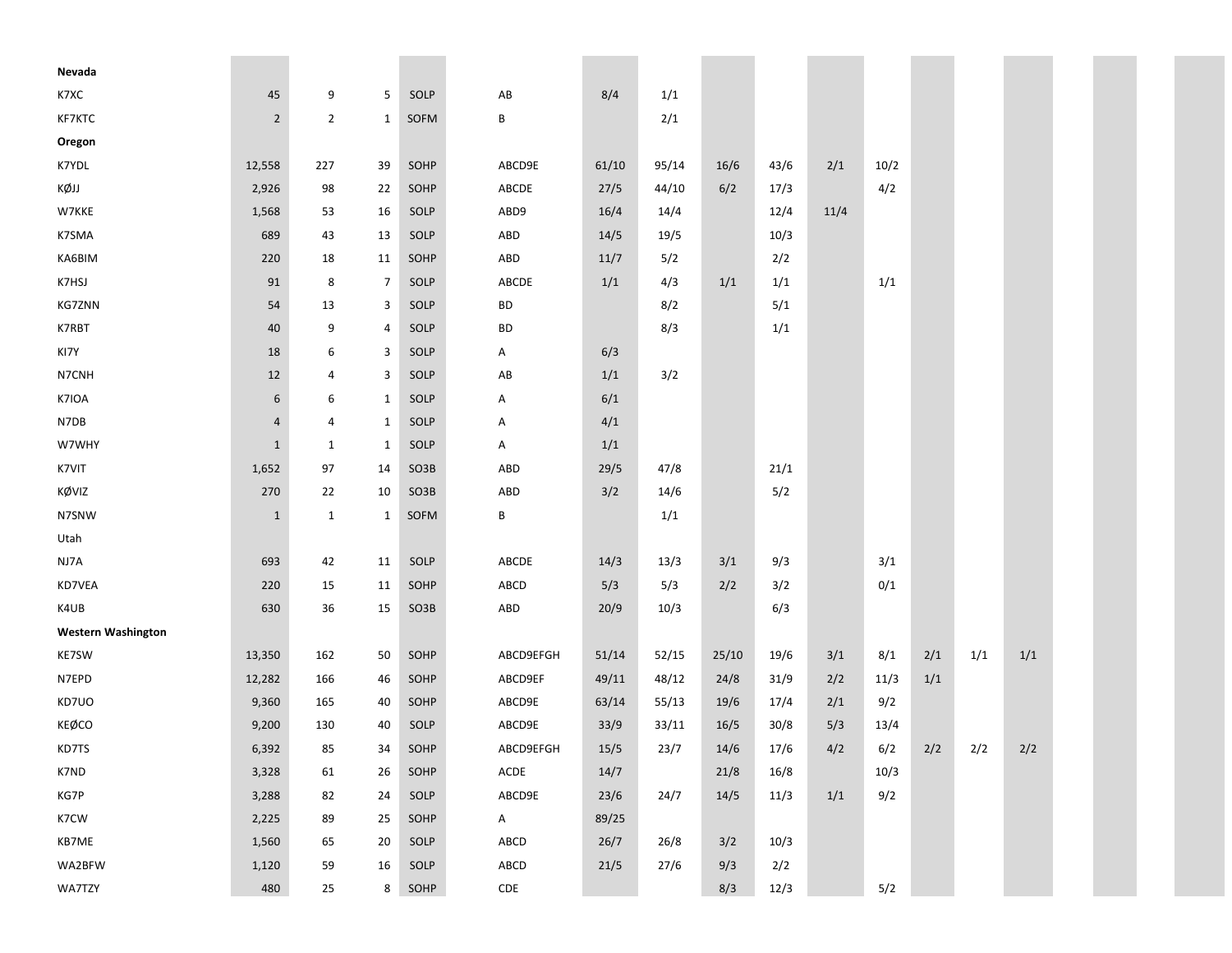| Nevada                    |                  |                |                |      |           |       |       |       |      |      |      |     |       |     |  |
|---------------------------|------------------|----------------|----------------|------|-----------|-------|-------|-------|------|------|------|-----|-------|-----|--|
| K7XC                      | 45               | 9              | 5              | SOLP | AB        | 8/4   | 1/1   |       |      |      |      |     |       |     |  |
| KF7KTC                    | $\overline{2}$   | $\overline{2}$ | $\mathbf{1}$   | SOFM | B         |       | 2/1   |       |      |      |      |     |       |     |  |
| Oregon                    |                  |                |                |      |           |       |       |       |      |      |      |     |       |     |  |
| K7YDL                     | 12,558           | 227            | 39             | SOHP | ABCD9E    | 61/10 | 95/14 | 16/6  | 43/6 | 2/1  | 10/2 |     |       |     |  |
| KØJJ                      | 2,926            | 98             | 22             | SOHP | ABCDE     | 27/5  | 44/10 | 6/2   | 17/3 |      | 4/2  |     |       |     |  |
| W7KKE                     | 1,568            | 53             | 16             | SOLP | ABD9      | 16/4  | 14/4  |       | 12/4 | 11/4 |      |     |       |     |  |
| K7SMA                     | 689              | 43             | 13             | SOLP | ABD       | 14/5  | 19/5  |       | 10/3 |      |      |     |       |     |  |
| KA6BIM                    | 220              | 18             | 11             | SOHP | ABD       | 11/7  | 5/2   |       | 2/2  |      |      |     |       |     |  |
| K7HSJ                     | 91               | 8              | 7              | SOLP | ABCDE     | $1/1$ | 4/3   | 1/1   | 1/1  |      | 1/1  |     |       |     |  |
| <b>KG7ZNN</b>             | 54               | 13             | 3              | SOLP | BD        |       | 8/2   |       | 5/1  |      |      |     |       |     |  |
| K7RBT                     | 40               | 9              | 4              | SOLP | BD        |       | 8/3   |       | 1/1  |      |      |     |       |     |  |
| KI7Y                      | 18               | 6              | 3              | SOLP | A         | 6/3   |       |       |      |      |      |     |       |     |  |
| N7CNH                     | 12               | 4              | 3              | SOLP | AB        | 1/1   | 3/2   |       |      |      |      |     |       |     |  |
| K7IOA                     | $\boldsymbol{6}$ | 6              | $\mathbf{1}$   | SOLP | Α         | 6/1   |       |       |      |      |      |     |       |     |  |
| N7DB                      | $\overline{4}$   | 4              | $\mathbf{1}$   | SOLP | Α         | 4/1   |       |       |      |      |      |     |       |     |  |
| W7WHY                     | $\mathbf 1$      | $\mathbf{1}$   | $\mathbf{1}$   | SOLP | A         | 1/1   |       |       |      |      |      |     |       |     |  |
| K7VIT                     | 1,652            | 97             | 14             | SO3B | ABD       | 29/5  | 47/8  |       | 21/1 |      |      |     |       |     |  |
| KØVIZ                     | 270              | 22             | 10             | SO3B | ABD       | 3/2   | 14/6  |       | 5/2  |      |      |     |       |     |  |
| N7SNW                     | $\mathbf{1}$     | $\mathbf{1}$   | $\mathbf{1}$   | SOFM | B         |       | 1/1   |       |      |      |      |     |       |     |  |
| Utah                      |                  |                |                |      |           |       |       |       |      |      |      |     |       |     |  |
| NJ7A                      | 693              | 42             | 11             | SOLP | ABCDE     | 14/3  | 13/3  | 3/1   | 9/3  |      | 3/1  |     |       |     |  |
| KD7VEA                    | 220              | 15             | 11             | SOHP | ABCD      | 5/3   | 5/3   | 2/2   | 3/2  |      | 0/1  |     |       |     |  |
| K4UB                      | 630              | 36             | 15             | SO3B | ABD       | 20/9  | 10/3  |       | 6/3  |      |      |     |       |     |  |
| <b>Western Washington</b> |                  |                |                |      |           |       |       |       |      |      |      |     |       |     |  |
| KE7SW                     | 13,350           | 162            | 50             | SOHP | ABCD9EFGH | 51/14 | 52/15 | 25/10 | 19/6 | 3/1  | 8/1  | 2/1 | $1/1$ | 1/1 |  |
| N7EPD                     | 12,282           | 166            | 46             | SOHP | ABCD9EF   | 49/11 | 48/12 | 24/8  | 31/9 | 2/2  | 11/3 | 1/1 |       |     |  |
| KD7UO                     | 9,360            | 165            | 40             | SOHP | ABCD9E    | 63/14 | 55/13 | 19/6  | 17/4 | 2/1  | 9/2  |     |       |     |  |
| <b>KEØCO</b>              | 9,200            | 130            | 40             | SOLP | ABCD9E    | 33/9  | 33/11 | 16/5  | 30/8 | 5/3  | 13/4 |     |       |     |  |
| KD7TS                     | 6,392            | 85             | 34             | SOHP | ABCD9EFGH | 15/5  | 23/7  | 14/6  | 17/6 | 4/2  | 6/2  | 2/2 | 2/2   | 2/2 |  |
| K7ND                      | 3,328            | 61             | 26             | SOHP | ACDE      | 14/7  |       | 21/8  | 16/8 |      | 10/3 |     |       |     |  |
| KG7P                      | 3,288            | 82             | 24             | SOLP | ABCD9E    | 23/6  | 24/7  | 14/5  | 11/3 | 1/1  | 9/2  |     |       |     |  |
| K7CW                      | 2,225            | 89             | 25             | SOHP | A         | 89/25 |       |       |      |      |      |     |       |     |  |
| KB7ME                     | 1,560            | 65             | 20             | SOLP | ABCD      | 26/7  | 26/8  | 3/2   | 10/3 |      |      |     |       |     |  |
| WA2BFW                    | 1,120            | 59             | 16             | SOLP | ABCD      | 21/5  | 27/6  | 9/3   | 2/2  |      |      |     |       |     |  |
| WA7TZY                    | 480              | 25             | 8 <sup>1</sup> | SOHP | CDE       |       |       | 8/3   | 12/3 |      | 5/2  |     |       |     |  |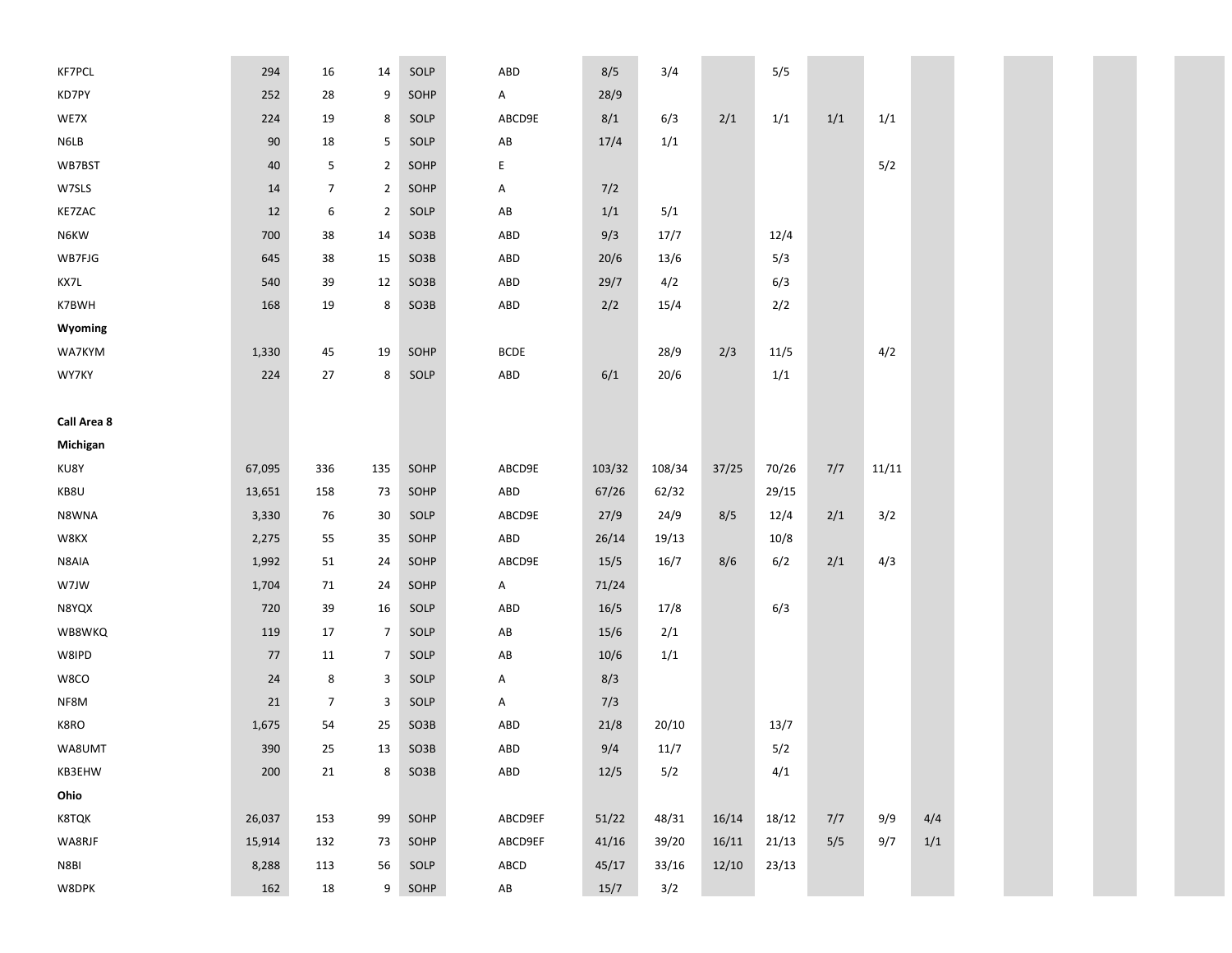| <b>KF7PCL</b> | 294    | 16             | 14             | SOLP | ABD                    | 8/5    | 3/4    |       | 5/5   |     |       |     |  |
|---------------|--------|----------------|----------------|------|------------------------|--------|--------|-------|-------|-----|-------|-----|--|
| KD7PY         | 252    | 28             | 9              | SOHP | $\mathsf{A}$           | 28/9   |        |       |       |     |       |     |  |
| WE7X          | 224    | 19             | 8              | SOLP | ABCD9E                 | 8/1    | 6/3    | 2/1   | 1/1   | 1/1 | 1/1   |     |  |
| N6LB          | $90\,$ | 18             | 5              | SOLP | AB                     | 17/4   | 1/1    |       |       |     |       |     |  |
| WB7BST        | 40     | 5              | $\overline{2}$ | SOHP | E                      |        |        |       |       |     | 5/2   |     |  |
| W7SLS         | 14     | 7              | $\overline{2}$ | SOHP | Α                      | 7/2    |        |       |       |     |       |     |  |
| KE7ZAC        | 12     | 6              | $\overline{2}$ | SOLP | $\mathsf{A}\mathsf{B}$ | 1/1    | 5/1    |       |       |     |       |     |  |
| N6KW          | 700    | 38             | 14             | SO3B | ABD                    | 9/3    | 17/7   |       | 12/4  |     |       |     |  |
| WB7FJG        | 645    | 38             | 15             | SO3B | ABD                    | 20/6   | 13/6   |       | 5/3   |     |       |     |  |
| KX7L          | 540    | 39             | 12             | SO3B | ABD                    | 29/7   | 4/2    |       | 6/3   |     |       |     |  |
| K7BWH         | 168    | 19             | 8              | SO3B | ABD                    | 2/2    | 15/4   |       | 2/2   |     |       |     |  |
| Wyoming       |        |                |                |      |                        |        |        |       |       |     |       |     |  |
| WA7KYM        | 1,330  | 45             | 19             | SOHP | <b>BCDE</b>            |        | 28/9   | 2/3   | 11/5  |     | 4/2   |     |  |
| WY7KY         | 224    | 27             | 8              | SOLP | ABD                    | 6/1    | 20/6   |       | 1/1   |     |       |     |  |
|               |        |                |                |      |                        |        |        |       |       |     |       |     |  |
| Call Area 8   |        |                |                |      |                        |        |        |       |       |     |       |     |  |
| Michigan      |        |                |                |      |                        |        |        |       |       |     |       |     |  |
| KU8Y          | 67,095 | 336            | 135            | SOHP | ABCD9E                 | 103/32 | 108/34 | 37/25 | 70/26 | 7/7 | 11/11 |     |  |
| KB8U          | 13,651 | 158            | 73             | SOHP | ABD                    | 67/26  | 62/32  |       | 29/15 |     |       |     |  |
| N8WNA         | 3,330  | 76             | 30             | SOLP | ABCD9E                 | 27/9   | 24/9   | 8/5   | 12/4  | 2/1 | 3/2   |     |  |
| W8KX          | 2,275  | 55             | 35             | SOHP | ABD                    | 26/14  | 19/13  |       | 10/8  |     |       |     |  |
| N8AIA         | 1,992  | 51             | 24             | SOHP | ABCD9E                 | 15/5   | 16/7   | 8/6   | 6/2   | 2/1 | 4/3   |     |  |
| W7JW          | 1,704  | 71             | 24             | SOHP | $\mathsf{A}$           | 71/24  |        |       |       |     |       |     |  |
| N8YQX         | 720    | 39             | 16             | SOLP | ABD                    | 16/5   | 17/8   |       | 6/3   |     |       |     |  |
| WB8WKQ        | 119    | 17             | $\overline{7}$ | SOLP | $\mathsf{A}\mathsf{B}$ | $15/6$ | 2/1    |       |       |     |       |     |  |
| W8IPD         | 77     | 11             | $\overline{7}$ | SOLP | $\mathsf{A}\mathsf{B}$ | $10/6$ | 1/1    |       |       |     |       |     |  |
| W8CO          | 24     | 8              | 3              | SOLP | Α                      | 8/3    |        |       |       |     |       |     |  |
| NF8M          | 21     | $\overline{7}$ | 3              | SOLP | A                      | 7/3    |        |       |       |     |       |     |  |
| K8RO          | 1,675  | 54             | 25             | SO3B | ABD                    | 21/8   | 20/10  |       | 13/7  |     |       |     |  |
| WA8UMT        | 390    | 25             | 13             | SO3B | ABD                    | 9/4    | 11/7   |       | 5/2   |     |       |     |  |
| KB3EHW        | 200    | 21             | 8              | SO3B | ABD                    | 12/5   | 5/2    |       | 4/1   |     |       |     |  |
| Ohio          |        |                |                |      |                        |        |        |       |       |     |       |     |  |
| K8TQK         | 26,037 | 153            | 99             | SOHP | ABCD9EF                | 51/22  | 48/31  | 16/14 | 18/12 | 7/7 | 9/9   | 4/4 |  |
| WA8RJF        | 15,914 | 132            | 73             | SOHP | ABCD9EF                | 41/16  | 39/20  | 16/11 | 21/13 | 5/5 | 9/7   | 1/1 |  |
| N8BI          | 8,288  | 113            | 56             | SOLP | ${\sf ABCD}$           | 45/17  | 33/16  | 12/10 | 23/13 |     |       |     |  |
| W8DPK         | 162    | 18             | 9              | SOHP | $\mathsf{A}\mathsf{B}$ | 15/7   | 3/2    |       |       |     |       |     |  |

I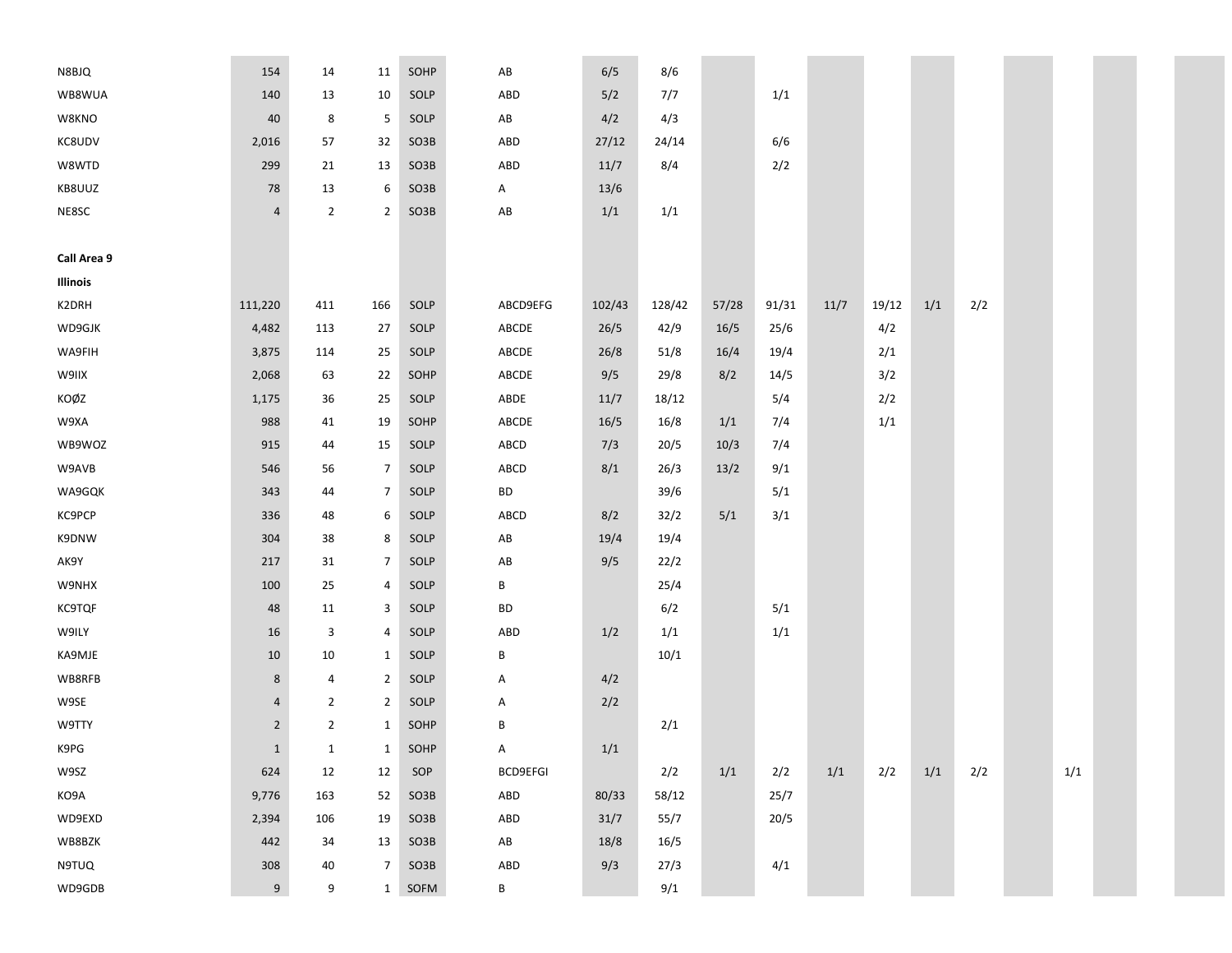| N8BJQ         | 154            | 14             | 11             | SOHP | AB                     | 6/5    | 8/6    |       |       |      |       |     |     |     |
|---------------|----------------|----------------|----------------|------|------------------------|--------|--------|-------|-------|------|-------|-----|-----|-----|
| WB8WUA        | 140            | 13             | 10             | SOLP | ABD                    | 5/2    | 7/7    |       | 1/1   |      |       |     |     |     |
| W8KNO         | 40             | 8              | 5              | SOLP | $\mathsf{A}\mathsf{B}$ | 4/2    | 4/3    |       |       |      |       |     |     |     |
| KC8UDV        | 2,016          | 57             | 32             | SO3B | ABD                    | 27/12  | 24/14  |       | 6/6   |      |       |     |     |     |
| W8WTD         | 299            | 21             | 13             | SO3B | ABD                    | 11/7   | 8/4    |       | 2/2   |      |       |     |     |     |
| KB8UUZ        | 78             | 13             | 6              | SO3B | Α                      | 13/6   |        |       |       |      |       |     |     |     |
| NE8SC         | $\overline{4}$ | $\overline{2}$ | $\overline{2}$ | SO3B | AB                     | 1/1    | 1/1    |       |       |      |       |     |     |     |
|               |                |                |                |      |                        |        |        |       |       |      |       |     |     |     |
| Call Area 9   |                |                |                |      |                        |        |        |       |       |      |       |     |     |     |
| Illinois      |                |                |                |      |                        |        |        |       |       |      |       |     |     |     |
| K2DRH         | 111,220        | 411            | 166            | SOLP | ABCD9EFG               | 102/43 | 128/42 | 57/28 | 91/31 | 11/7 | 19/12 | 1/1 | 2/2 |     |
| WD9GJK        | 4,482          | 113            | 27             | SOLP | ABCDE                  | 26/5   | 42/9   | 16/5  | 25/6  |      | 4/2   |     |     |     |
| WA9FIH        | 3,875          | 114            | 25             | SOLP | ABCDE                  | 26/8   | 51/8   | 16/4  | 19/4  |      | 2/1   |     |     |     |
| W9IIX         | 2,068          | 63             | 22             | SOHP | ABCDE                  | 9/5    | 29/8   | 8/2   | 14/5  |      | 3/2   |     |     |     |
| KOØZ          | 1,175          | 36             | 25             | SOLP | ABDE                   | 11/7   | 18/12  |       | 5/4   |      | 2/2   |     |     |     |
| W9XA          | 988            | 41             | 19             | SOHP | ABCDE                  | 16/5   | 16/8   | 1/1   | 7/4   |      | 1/1   |     |     |     |
| WB9WOZ        | 915            | 44             | 15             | SOLP | ABCD                   | 7/3    | 20/5   | 10/3  | 7/4   |      |       |     |     |     |
| W9AVB         | 546            | 56             | $\overline{7}$ | SOLP | ABCD                   | 8/1    | 26/3   | 13/2  | 9/1   |      |       |     |     |     |
| WA9GQK        | 343            | 44             | $\overline{7}$ | SOLP | BD                     |        | 39/6   |       | 5/1   |      |       |     |     |     |
| KC9PCP        | 336            | 48             | 6              | SOLP | ABCD                   | 8/2    | 32/2   | 5/1   | 3/1   |      |       |     |     |     |
| K9DNW         | 304            | 38             | 8              | SOLP | $\mathsf{A}\mathsf{B}$ | 19/4   | 19/4   |       |       |      |       |     |     |     |
| AK9Y          | 217            | 31             | $\overline{7}$ | SOLP | AB                     | 9/5    | 22/2   |       |       |      |       |     |     |     |
| W9NHX         | 100            | 25             | 4              | SOLP | В                      |        | 25/4   |       |       |      |       |     |     |     |
| <b>KC9TQF</b> | 48             | 11             | 3              | SOLP | BD                     |        | 6/2    |       | 5/1   |      |       |     |     |     |
| W9ILY         | 16             | 3              | 4              | SOLP | ABD                    | 1/2    | 1/1    |       | 1/1   |      |       |     |     |     |
| KA9MJE        | 10             | 10             | $\mathbf{1}$   | SOLP | В                      |        | 10/1   |       |       |      |       |     |     |     |
| WB8RFB        | 8              | 4              | $\overline{2}$ | SOLP | Α                      | 4/2    |        |       |       |      |       |     |     |     |
| W9SE          | 4              | $\overline{2}$ | $\overline{2}$ | SOLP | Α                      | 2/2    |        |       |       |      |       |     |     |     |
| W9TTY         | $\overline{2}$ | $\overline{2}$ | $\mathbf{1}$   | SOHP | В                      |        | 2/1    |       |       |      |       |     |     |     |
| K9PG          | $\mathbf{1}$   | $\mathbf{1}$   | $\mathbf{1}$   | SOHP | А                      | 1/1    |        |       |       |      |       |     |     |     |
| W9SZ          | 624            | 12             | 12             | SOP  | <b>BCD9EFGI</b>        |        | 2/2    | 1/1   | 2/2   | 1/1  | 2/2   | 1/1 | 2/2 | 1/1 |
| KO9A          | 9,776          | 163            | 52             | SO3B | ABD                    | 80/33  | 58/12  |       | 25/7  |      |       |     |     |     |
| WD9EXD        | 2,394          | 106            | 19             | SO3B | ABD                    | 31/7   | 55/7   |       | 20/5  |      |       |     |     |     |
| WB8BZK        | 442            | 34             | 13             | SO3B | AB                     | 18/8   | 16/5   |       |       |      |       |     |     |     |
| N9TUQ         | 308            | 40             | $\overline{7}$ | SO3B | ABD                    | 9/3    | 27/3   |       | 4/1   |      |       |     |     |     |
| WD9GDB        | 9              | 9              | $\mathbf{1}$   | SOFM | В                      |        | 9/1    |       |       |      |       |     |     |     |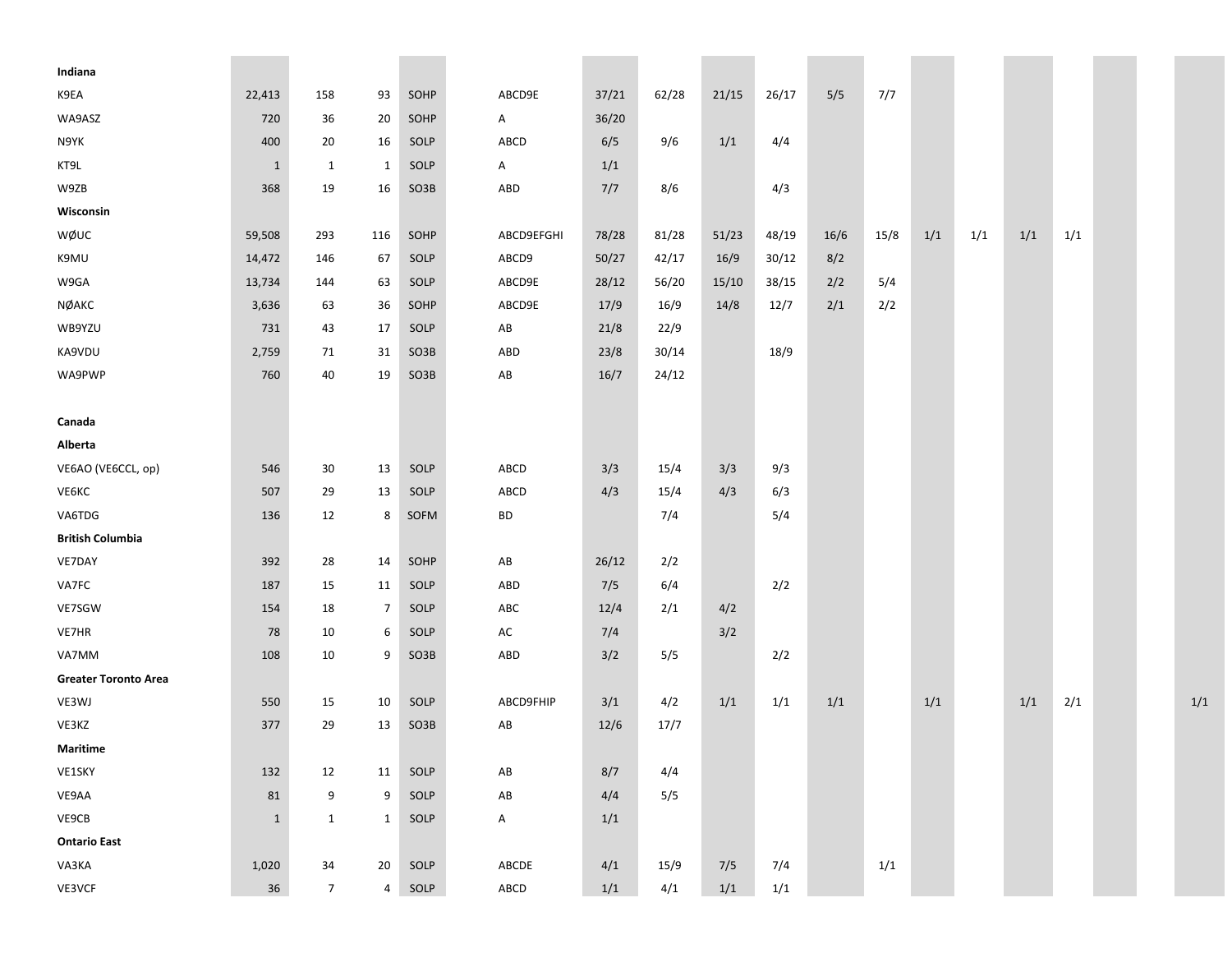| Indiana                     |              |                 |              |      |                        |       |       |       |       |      |      |     |     |     |     |  |     |
|-----------------------------|--------------|-----------------|--------------|------|------------------------|-------|-------|-------|-------|------|------|-----|-----|-----|-----|--|-----|
| K9EA                        | 22,413       | 158             | 93           | SOHP | ABCD9E                 | 37/21 | 62/28 | 21/15 | 26/17 | 5/5  | 7/7  |     |     |     |     |  |     |
| WA9ASZ                      | 720          | 36              | 20           | SOHP | $\mathsf{A}$           | 36/20 |       |       |       |      |      |     |     |     |     |  |     |
| N9YK                        | 400          | 20              | 16           | SOLP | ABCD                   | 6/5   | 9/6   | 1/1   | 4/4   |      |      |     |     |     |     |  |     |
| KT9L                        | 1            | 1               | $\mathbf{1}$ | SOLP | A                      | 1/1   |       |       |       |      |      |     |     |     |     |  |     |
| W9ZB                        | 368          | 19              | 16           | SO3B | ABD                    | 7/7   | 8/6   |       | 4/3   |      |      |     |     |     |     |  |     |
| Wisconsin                   |              |                 |              |      |                        |       |       |       |       |      |      |     |     |     |     |  |     |
| WØUC                        | 59,508       | 293             | 116          | SOHP | ABCD9EFGHI             | 78/28 | 81/28 | 51/23 | 48/19 | 16/6 | 15/8 | 1/1 | 1/1 | 1/1 | 1/1 |  |     |
| K9MU                        | 14,472       | 146             | 67           | SOLP | ABCD9                  | 50/27 | 42/17 | 16/9  | 30/12 | 8/2  |      |     |     |     |     |  |     |
| W9GA                        | 13,734       | 144             | 63           | SOLP | ABCD9E                 | 28/12 | 56/20 | 15/10 | 38/15 | 2/2  | 5/4  |     |     |     |     |  |     |
| NØAKC                       | 3,636        | 63              | 36           | SOHP | ABCD9E                 | 17/9  | 16/9  | 14/8  | 12/7  | 2/1  | 2/2  |     |     |     |     |  |     |
| WB9YZU                      | 731          | 43              | 17           | SOLP | AB                     | 21/8  | 22/9  |       |       |      |      |     |     |     |     |  |     |
| KA9VDU                      | 2,759        | 71              | 31           | SO3B | ABD                    | 23/8  | 30/14 |       | 18/9  |      |      |     |     |     |     |  |     |
| WA9PWP                      | 760          | 40              | 19           | SO3B | $\mathsf{A}\mathsf{B}$ | 16/7  | 24/12 |       |       |      |      |     |     |     |     |  |     |
|                             |              |                 |              |      |                        |       |       |       |       |      |      |     |     |     |     |  |     |
| Canada                      |              |                 |              |      |                        |       |       |       |       |      |      |     |     |     |     |  |     |
| Alberta                     |              |                 |              |      |                        |       |       |       |       |      |      |     |     |     |     |  |     |
| VE6AO (VE6CCL, op)          | 546          | 30              | 13           | SOLP | ABCD                   | 3/3   | 15/4  | 3/3   | 9/3   |      |      |     |     |     |     |  |     |
| VE6KC                       | 507          | 29              | 13           | SOLP | ABCD                   | 4/3   | 15/4  | 4/3   | 6/3   |      |      |     |     |     |     |  |     |
| VA6TDG                      | 136          | 12              | 8            | SOFM | BD                     |       | 7/4   |       | 5/4   |      |      |     |     |     |     |  |     |
| <b>British Columbia</b>     |              |                 |              |      |                        |       |       |       |       |      |      |     |     |     |     |  |     |
| VE7DAY                      | 392          | 28              | 14           | SOHP | $\mathsf{A}\mathsf{B}$ | 26/12 | 2/2   |       |       |      |      |     |     |     |     |  |     |
| VA7FC                       | 187          | 15              | 11           | SOLP | ABD                    | 7/5   | 6/4   |       | 2/2   |      |      |     |     |     |     |  |     |
| VE7SGW                      | 154          | 18              | 7            | SOLP | ABC                    | 12/4  | 2/1   | 4/2   |       |      |      |     |     |     |     |  |     |
| VE7HR                       | 78           | 10              | 6            | SOLP | AC                     | 7/4   |       | 3/2   |       |      |      |     |     |     |     |  |     |
| VA7MM                       | 108          | 10              | 9            | SO3B | ABD                    | 3/2   | 5/5   |       | 2/2   |      |      |     |     |     |     |  |     |
| <b>Greater Toronto Area</b> |              |                 |              |      |                        |       |       |       |       |      |      |     |     |     |     |  |     |
| VE3WJ                       | 550          | 15              | 10           | SOLP | ABCD9FHIP              | 3/1   | 4/2   | 1/1   | 1/1   | 1/1  |      | 1/1 |     | 1/1 | 2/1 |  | 1/1 |
| VE3KZ                       | 377          | 29              | 13           | SO3B | AB                     | 12/6  | 17/7  |       |       |      |      |     |     |     |     |  |     |
| Maritime                    |              |                 |              |      |                        |       |       |       |       |      |      |     |     |     |     |  |     |
| VE1SKY                      | 132          | 12              | 11           | SOLP | $\mathsf{A}\mathsf{B}$ | 8/7   | 4/4   |       |       |      |      |     |     |     |     |  |     |
| VE9AA                       | 81           | 9               | 9            | SOLP | $\mathsf{A}\mathsf{B}$ | 4/4   | 5/5   |       |       |      |      |     |     |     |     |  |     |
| VE9CB                       | $\mathbf{1}$ | $\mathbf{1}$    | $\mathbf{1}$ | SOLP | A                      | 1/1   |       |       |       |      |      |     |     |     |     |  |     |
| <b>Ontario East</b>         |              |                 |              |      |                        |       |       |       |       |      |      |     |     |     |     |  |     |
| VA3KA                       | 1,020        | 34              | 20           | SOLP | ABCDE                  | 4/1   | 15/9  | 7/5   | 7/4   |      | 1/1  |     |     |     |     |  |     |
| VE3VCF                      | 36           | $7\overline{ }$ | 4            | SOLP | ${\sf ABCD}$           | 1/1   | 4/1   | $1/1$ | $1/1$ |      |      |     |     |     |     |  |     |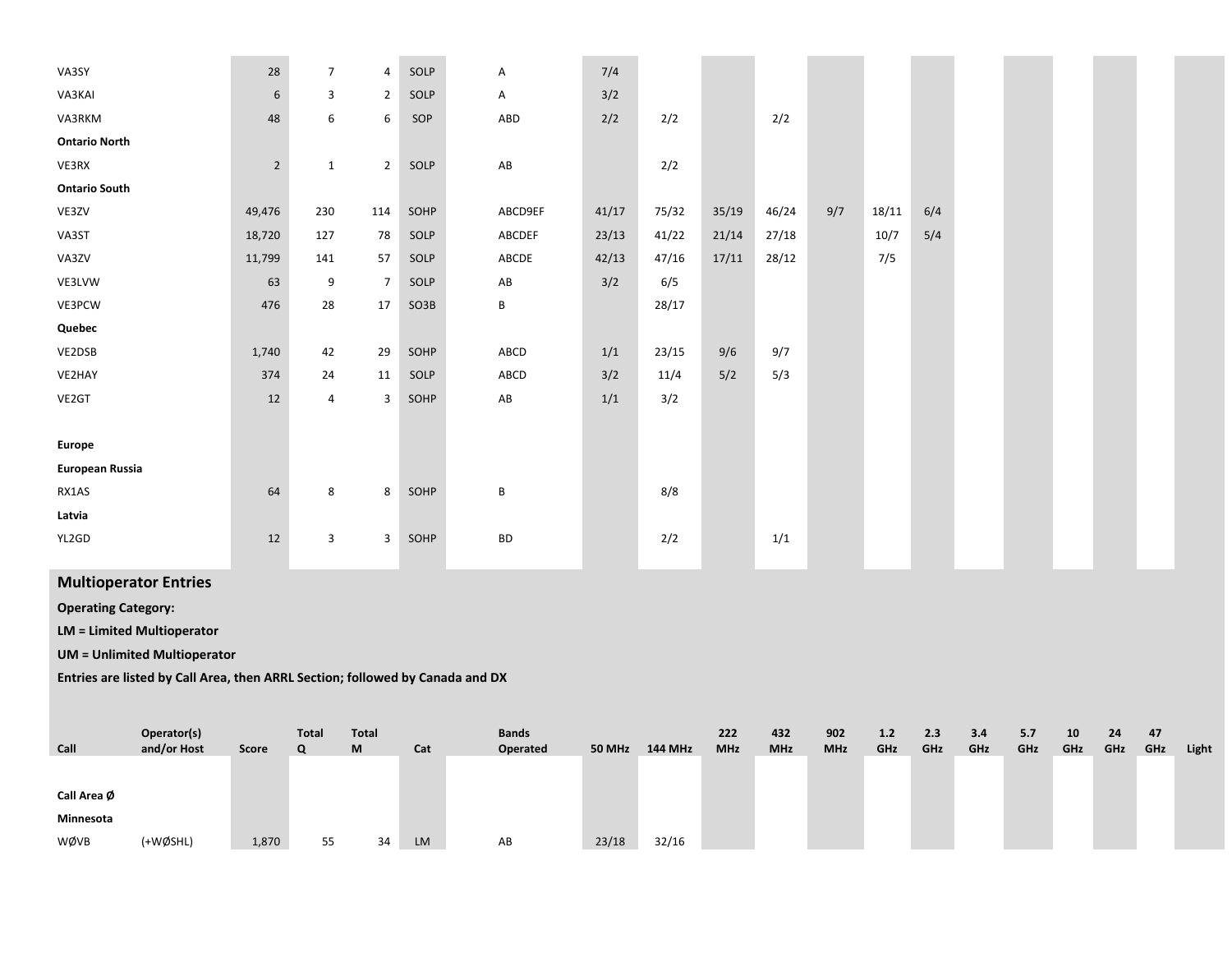| VA3SY                | 28             | $\overline{7}$ | 4               | SOLP | Α                      | 7/4   |       |       |       |     |       |     |  |  |
|----------------------|----------------|----------------|-----------------|------|------------------------|-------|-------|-------|-------|-----|-------|-----|--|--|
| VA3KAI               | $\sqrt{6}$     | 3              | $\overline{2}$  | SOLP | A                      | 3/2   |       |       |       |     |       |     |  |  |
| VA3RKM               | 48             | 6              | 6               | SOP  | ABD                    | 2/2   | 2/2   |       | 2/2   |     |       |     |  |  |
| <b>Ontario North</b> |                |                |                 |      |                        |       |       |       |       |     |       |     |  |  |
| VE3RX                | $\overline{2}$ | $\mathbf{1}$   | $\overline{2}$  | SOLP | ${\sf AB}$             |       | 2/2   |       |       |     |       |     |  |  |
| <b>Ontario South</b> |                |                |                 |      |                        |       |       |       |       |     |       |     |  |  |
| VE3ZV                | 49,476         | 230            | 114             | SOHP | ABCD9EF                | 41/17 | 75/32 | 35/19 | 46/24 | 9/7 | 18/11 | 6/4 |  |  |
| VA3ST                | 18,720         | 127            | 78              | SOLP | ABCDEF                 | 23/13 | 41/22 | 21/14 | 27/18 |     | 10/7  | 5/4 |  |  |
| VA3ZV                | 11,799         | 141            | 57              | SOLP | ABCDE                  | 42/13 | 47/16 | 17/11 | 28/12 |     | 7/5   |     |  |  |
| VE3LVW               | 63             | 9              | $7\overline{ }$ | SOLP | $\mathsf{A}\mathsf{B}$ | 3/2   | 6/5   |       |       |     |       |     |  |  |
| VE3PCW               | 476            | 28             | 17              | SO3B | B                      |       | 28/17 |       |       |     |       |     |  |  |
| Quebec               |                |                |                 |      |                        |       |       |       |       |     |       |     |  |  |
| VE2DSB               | 1,740          | 42             | 29              | SOHP | ABCD                   | 1/1   | 23/15 | 9/6   | 9/7   |     |       |     |  |  |
| VE2HAY               | 374            | 24             | 11              | SOLP | ABCD                   | 3/2   | 11/4  | 5/2   | 5/3   |     |       |     |  |  |
| VE2GT                | 12             | 4              | 3               | SOHP | ${\sf AB}$             | 1/1   | 3/2   |       |       |     |       |     |  |  |
|                      |                |                |                 |      |                        |       |       |       |       |     |       |     |  |  |
| <b>Europe</b>        |                |                |                 |      |                        |       |       |       |       |     |       |     |  |  |
| European Russia      |                |                |                 |      |                        |       |       |       |       |     |       |     |  |  |
| RX1AS                | 64             | 8              | 8               | SOHP | B                      |       | 8/8   |       |       |     |       |     |  |  |
| Latvia               |                |                |                 |      |                        |       |       |       |       |     |       |     |  |  |
| YL2GD                | 12             | 3              | 3               | SOHP | <b>BD</b>              |       | 2/2   |       | 1/1   |     |       |     |  |  |
|                      |                |                |                 |      |                        |       |       |       |       |     |       |     |  |  |

## **Multioperator Entries**

**Operating Category:**

**LM <sup>=</sup> Limited Multioperator**

**UM <sup>=</sup> Unlimited Multioperator**

**Entries are listed by Call Area, then ARRL Section; followed by Canada and DX**

| Call        | Operator(s)<br>and/or Host | Score | <b>Total</b><br>Q | <b>Total</b><br>M | Cat       | <b>Bands</b><br>Operated | <b>50 MHz</b> | <b>144 MHz</b> | 222<br><b>MHz</b> | 432<br><b>MHz</b> | 902<br><b>MHz</b> | 1.2<br>GHz | 2.3<br>GHz | 3.4<br>GHz | 5.7<br>GHz | 10<br>GHz | 24<br>GHz | 47<br>GHz | Light |
|-------------|----------------------------|-------|-------------------|-------------------|-----------|--------------------------|---------------|----------------|-------------------|-------------------|-------------------|------------|------------|------------|------------|-----------|-----------|-----------|-------|
|             |                            |       |                   |                   |           |                          |               |                |                   |                   |                   |            |            |            |            |           |           |           |       |
| Call Area Ø |                            |       |                   |                   |           |                          |               |                |                   |                   |                   |            |            |            |            |           |           |           |       |
| Minnesota   |                            |       |                   |                   |           |                          |               |                |                   |                   |                   |            |            |            |            |           |           |           |       |
| WØVB        | (+WØSHL)                   | 1,870 | 55                | 34                | <b>LM</b> | AB                       | 23/18         | 32/16          |                   |                   |                   |            |            |            |            |           |           |           |       |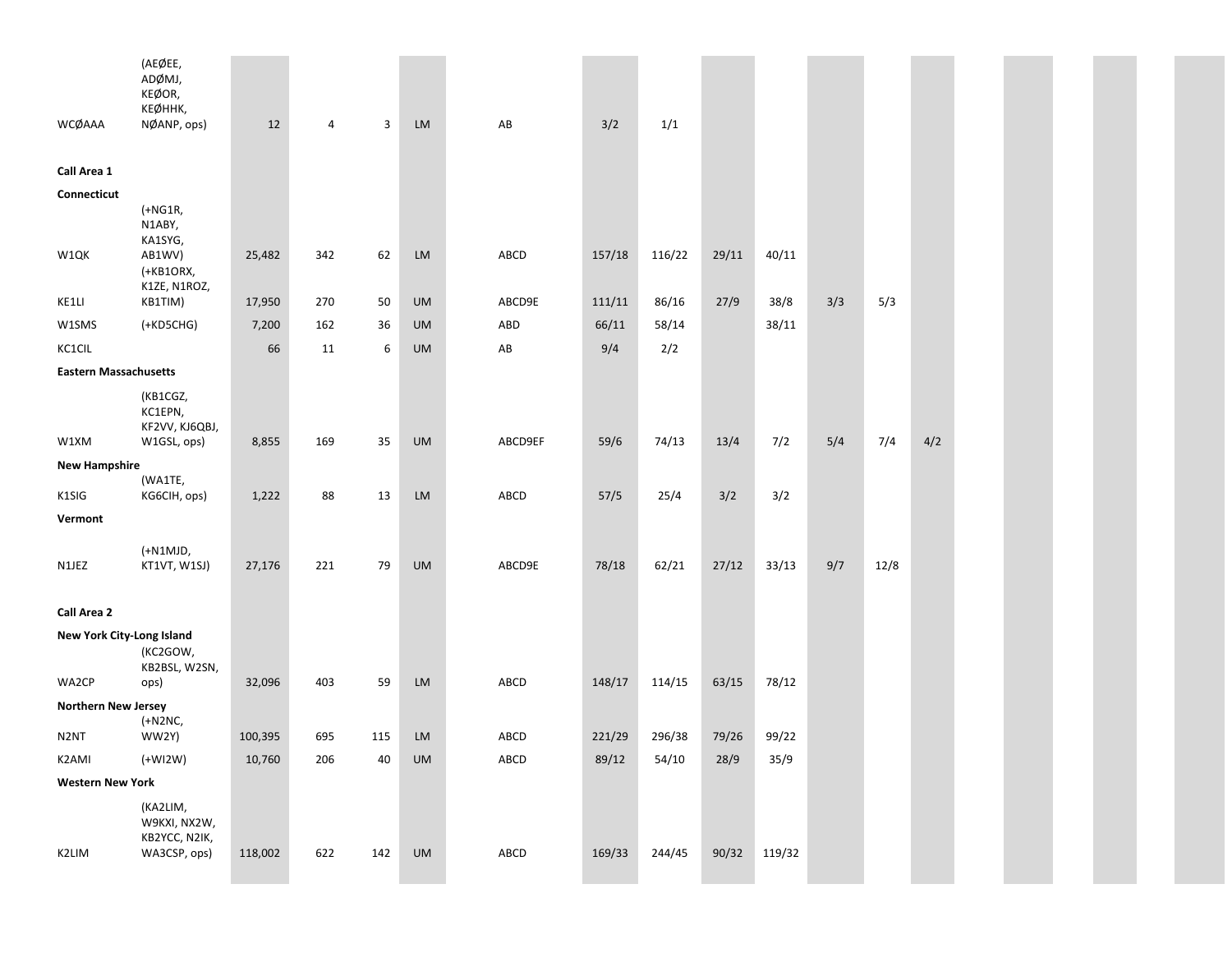|                              | (AEØEE,<br>ADØMJ,<br>KEØOR,<br>КЕØННК,                    |         |     |     |            |              |        |        |       |        |     |      |     |  |  |  |
|------------------------------|-----------------------------------------------------------|---------|-----|-----|------------|--------------|--------|--------|-------|--------|-----|------|-----|--|--|--|
| WCØAAA                       | NØANP, ops)                                               | 12      | 4   | 3   | ${\sf LM}$ | AB           | 3/2    | 1/1    |       |        |     |      |     |  |  |  |
| Call Area 1                  |                                                           |         |     |     |            |              |        |        |       |        |     |      |     |  |  |  |
| Connecticut                  |                                                           |         |     |     |            |              |        |        |       |        |     |      |     |  |  |  |
|                              | $(+NG1R,$<br>N1ABY,<br>KA1SYG,                            |         |     |     |            |              |        |        |       |        |     |      |     |  |  |  |
| W1QK                         | AB1WV)<br>(+KB1ORX,<br>K1ZE, N1ROZ,                       | 25,482  | 342 | 62  | LM         | ABCD         | 157/18 | 116/22 | 29/11 | 40/11  |     |      |     |  |  |  |
| KE1LI                        | KB1TIM)                                                   | 17,950  | 270 | 50  | UM         | ABCD9E       | 111/11 | 86/16  | 27/9  | 38/8   | 3/3 | 5/3  |     |  |  |  |
| W1SMS                        | $(+KD5CHG)$                                               | 7,200   | 162 | 36  | <b>UM</b>  | ABD          | 66/11  | 58/14  |       | 38/11  |     |      |     |  |  |  |
| KC1CIL                       |                                                           | 66      | 11  | 6   | <b>UM</b>  | AB           | 9/4    | 2/2    |       |        |     |      |     |  |  |  |
| <b>Eastern Massachusetts</b> |                                                           |         |     |     |            |              |        |        |       |        |     |      |     |  |  |  |
| W1XM                         | (KB1CGZ,<br>KC1EPN,<br>KF2VV, KJ6QBJ,<br>W1GSL, ops)      | 8,855   | 169 | 35  | UM         | ABCD9EF      | 59/6   | 74/13  | 13/4  | 7/2    | 5/4 | 7/4  | 4/2 |  |  |  |
| <b>New Hampshire</b>         |                                                           |         |     |     |            |              |        |        |       |        |     |      |     |  |  |  |
| K1SIG                        | (WA1TE,<br>KG6CIH, ops)                                   | 1,222   | 88  | 13  | LM         | ABCD         | 57/5   | 25/4   | 3/2   | 3/2    |     |      |     |  |  |  |
| Vermont                      |                                                           |         |     |     |            |              |        |        |       |        |     |      |     |  |  |  |
| N1JEZ                        | (+N1MJD,<br>KT1VT, W1SJ)                                  | 27,176  | 221 | 79  | UM         | ABCD9E       | 78/18  | 62/21  | 27/12 | 33/13  | 9/7 | 12/8 |     |  |  |  |
| <b>Call Area 2</b>           |                                                           |         |     |     |            |              |        |        |       |        |     |      |     |  |  |  |
| New York City-Long Island    | (KC2GOW,<br>KB2BSL, W2SN,                                 |         |     |     |            |              |        |        |       |        |     |      |     |  |  |  |
| WA2CP                        | ops)                                                      | 32,096  | 403 | 59  | LM         | ABCD         | 148/17 | 114/15 | 63/15 | 78/12  |     |      |     |  |  |  |
| Northern New Jersey          | (+N2NC,                                                   |         |     |     |            |              |        |        |       |        |     |      |     |  |  |  |
| N2NT                         | WW2Y)                                                     | 100,395 | 695 | 115 | <b>LM</b>  | ABCD         | 221/29 | 296/38 | 79/26 | 99/22  |     |      |     |  |  |  |
| K2AMI                        | $(+WI2W)$                                                 | 10,760  | 206 | 40  | UM         | ${\sf ABCD}$ | 89/12  | 54/10  | 28/9  | 35/9   |     |      |     |  |  |  |
| <b>Western New York</b>      |                                                           |         |     |     |            |              |        |        |       |        |     |      |     |  |  |  |
| K2LIM                        | (KA2LIM,<br>W9KXI, NX2W,<br>KB2YCC, N2IK,<br>WA3CSP, ops) | 118,002 | 622 | 142 | UM         | ABCD         | 169/33 | 244/45 | 90/32 | 119/32 |     |      |     |  |  |  |
|                              |                                                           |         |     |     |            |              |        |        |       |        |     |      |     |  |  |  |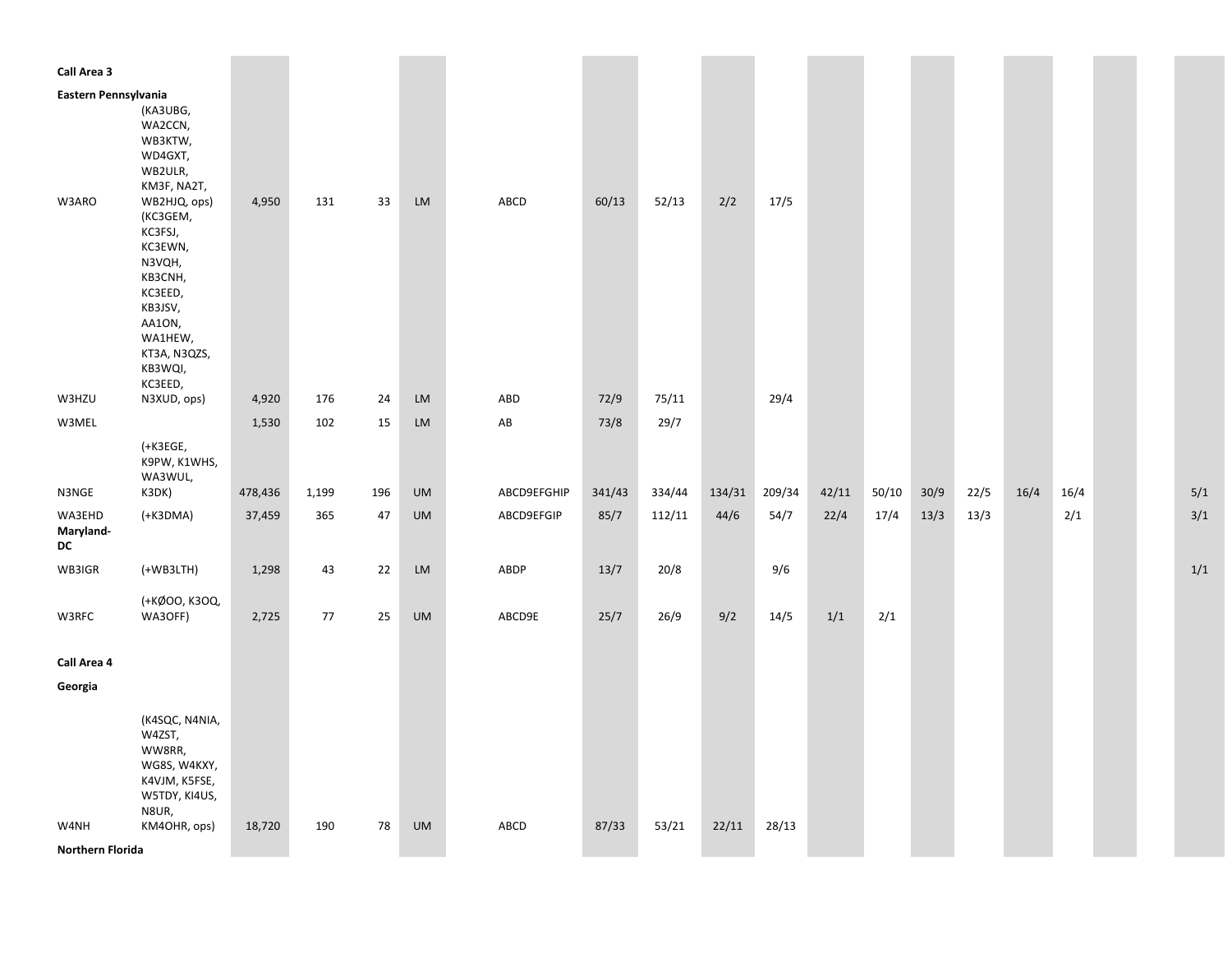| Call Area 3          |                                                                                                                                                      |         |       |     |           |                        |        |        |        |        |       |       |      |      |      |      |  |     |
|----------------------|------------------------------------------------------------------------------------------------------------------------------------------------------|---------|-------|-----|-----------|------------------------|--------|--------|--------|--------|-------|-------|------|------|------|------|--|-----|
|                      |                                                                                                                                                      |         |       |     |           |                        |        |        |        |        |       |       |      |      |      |      |  |     |
| Eastern Pennsylvania | (KA3UBG,<br>WA2CCN,<br>WB3KTW,<br>WD4GXT,<br>WB2ULR,<br>KM3F, NA2T,                                                                                  |         |       |     |           |                        |        |        |        |        |       |       |      |      |      |      |  |     |
| W3ARO                | WB2HJQ, ops)<br>(KC3GEM,<br>KC3FSJ,<br>KC3EWN,<br>N3VQH,<br>KB3CNH,<br>KC3EED,<br>KB3JSV,<br>AA1ON,<br>WA1HEW,<br>KT3A, N3QZS,<br>KB3WQI,<br>KC3EED, | 4,950   | 131   | 33  | LM        | ABCD                   | 60/13  | 52/13  | 2/2    | 17/5   |       |       |      |      |      |      |  |     |
| W3HZU                | N3XUD, ops)                                                                                                                                          | 4,920   | 176   | 24  | LM        | ABD                    | 72/9   | 75/11  |        | 29/4   |       |       |      |      |      |      |  |     |
| W3MEL                |                                                                                                                                                      | 1,530   | 102   | 15  | LM        | $\mathsf{A}\mathsf{B}$ | 73/8   | 29/7   |        |        |       |       |      |      |      |      |  |     |
| N3NGE                | (+K3EGE,<br>K9PW, K1WHS,<br>WA3WUL,<br>K3DK)                                                                                                         | 478,436 | 1,199 | 196 | <b>UM</b> | ABCD9EFGHIP            | 341/43 | 334/44 | 134/31 | 209/34 | 42/11 | 50/10 | 30/9 | 22/5 | 16/4 | 16/4 |  | 5/1 |
| WA3EHD               | (+K3DMA)                                                                                                                                             | 37,459  | 365   | 47  | <b>UM</b> | ABCD9EFGIP             | 85/7   | 112/11 | 44/6   | 54/7   | 22/4  | 17/4  | 13/3 | 13/3 |      | 2/1  |  | 3/1 |
| Maryland-<br>DC      |                                                                                                                                                      |         |       |     |           |                        |        |        |        |        |       |       |      |      |      |      |  |     |
| WB3IGR               | $(+WB3LTH)$                                                                                                                                          | 1,298   | 43    | 22  | LM        | ABDP                   | 13/7   | 20/8   |        | 9/6    |       |       |      |      |      |      |  | 1/1 |
| W3RFC                | (+KØOO, K3OQ,<br>WA3OFF)                                                                                                                             | 2,725   | 77    | 25  | UM        | ABCD9E                 | 25/7   | 26/9   | 9/2    | 14/5   | 1/1   | 2/1   |      |      |      |      |  |     |
| Call Area 4          |                                                                                                                                                      |         |       |     |           |                        |        |        |        |        |       |       |      |      |      |      |  |     |
| Georgia              |                                                                                                                                                      |         |       |     |           |                        |        |        |        |        |       |       |      |      |      |      |  |     |
|                      | (K4SQC, N4NIA,<br>W4ZST,<br>WW8RR,<br>WG8S, W4KXY,<br>K4VJM, K5FSE,<br>W5TDY, KI4US,<br>N8UR,                                                        |         |       |     |           |                        |        |        |        |        |       |       |      |      |      |      |  |     |
| W4NH                 | KM4OHR, ops)                                                                                                                                         | 18,720  | 190   | 78  | UM        | ABCD                   | 87/33  | 53/21  | 22/11  | 28/13  |       |       |      |      |      |      |  |     |
| Northern Florida     |                                                                                                                                                      |         |       |     |           |                        |        |        |        |        |       |       |      |      |      |      |  |     |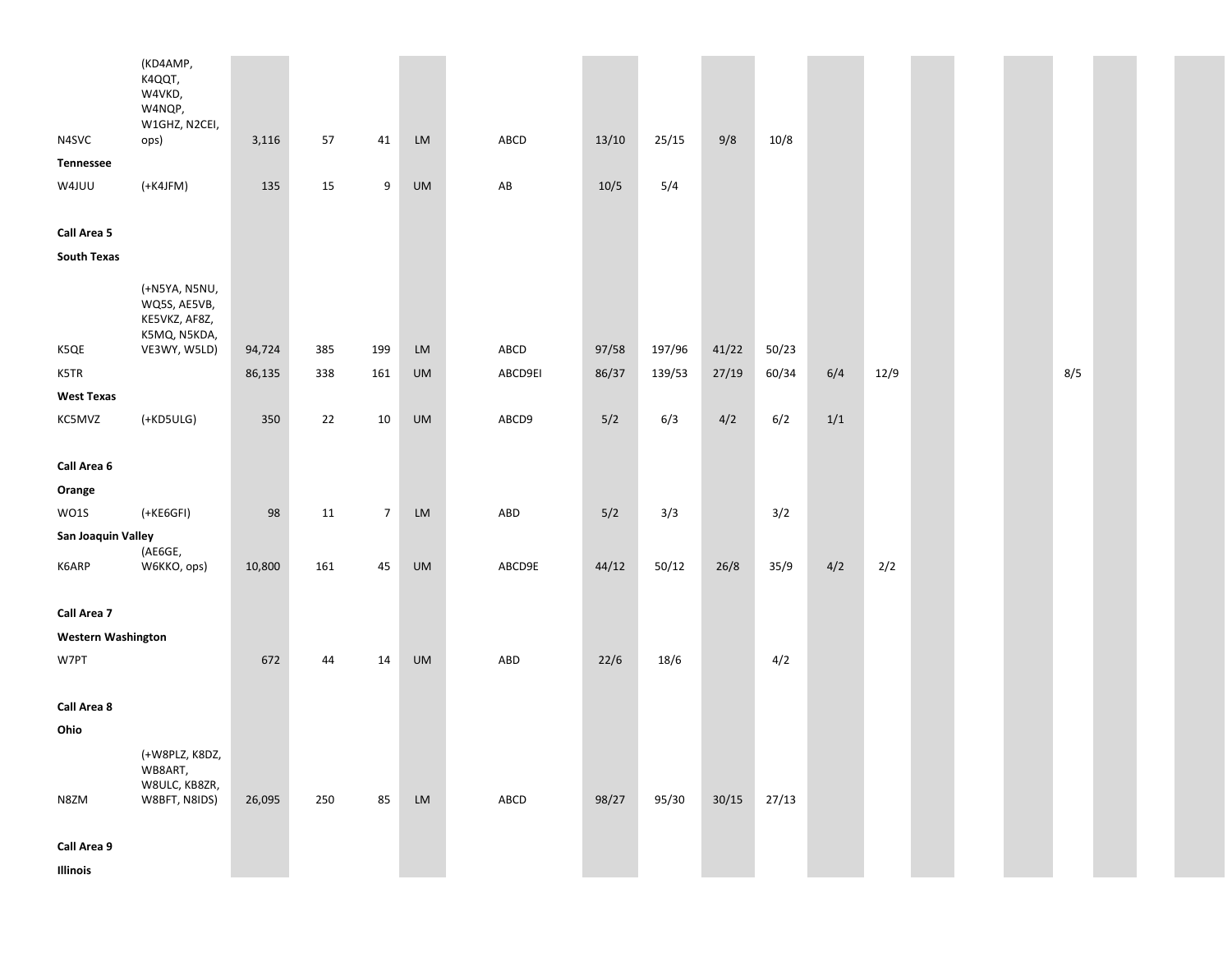|                           | (KD4AMP,<br>K4QQT,<br>W4VKD,<br>W4NQP,<br>W1GHZ, N2CEI,                        |        |     |                |            |                        |        |        |       |       |       |      |  |     |  |
|---------------------------|--------------------------------------------------------------------------------|--------|-----|----------------|------------|------------------------|--------|--------|-------|-------|-------|------|--|-----|--|
| N4SVC                     | ops)                                                                           | 3,116  | 57  | 41             | LM         | ABCD                   | 13/10  | 25/15  | 9/8   | 10/8  |       |      |  |     |  |
| <b>Tennessee</b>          |                                                                                |        |     |                |            |                        |        |        |       |       |       |      |  |     |  |
| W4JUU                     | $(+$ K4JFM $)$                                                                 | 135    | 15  | 9              | UM         | $\mathsf{A}\mathsf{B}$ | $10/5$ | 5/4    |       |       |       |      |  |     |  |
|                           |                                                                                |        |     |                |            |                        |        |        |       |       |       |      |  |     |  |
| Call Area 5               |                                                                                |        |     |                |            |                        |        |        |       |       |       |      |  |     |  |
| <b>South Texas</b>        |                                                                                |        |     |                |            |                        |        |        |       |       |       |      |  |     |  |
| K5QE                      | (+N5YA, N5NU,<br>WQ5S, AE5VB,<br>KE5VKZ, AF8Z,<br>K5MQ, N5KDA,<br>VE3WY, W5LD) | 94,724 | 385 | 199            | LM         | ABCD                   | 97/58  | 197/96 | 41/22 | 50/23 |       |      |  |     |  |
| K5TR                      |                                                                                | 86,135 | 338 | 161            | UM         | ABCD9EI                | 86/37  | 139/53 | 27/19 | 60/34 | 6/4   | 12/9 |  | 8/5 |  |
| <b>West Texas</b>         |                                                                                |        |     |                |            |                        |        |        |       |       |       |      |  |     |  |
| KC5MVZ                    | $(+KD5ULG)$                                                                    | 350    | 22  | 10             | <b>UM</b>  | ABCD9                  | 5/2    | 6/3    | 4/2   | 6/2   | $1/1$ |      |  |     |  |
|                           |                                                                                |        |     |                |            |                        |        |        |       |       |       |      |  |     |  |
| Call Area 6               |                                                                                |        |     |                |            |                        |        |        |       |       |       |      |  |     |  |
| Orange                    |                                                                                |        |     |                |            |                        |        |        |       |       |       |      |  |     |  |
| WO1S                      | $(+$ KE6GFI $)$                                                                | 98     | 11  | $\overline{7}$ | LM         | ABD                    | 5/2    | 3/3    |       | 3/2   |       |      |  |     |  |
| San Joaquin Valley        |                                                                                |        |     |                |            |                        |        |        |       |       |       |      |  |     |  |
| K6ARP                     | (AE6GE,<br>W6KKO, ops)                                                         | 10,800 | 161 | 45             | UM         | ABCD9E                 | 44/12  | 50/12  | 26/8  | 35/9  | 4/2   | 2/2  |  |     |  |
| Call Area 7               |                                                                                |        |     |                |            |                        |        |        |       |       |       |      |  |     |  |
| <b>Western Washington</b> |                                                                                |        |     |                |            |                        |        |        |       |       |       |      |  |     |  |
| W7PT                      |                                                                                | 672    | 44  | 14             | <b>UM</b>  | ABD                    | 22/6   | 18/6   |       | 4/2   |       |      |  |     |  |
|                           |                                                                                |        |     |                |            |                        |        |        |       |       |       |      |  |     |  |
| Call Area 8               |                                                                                |        |     |                |            |                        |        |        |       |       |       |      |  |     |  |
| Ohio                      |                                                                                |        |     |                |            |                        |        |        |       |       |       |      |  |     |  |
| N8ZM                      | (+W8PLZ, K8DZ,<br>WB8ART,<br>W8ULC, KB8ZR,<br>W8BFT, N8IDS)                    | 26,095 | 250 | 85             | ${\sf LM}$ | ${\sf ABCD}$           | 98/27  | 95/30  | 30/15 | 27/13 |       |      |  |     |  |
|                           |                                                                                |        |     |                |            |                        |        |        |       |       |       |      |  |     |  |
| Call Area 9               |                                                                                |        |     |                |            |                        |        |        |       |       |       |      |  |     |  |
| Illinois                  |                                                                                |        |     |                |            |                        |        |        |       |       |       |      |  |     |  |